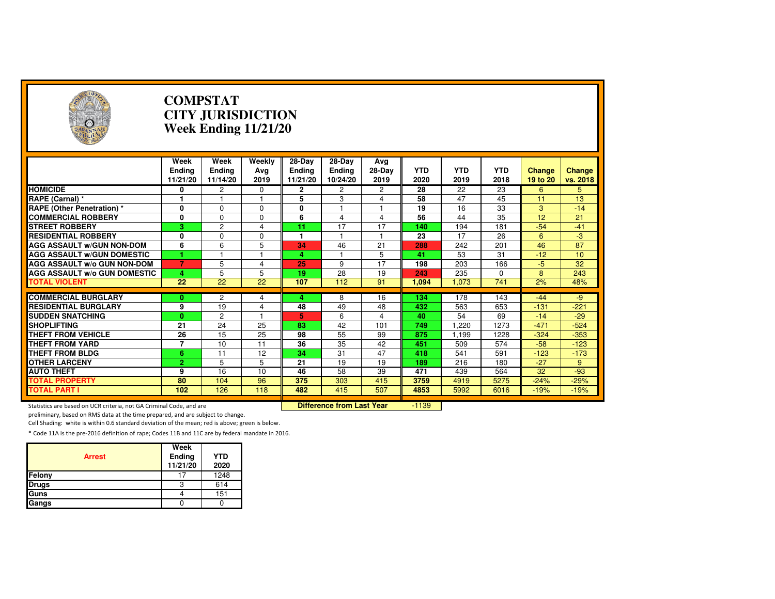| A                                                                   |                                   | <b>COMPSTAT</b><br><b>CITY JURISDICTION</b><br><b>Week Ending 11/21/20</b> |                       |                                     |                                     |                       |                    |                    |                    |                           |                    |  |
|---------------------------------------------------------------------|-----------------------------------|----------------------------------------------------------------------------|-----------------------|-------------------------------------|-------------------------------------|-----------------------|--------------------|--------------------|--------------------|---------------------------|--------------------|--|
|                                                                     | Week<br><b>Ending</b><br>11/21/20 | Week<br><b>Ending</b><br>11/14/20                                          | Weekly<br>Avg<br>2019 | 28-Day<br><b>Ending</b><br>11/21/20 | 28-Day<br><b>Ending</b><br>10/24/20 | Avg<br>28-Day<br>2019 | <b>YTD</b><br>2020 | <b>YTD</b><br>2019 | <b>YTD</b><br>2018 | <b>Change</b><br>19 to 20 | Change<br>vs. 2018 |  |
| <b>HOMICIDE</b>                                                     | 0                                 | 2                                                                          | 0                     | 2                                   | 2                                   | 2                     | 28                 | 22                 | 23                 | 6                         | 5                  |  |
| RAPE (Carnal) *                                                     | 1                                 |                                                                            |                       | 5                                   | 3                                   | 4                     | 58                 | 47                 | 45                 | 11                        | 13                 |  |
| <b>RAPE (Other Penetration) *</b>                                   | 0                                 | $\Omega$                                                                   | $\Omega$              | 0                                   | 1                                   | $\mathbf{1}$          | $\overline{19}$    | $\overline{16}$    | 33                 | 3                         | $-14$              |  |
| <b>COMMERCIAL ROBBERY</b>                                           | 0                                 | $\Omega$                                                                   | $\Omega$              | 6                                   | 4                                   | $\overline{4}$        | 56                 | 44                 | $\overline{35}$    | $\overline{12}$           | $\overline{21}$    |  |
| <b>STREET ROBBERY</b>                                               | 3.                                | $\overline{2}$                                                             | 4                     | 11                                  | 17                                  | 17                    | 140                | 194                | 181                | $-54$                     | $-41$              |  |
| <b>RESIDENTIAL ROBBERY</b>                                          | 0                                 | $\Omega$                                                                   | $\Omega$              | 1                                   |                                     | 1                     | 23                 | 17                 | 26                 | 6                         | $-3$               |  |
| <b>AGG ASSAULT W/GUN NON-DOM</b>                                    | 6                                 | 6                                                                          | 5                     | 34                                  | 46                                  | 21                    | 288                | 242                | 201                | 46                        | $\overline{87}$    |  |
| <b>AGG ASSAULT W/GUN DOMESTIC</b>                                   |                                   |                                                                            |                       | 4                                   |                                     | 5                     | 41                 | 53                 | 31                 | $-12$                     | 10                 |  |
| <b>AGG ASSAULT W/o GUN NON-DOM</b>                                  | $\overline{7}$                    | 5                                                                          | 4                     | 25                                  | 9                                   | 17                    | 198                | 203                | 166                | $-5$                      | 32                 |  |
| <b>AGG ASSAULT W/o GUN DOMESTIC</b>                                 | 4                                 | 5                                                                          | 5                     | 19                                  | 28                                  | 19                    | 243                | 235                | 0                  | 8                         | 243                |  |
| <b>TOTAL VIOLENT</b>                                                | 22                                | $\overline{22}$                                                            | 22                    | 107                                 | 112                                 | 91                    | 1.094              | 1,073              | 741                | 2%                        | 48%                |  |
|                                                                     |                                   |                                                                            |                       |                                     |                                     |                       |                    |                    |                    |                           |                    |  |
| <b>COMMERCIAL BURGLARY</b>                                          | 0                                 | $\mathbf{2}$                                                               | 4                     | 4                                   | 8                                   | 16                    | 134                | 178                | 143                | $-44$                     | $-9$               |  |
| <b>RESIDENTIAL BURGLARY</b>                                         | 9                                 | 19                                                                         | 4                     | 48                                  | 49                                  | 48                    | 432                | 563                | 653                | $-131$                    | $-221$             |  |
| <b>SUDDEN SNATCHING</b>                                             | $\mathbf{0}$                      | $\overline{2}$                                                             |                       | 5                                   | 6                                   | $\overline{4}$        | 40                 | 54                 | 69                 | $-14$                     | $-29$              |  |
| <b>SHOPLIFTING</b>                                                  | $\overline{21}$                   | $\overline{24}$                                                            | $\overline{25}$       | 83                                  | 42                                  | 101                   | 749                | 1.220              | 1273               | $-471$                    | $-524$             |  |
| <b>THEFT FROM VEHICLE</b>                                           | 26                                | 15                                                                         | 25                    | 98                                  | 55                                  | 99                    | 875                | 1,199              | 1228               | $-324$                    | $-353$             |  |
| <b>THEFT FROM YARD</b>                                              | $\overline{7}$                    | 10                                                                         | 11                    | $\overline{36}$                     | 35                                  | 42                    | 451                | 509                | 574                | $-58$                     | $-123$             |  |
| <b>THEFT FROM BLDG</b>                                              | 6                                 | 11                                                                         | 12                    | 34                                  | 31                                  | 47                    | 418                | 541                | 591                | $-123$                    | $-173$             |  |
| <b>OTHER LARCENY</b>                                                | $\overline{2}$                    | 5                                                                          | 5                     | 21                                  | 19                                  | 19                    | 189                | 216                | 180                | $-27$                     | 9                  |  |
| <b>AUTO THEFT</b>                                                   | 9                                 | 16                                                                         | 10                    | 46                                  | 58                                  | 39                    | 471                | 439                | 564                | 32                        | $-93$              |  |
| <b>TOTAL PROPERTY</b>                                               | 80                                | 104                                                                        | 96                    | 375                                 | 303                                 | 415                   | 3759               | 4919               | 5275               | $-24%$                    | $-29%$             |  |
| <b>TOTAL PART I</b>                                                 | 102                               | 126                                                                        | 118                   | 482                                 | 415                                 | 507                   | 4853               | 5992               | 6016               | $-19%$                    | $-19%$             |  |
| Statistics are based on UCR criteria, not GA Criminal Code, and are |                                   |                                                                            |                       | <b>Difference from Last Year</b>    |                                     | $-1139$               |                    |                    |                    |                           |                    |  |

preliminary, based on RMS data at the time prepared, and are subject to change.

Cell Shading: white is within 0.6 standard deviation of the mean; red is above; green is below.

| <b>Arrest</b> | Week<br>Ending<br>11/21/20 | <b>YTD</b><br>2020 |
|---------------|----------------------------|--------------------|
| Felony        | 17                         | 1248               |
| <b>Drugs</b>  |                            | 614                |
| Guns          |                            | 151                |
| Gangs         |                            |                    |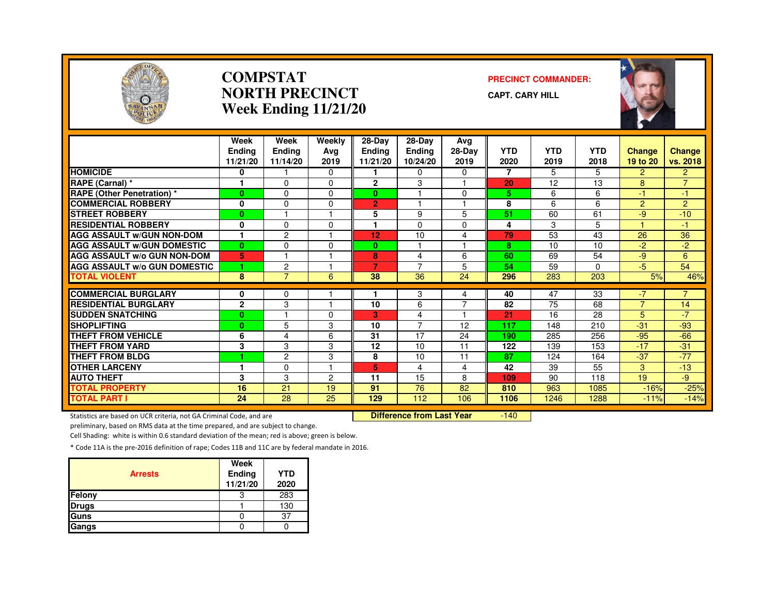

#### **COMPSTATNORTH PRECINCTWeek Ending 11/21/20**

#### **PRECINCT COMMANDER:**

**CAPT. CARY HILL**



|                                     | Week<br>Endina<br>11/21/20 | Week<br><b>Ending</b><br>11/14/20 | Weekly<br>Ava<br>2019 | $28-Dav$<br><b>Ending</b><br>11/21/20 | $28-Day$<br><b>Endina</b><br>10/24/20 | Avg<br>28-Day<br>2019 | <b>YTD</b><br>2020 | YTD<br>2019 | <b>YTD</b><br>2018 | <b>Change</b><br>19 to 20 | Change<br>vs. 2018 |
|-------------------------------------|----------------------------|-----------------------------------|-----------------------|---------------------------------------|---------------------------------------|-----------------------|--------------------|-------------|--------------------|---------------------------|--------------------|
| <b>HOMICIDE</b>                     | 0                          |                                   | $\Omega$              |                                       | $\Omega$                              | $\Omega$              | $\overline{7}$     | 5           | 5                  | $\overline{2}$            | $\overline{2}$     |
| RAPE (Carnal) *                     |                            | $\Omega$                          | $\Omega$              | $\overline{2}$                        | 3                                     |                       | 20                 | 12          | 13                 | 8                         | $\overline{7}$     |
| <b>RAPE (Other Penetration) *</b>   | $\bf{0}$                   | $\Omega$                          | $\Omega$              | 0                                     |                                       | $\Omega$              | 5.                 | 6           | 6                  | $-1$                      | -1                 |
| <b>COMMERCIAL ROBBERY</b>           | $\mathbf{0}$               | $\Omega$                          | $\Omega$              | $\overline{2}$                        |                                       |                       | 8                  | 6           | 6                  | $\overline{2}$            | $\overline{2}$     |
| <b>STREET ROBBERY</b>               | $\bf{0}$                   |                                   |                       | 5                                     | 9                                     | 5                     | 51                 | 60          | 61                 | $-9$                      | $-10$              |
| <b>RESIDENTIAL ROBBERY</b>          | $\bf{0}$                   | $\Omega$                          | $\Omega$              |                                       | $\Omega$                              | $\Omega$              | 4                  | 3           | 5                  |                           | -1                 |
| <b>AGG ASSAULT W/GUN NON-DOM</b>    | 1                          | $\overline{c}$                    |                       | 12                                    | 10                                    | 4                     | 79                 | 53          | 43                 | 26                        | 36                 |
| <b>AGG ASSAULT W/GUN DOMESTIC</b>   | $\mathbf{0}$               | $\Omega$                          | $\Omega$              | 0                                     | $\overline{1}$                        | 1                     | 8                  | 10          | 10                 | $-2$                      | $-2$               |
| <b>AGG ASSAULT W/o GUN NON-DOM</b>  | 5                          | 1                                 |                       | 8                                     | 4                                     | 6                     | 60                 | 69          | 54                 | -9                        | 6                  |
| <b>AGG ASSAULT W/o GUN DOMESTIC</b> | 1.                         | $\overline{c}$                    |                       | 7                                     | $\overline{7}$                        | 5                     | 54                 | 59          | 0                  | $-5$                      | 54                 |
| <b>TOTAL VIOLENT</b>                | 8                          | $\overline{7}$                    | 6                     | 38                                    | 36                                    | 24                    | 296                | 283         | 203                | 5%                        | 46%                |
|                                     |                            |                                   |                       |                                       |                                       |                       |                    |             |                    |                           |                    |
| <b>COMMERCIAL BURGLARY</b>          | 0                          | 0                                 |                       |                                       | 3                                     | 4                     | 40                 | 47          | $\overline{33}$    | $-7$                      |                    |
| <b>RESIDENTIAL BURGLARY</b>         | $\mathbf{2}$               | 3                                 |                       | 10                                    | 6                                     | $\overline{7}$        | 82                 | 75          | 68                 | $\overline{7}$            | 14                 |
| <b>SUDDEN SNATCHING</b>             | $\bf{0}$                   |                                   | $\Omega$              | 3.                                    | 4                                     |                       | 21                 | 16          | 28                 | 5                         | $-7$               |
| <b>SHOPLIFTING</b>                  | $\bf{0}$                   | 5                                 | 3                     | 10                                    | 7                                     | 12                    | 117                | 148         | 210                | $-31$                     | $-93$              |
| <b>THEFT FROM VEHICLE</b>           | 6                          | $\overline{\mathbf{4}}$           | 6                     | 31                                    | 17                                    | 24                    | 190                | 285         | 256                | $-95$                     | $-66$              |
| <b>THEFT FROM YARD</b>              | 3                          | 3                                 | 3                     | 12                                    | 10                                    | 11                    | 122                | 139         | 153                | $-17$                     | $-31$              |
| <b>THEFT FROM BLDG</b>              | 4                          | $\overline{c}$                    | 3                     | 8                                     | 10                                    | 11                    | 87                 | 124         | 164                | $-37$                     | $-77$              |
| <b>OTHER LARCENY</b>                |                            | $\Omega$                          |                       | 5                                     | 4                                     | 4                     | 42                 | 39          | 55                 | 3                         | $-13$              |
| <b>AUTO THEFT</b>                   | 3                          | 3                                 | 2                     | 11                                    | 15                                    | 8                     | 109                | 90          | 118                | 19                        | $-9$               |
| <b>TOTAL PROPERTY</b>               | 16                         | 21                                | 19                    | 91                                    | 76                                    | 82                    | 810                | 963         | 1085               | $-16%$                    | $-25%$             |
| <b>TOTAL PART I</b>                 | 24                         | $\overline{28}$                   | 25                    | 129                                   | 112                                   | 106                   | 1106               | 1246        | 1288               | $-11%$                    | $-14%$             |

Statistics are based on UCR criteria, not GA Criminal Code, and are **Difference from Last Year** 

 $-140$ 

preliminary, based on RMS data at the time prepared, and are subject to change.

Cell Shading: white is within 0.6 standard deviation of the mean; red is above; green is below.

| <b>Arrests</b> | Week<br><b>Ending</b><br>11/21/20 | <b>YTD</b><br>2020 |
|----------------|-----------------------------------|--------------------|
| Felony         | 3                                 | 283                |
| <b>Drugs</b>   |                                   | 130                |
| Guns           |                                   | 37                 |
| Gangs          |                                   |                    |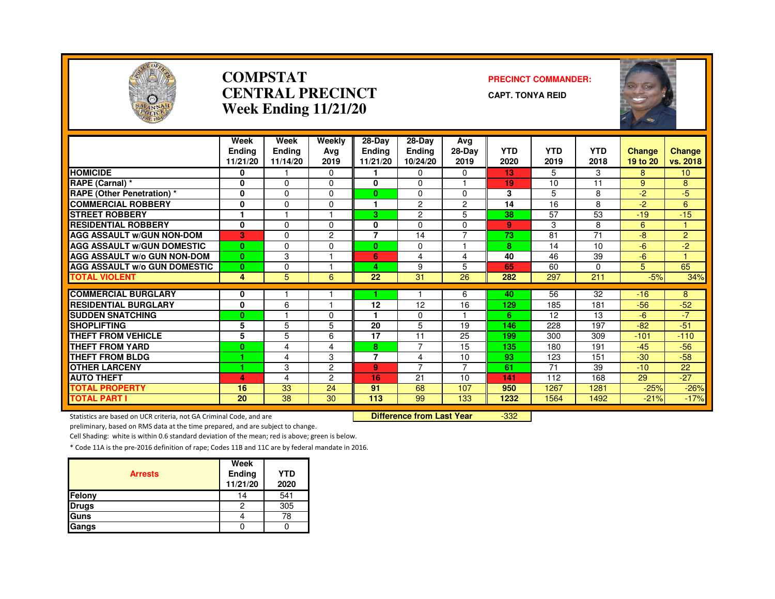

#### **COMPSTATCENTRAL PRECINCTWeek Ending 11/21/20**

#### **PRECINCT COMMANDER:**

**CAPT. TONYA REID**



|                                                                     | Week<br><b>Endina</b> | Week<br><b>Ending</b>   | Weekly<br>Avg                    | 28-Day<br><b>Endina</b> | 28-Day<br>Ending | Avg<br>28-Day  | <b>YTD</b> | <b>YTD</b> | <b>YTD</b>      | Change   |                           |
|---------------------------------------------------------------------|-----------------------|-------------------------|----------------------------------|-------------------------|------------------|----------------|------------|------------|-----------------|----------|---------------------------|
|                                                                     | 11/21/20              | 11/14/20                | 2019                             | 11/21/20                | 10/24/20         | 2019           | 2020       | 2019       | 2018            | 19 to 20 | <b>Change</b><br>vs. 2018 |
| <b>HOMICIDE</b>                                                     | 0                     |                         | 0                                |                         | 0                | 0              | 13         | 5          | 3               | 8        | 10 <sup>°</sup>           |
| RAPE (Carnal) *                                                     | $\bf{0}$              | $\Omega$                | $\Omega$                         | 0                       | $\Omega$         |                | 19         | 10         | 11              | 9        | 8                         |
| <b>RAPE (Other Penetration) *</b>                                   | 0                     | $\mathbf 0$             | $\Omega$                         | $\mathbf{0}$            | 0                | $\mathbf 0$    | 3          | 5          | 8               | $-2$     | $-5$                      |
| <b>COMMERCIAL ROBBERY</b>                                           | 0                     | $\Omega$                | $\Omega$                         | 1                       | $\overline{2}$   | 2              | 14         | 16         | 8               | $-2$     | 6                         |
| <b>STREET ROBBERY</b>                                               |                       |                         |                                  | 3                       | $\overline{2}$   | 5              | 38         | 57         | 53              | $-19$    | $-15$                     |
| <b>RESIDENTIAL ROBBERY</b>                                          | $\mathbf 0$           | 0                       | $\Omega$                         | 0                       | 0                | 0              | 9          | 3          | 8               | 6        |                           |
| <b>AGG ASSAULT W/GUN NON-DOM</b>                                    | 3                     | $\Omega$                | $\overline{2}$                   | $\overline{7}$          | 14               | $\overline{7}$ | 73         | 81         | $\overline{71}$ | $-8$     | $\overline{2}$            |
| <b>AGG ASSAULT W/GUN DOMESTIC</b>                                   | $\bf{0}$              | $\Omega$                | $\Omega$                         | $\bf{0}$                | $\Omega$         |                | 8          | 14         | 10              | $-6$     | $-2$                      |
| <b>AGG ASSAULT W/o GUN NON-DOM</b>                                  | $\mathbf{0}$          | 3                       |                                  | 6                       | 4                | 4              | 40         | 46         | 39              | $-6$     |                           |
| <b>AGG ASSAULT W/o GUN DOMESTIC</b>                                 | $\mathbf{0}$          | $\mathbf 0$             |                                  | 4                       | 9                | 5              | 65         | 60         | 0               | 5        | 65                        |
| <b>TOTAL VIOLENT</b>                                                | 4                     | 5                       | 6                                | 22                      | 31               | 26             | 282        | 297        | 211             | $-5%$    | 34%                       |
| <b>COMMERCIAL BURGLARY</b>                                          | 0                     |                         |                                  |                         |                  | 6              | 40         | 56         | 32              | $-16$    | 8                         |
| <b>RESIDENTIAL BURGLARY</b>                                         | 0                     | 6                       |                                  | 12                      | 12               | 16             | 129        | 185        | 181             | $-56$    | $-52$                     |
| <b>SUDDEN SNATCHING</b>                                             | $\bf{0}$              |                         | $\Omega$                         |                         | $\Omega$         |                | 6          | 12         | 13              | -6       | $-7$                      |
| <b>SHOPLIFTING</b>                                                  | 5                     | 5                       | 5                                | 20                      | 5                | 19             | 146        | 228        | 197             | $-82$    | $-51$                     |
| <b>THEFT FROM VEHICLE</b>                                           | 5                     | 5                       | 6                                | 17                      | 11               | 25             | 199        | 300        | 309             | $-101$   | $-110$                    |
| THEFT FROM YARD                                                     | $\bf{0}$              | $\overline{4}$          | 4                                | 8                       | $\overline{7}$   | 15             | 135        | 180        | 191             | $-45$    | $-56$                     |
| <b>THEFT FROM BLDG</b>                                              | 1                     | $\overline{\mathbf{4}}$ | 3                                | $\overline{7}$          | 4                | 10             | 93         | 123        | 151             | $-30$    | $-58$                     |
| <b>OTHER LARCENY</b>                                                | 1                     | 3                       | $\overline{2}$                   | 9                       | $\overline{7}$   | $\overline{7}$ | 61         | 71         | 39              | $-10$    | 22                        |
| <b>AUTO THEFT</b>                                                   | 4                     | $\overline{4}$          | $\overline{2}$                   | 16                      | 21               | 10             | 141        | 112        | 168             | 29       | $-27$                     |
| <b>TOTAL PROPERTY</b>                                               | 16                    | 33                      | 24                               | 91                      | 68               | 107            | 950        | 1267       | 1281            | $-25%$   | $-26%$                    |
| <b>TOTAL PART I</b>                                                 | 20                    | 38                      | 30                               | 113                     | 99               | 133            | 1232       | 1564       | 1492            | $-21%$   | $-17%$                    |
| Statistics are based on UCR criteria, not GA Criminal Code, and are |                       |                         | <b>Difference from Last Year</b> |                         | $-332$           |                |            |            |                 |          |                           |

Statistics are based on UCR criteria, not GA Criminal Code, and are **Difference from Last Year** 

preliminary, based on RMS data at the time prepared, and are subject to change.

Cell Shading: white is within 0.6 standard deviation of the mean; red is above; green is below.

| <b>Arrests</b> | Week<br>Ending<br>11/21/20 | <b>YTD</b><br>2020 |
|----------------|----------------------------|--------------------|
| <b>Felony</b>  | 14                         | 541                |
| <b>Drugs</b>   | 2                          | 305                |
| <b>Guns</b>    |                            | 78                 |
| Gangs          |                            |                    |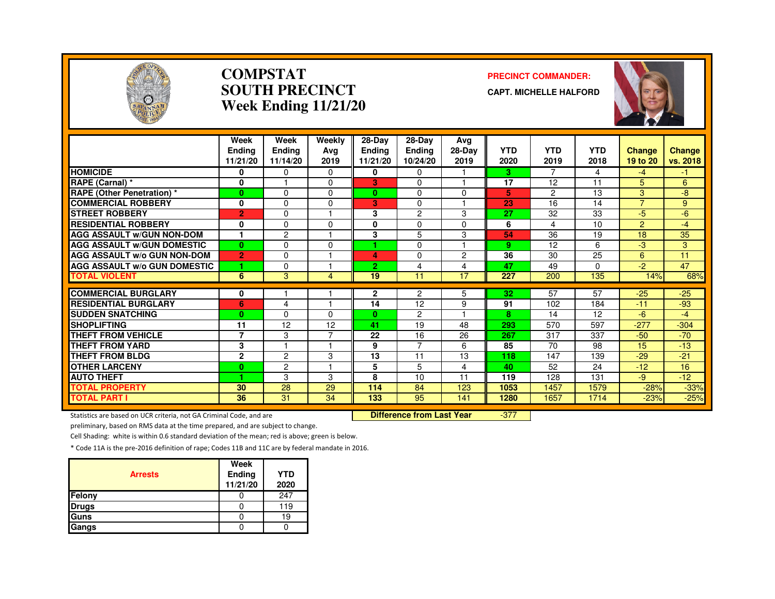

#### **COMPSTATSOUTH PRECINCTWeek Ending 11/21/20**

#### **PRECINCT COMMANDER:**

**CAPT. MICHELLE HALFORD**



|                                     | Week<br><b>Endina</b><br>11/21/20 | Week<br><b>Ending</b><br>11/14/20 | Weekly<br>Ava<br>2019 | $28-Dav$<br><b>Ending</b><br>11/21/20 | $28-Dav$<br>Ending<br>10/24/20 | Avg<br>28-Day<br>2019 | <b>YTD</b><br>2020 | <b>YTD</b><br>2019 | <b>YTD</b><br>2018 | <b>Change</b><br>19 to 20 | Change<br>vs. 2018   |
|-------------------------------------|-----------------------------------|-----------------------------------|-----------------------|---------------------------------------|--------------------------------|-----------------------|--------------------|--------------------|--------------------|---------------------------|----------------------|
| <b>HOMICIDE</b>                     | 0                                 | 0                                 | $\Omega$              | 0                                     | $\Omega$                       |                       | 3                  | $\overline{7}$     | 4                  | $-4$                      | $\blacktriangleleft$ |
| RAPE (Carnal) *                     | 0                                 |                                   | $\Omega$              | 3                                     | $\Omega$                       |                       | 17                 | 12                 | 11                 | 5                         | 6                    |
| <b>RAPE (Other Penetration) *</b>   | $\bf{0}$                          | $\Omega$                          | 0                     | 0                                     | $\Omega$                       | $\Omega$              | 5                  | 2                  | 13                 | 3                         | -8                   |
| <b>COMMERCIAL ROBBERY</b>           | 0                                 | $\Omega$                          | 0                     | 3                                     | 0                              |                       | 23                 | 16                 | 14                 | $\overline{7}$            | 9                    |
| <b>STREET ROBBERY</b>               | $\overline{2}$                    | $\Omega$                          |                       | 3                                     | 2                              | 3                     | 27                 | 32                 | 33                 | -5                        | $-6$                 |
| <b>RESIDENTIAL ROBBERY</b>          | 0                                 | $\Omega$                          | $\Omega$              | $\mathbf{0}$                          | $\Omega$                       | $\Omega$              | 6                  | 4                  | 10                 | $\overline{2}$            | $-4$                 |
| <b>AGG ASSAULT W/GUN NON-DOM</b>    |                                   | 2                                 |                       | 3                                     | 5                              | 3                     | 54                 | 36                 | 19                 | 18                        | 35                   |
| <b>AGG ASSAULT W/GUN DOMESTIC</b>   | $\bf{0}$                          | $\Omega$                          | $\Omega$              | 4.                                    | $\Omega$                       |                       | 9                  | 12                 | 6                  | $-3$                      | 3                    |
| <b>AGG ASSAULT W/o GUN NON-DOM</b>  | $\overline{2}$                    | $\Omega$                          |                       | 4.                                    | $\Omega$                       | 2                     | 36                 | 30                 | 25                 | 6                         | 11                   |
| <b>AGG ASSAULT W/o GUN DOMESTIC</b> | 1                                 | $\Omega$                          |                       | 2.                                    | 4                              | 4                     | 47                 | 49                 | 0                  | $-2$                      | 47                   |
| <b>TOTAL VIOLENT</b>                | 6                                 | 3                                 | 4                     | 19                                    | 11                             | 17                    | 227                | 200                | 135                | 14%                       | 68%                  |
|                                     |                                   |                                   |                       |                                       |                                |                       |                    |                    |                    |                           |                      |
| <b>COMMERCIAL BURGLARY</b>          | 0                                 |                                   | -1                    | 2                                     | $\overline{c}$                 | 5                     | 32                 | 57                 | 57                 | $-25$                     | $-25$                |
| <b>RESIDENTIAL BURGLARY</b>         | 6                                 | 4                                 |                       | 14                                    | 12                             | 9                     | 91                 | 102                | 184                | $-11$                     | $-93$                |
| <b>ISUDDEN SNATCHING</b>            | $\bf{0}$                          | $\Omega$                          | 0                     | $\mathbf{0}$                          | $\overline{2}$                 |                       | 8                  | 14                 | 12                 | -6                        | -4                   |
| <b>SHOPLIFTING</b>                  | 11                                | 12                                | 12                    | 41                                    | 19                             | 48                    | 293                | 570                | 597                | $-277$                    | $-304$               |
| <b>THEFT FROM VEHICLE</b>           | $\overline{7}$                    | 3                                 |                       | 22                                    | 16                             | 26                    | 267                | 317                | 337                | $-50$                     | $-70$                |
| <b>THEFT FROM YARD</b>              | 3                                 | 1                                 | н                     | 9                                     | $\overline{7}$                 | 6                     | 85                 | 70                 | 98                 | 15                        | $-13$                |
| <b>THEFT FROM BLDG</b>              | $\mathbf{2}$                      | $\overline{c}$                    | 3                     | 13                                    | 11                             | 13                    | 118                | 147                | 139                | $-29$                     | $-21$                |
| <b>OTHER LARCENY</b>                | $\bf{0}$                          | $\overline{c}$                    | 1                     | 5                                     | 5                              | 4                     | 40                 | 52                 | 24                 | $-12$                     | 16                   |
| <b>AUTO THEFT</b>                   | 1                                 | 3                                 | 3                     | 8                                     | 10                             | 11                    | 119                | 128                | 131                | -9                        | $-12$                |
| <b>TOTAL PROPERTY</b>               | 30                                | 28                                | 29                    | 114                                   | 84                             | 123                   | 1053               | 1457               | 1579               | $-28%$                    | $-33%$               |
| <b>TOTAL PART I</b>                 | 36                                | 31                                | 34                    | 133                                   | 95                             | 141                   | 1280               | 1657               | 1714               | $-23%$                    | $-25%$               |

Statistics are based on UCR criteria, not GA Criminal Code, and are **Difference from Last Year** 

-377

preliminary, based on RMS data at the time prepared, and are subject to change.

Cell Shading: white is within 0.6 standard deviation of the mean; red is above; green is below.

| <b>Arrests</b> | Week<br>Ending<br>11/21/20 | <b>YTD</b><br>2020 |
|----------------|----------------------------|--------------------|
| Felony         |                            | 247                |
| <b>Drugs</b>   |                            | 119                |
| Guns           |                            | 19                 |
| Gangs          |                            |                    |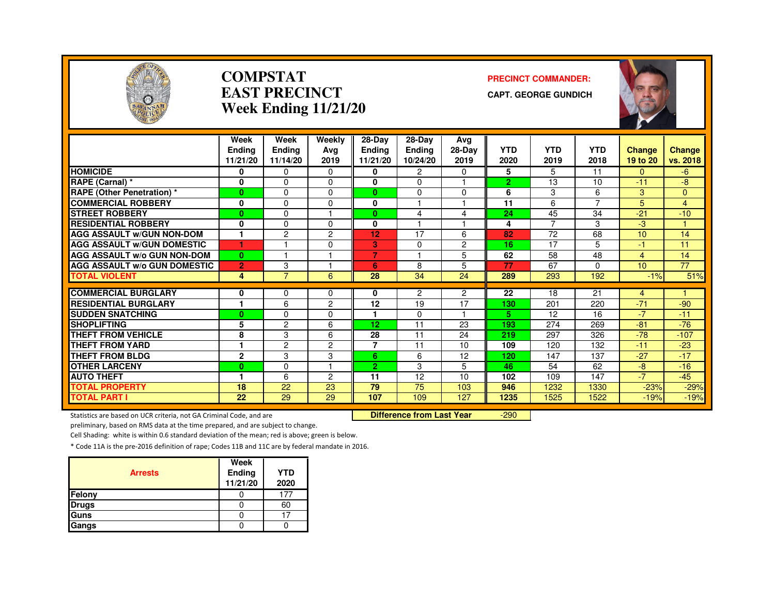

#### **COMPSTATEAST PRECINCTWeek Ending 11/21/20**

#### **PRECINCT COMMANDER:**

**CAPT. GEORGE GUNDICH**



|                                     | Week           | Week           | Weekly         | $28-Dav$       | 28-Dav   | Ava            |                |                |            |                |               |
|-------------------------------------|----------------|----------------|----------------|----------------|----------|----------------|----------------|----------------|------------|----------------|---------------|
|                                     | <b>Endina</b>  | <b>Ending</b>  | Ava            | Ending         | Ending   | $28-Dav$       | <b>YTD</b>     | <b>YTD</b>     | <b>YTD</b> | <b>Change</b>  | <b>Change</b> |
|                                     | 11/21/20       | 11/14/20       | 2019           | 11/21/20       | 10/24/20 | 2019           | 2020           | 2019           | 2018       | 19 to 20       | vs. 2018      |
| <b>HOMICIDE</b>                     | 0              | $\Omega$       | 0              | 0              | 2        | $\Omega$       | 5              | 5              | 11         | 0              | -6            |
| RAPE (Carnal) *                     | 0              | $\Omega$       | $\Omega$       | 0              | $\Omega$ |                | $\overline{2}$ | 13             | 10         | $-11$          | -8            |
| <b>RAPE (Other Penetration) *</b>   | $\bf{0}$       | $\Omega$       | $\Omega$       | $\mathbf{0}$   | $\Omega$ | $\Omega$       | 6              | 3              | 6          | 3              | $\mathbf{0}$  |
| <b>COMMERCIAL ROBBERY</b>           | 0              | 0              | 0              | 0              |          |                | 11             | 6              | 7          | 5              | 4             |
| <b>STREET ROBBERY</b>               | $\bf{0}$       | $\Omega$       |                | $\mathbf{0}$   | 4        | 4              | 24             | 45             | 34         | $-21$          | $-10$         |
| <b>RESIDENTIAL ROBBERY</b>          | 0              | $\Omega$       | 0              | 0              |          |                | 4              | $\overline{7}$ | 3          | -3             |               |
| <b>AGG ASSAULT w/GUN NON-DOM</b>    | 1              | $\overline{c}$ | 2              | 12             | 17       | 6              | 82             | 72             | 68         | 10             | 14            |
| <b>AGG ASSAULT W/GUN DOMESTIC</b>   | 1              |                | $\Omega$       | 3              | $\Omega$ | $\overline{2}$ | 16             | 17             | 5          | $-1$           | 11            |
| <b>AGG ASSAULT W/o GUN NON-DOM</b>  | $\bf{0}$       | н              |                | 7              |          | 5              | 62             | 58             | 48         | 4              | 14            |
| <b>AGG ASSAULT w/o GUN DOMESTIC</b> | $\overline{2}$ | 3              |                | 6              | 8        | 5              | 77             | 67             | 0          | 10             | 77            |
| <b>TOTAL VIOLENT</b>                | 4              | $\overline{7}$ | 6              | 28             | 34       | 24             | 289            | 293            | 192        | $-1%$          | 51%           |
| <b>COMMERCIAL BURGLARY</b>          | 0              | 0              | 0              | 0              | 2        | $\overline{2}$ | 22             | 18             | 21         | $\overline{4}$ |               |
| <b>RESIDENTIAL BURGLARY</b>         | 1              | 6              | $\overline{c}$ | 12             | 19       | 17             | 130            | 201            | 220        | $-71$          | $-90$         |
| <b>SUDDEN SNATCHING</b>             | $\bf{0}$       | $\Omega$       | $\Omega$       | 1.             | 0        |                | 5.             | 12             | 16         | $-7$           | $-11$         |
| <b>SHOPLIFTING</b>                  | 5              | 2              | 6              | 12             | 11       | 23             | 193            | 274            | 269        | $-81$          | $-76$         |
| <b>THEFT FROM VEHICLE</b>           | 8              | 3              | 6              | 28             | 11       | 24             | 219            | 297            | 326        | $-78$          | $-107$        |
| <b>THEFT FROM YARD</b>              | 1              | $\overline{c}$ | $\overline{c}$ | $\overline{7}$ | 11       | 10             | 109            | 120            | 132        | $-11$          | $-23$         |
| <b>THEFT FROM BLDG</b>              | $\mathbf{2}$   | 3              | 3              | 6              | 6        | 12             | 120            | 147            | 137        | $-27$          | $-17$         |
| <b>OTHER LARCENY</b>                | $\bf{0}$       | $\Omega$       |                | $\overline{2}$ | 3        | 5.             | 46             | 54             | 62         | -8             | $-16$         |
| <b>AUTO THEFT</b>                   | 1              | 6              | 2              | 11             | 12       | 10             | 102            | 109            | 147        | $-7$           | $-45$         |
| <b>TOTAL PROPERTY</b>               | 18             | 22             | 23             | 79             | 75       | 103            | 946            | 1232           | 1330       | $-23%$         | $-29%$        |
| <b>TOTAL PART I</b>                 | 22             | 29             | 29             | 107            | 109      | 127            | 1235           | 1525           | 1522       | $-19%$         | $-19%$        |

Statistics are based on UCR criteria, not GA Criminal Code, and are **Difference from Last Year** 

-290

preliminary, based on RMS data at the time prepared, and are subject to change.

Cell Shading: white is within 0.6 standard deviation of the mean; red is above; green is below.

| <b>Arrests</b> | Week<br>Ending<br>11/21/20 | <b>YTD</b><br>2020 |
|----------------|----------------------------|--------------------|
| Felony         |                            |                    |
| <b>Drugs</b>   |                            | 60                 |
| Guns           |                            |                    |
| Gangs          |                            |                    |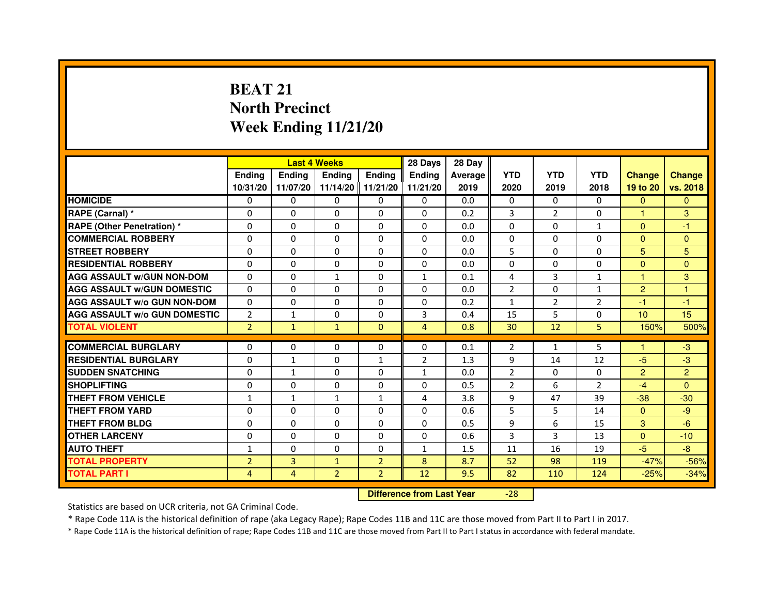# **BEAT 21 North PrecinctWeek Ending 11/21/20**

|                                     |                | <b>Last 4 Weeks</b> |                   |                | 28 Days        | 28 Day  |                |                |                |                 |                |
|-------------------------------------|----------------|---------------------|-------------------|----------------|----------------|---------|----------------|----------------|----------------|-----------------|----------------|
|                                     | <b>Endina</b>  | <b>Ending</b>       | <b>Ending</b>     | <b>Endina</b>  | <b>Endina</b>  | Average | <b>YTD</b>     | <b>YTD</b>     | <b>YTD</b>     | <b>Change</b>   | <b>Change</b>  |
|                                     | 10/31/20       | 11/07/20            | 11/14/20 11/21/20 |                | 11/21/20       | 2019    | 2020           | 2019           | 2018           | 19 to 20        | vs. 2018       |
| <b>HOMICIDE</b>                     | 0              | 0                   | 0                 | 0              | 0              | 0.0     | $\mathbf{0}$   | 0              | 0              | $\mathbf{0}$    | $\mathbf{0}$   |
| RAPE (Carnal) *                     | $\Omega$       | $\Omega$            | $\Omega$          | $\Omega$       | $\Omega$       | 0.2     | 3              | $\overline{2}$ | $\Omega$       | $\mathbf{1}$    | 3              |
| <b>RAPE (Other Penetration) *</b>   | $\Omega$       | $\Omega$            | $\Omega$          | $\Omega$       | $\Omega$       | 0.0     | $\Omega$       | $\Omega$       | $\mathbf{1}$   | $\Omega$        | $-1$           |
| <b>COMMERCIAL ROBBERY</b>           | 0              | 0                   | $\Omega$          | 0              | $\Omega$       | 0.0     | $\Omega$       | 0              | $\Omega$       | $\Omega$        | $\Omega$       |
| <b>STREET ROBBERY</b>               | $\Omega$       | 0                   | $\Omega$          | 0              | 0              | 0.0     | 5              | $\mathbf{0}$   | 0              | 5               | 5              |
| <b>RESIDENTIAL ROBBERY</b>          | $\Omega$       | $\Omega$            | $\Omega$          | 0              | 0              | 0.0     | 0              | $\Omega$       | $\Omega$       | $\Omega$        | $\Omega$       |
| <b>AGG ASSAULT w/GUN NON-DOM</b>    | $\Omega$       | 0                   | $\mathbf{1}$      | 0              | $\mathbf{1}$   | 0.1     | 4              | 3              | $\mathbf{1}$   | $\mathbf{1}$    | 3              |
| <b>AGG ASSAULT W/GUN DOMESTIC</b>   | $\Omega$       | 0                   | 0                 | 0              | 0              | 0.0     | $\overline{2}$ | 0              | $\mathbf{1}$   | $\overline{2}$  | 1              |
| <b>AGG ASSAULT W/o GUN NON-DOM</b>  | $\Omega$       | $\Omega$            | $\Omega$          | $\Omega$       | $\Omega$       | 0.2     | 1              | $\overline{2}$ | $\overline{2}$ | $-1$            | $-1$           |
| <b>AGG ASSAULT W/o GUN DOMESTIC</b> | $\overline{2}$ | 1                   | $\Omega$          | 0              | 3              | 0.4     | 15             | 5              | 0              | 10 <sup>1</sup> | 15             |
| <b>TOTAL VIOLENT</b>                | $\overline{2}$ | $\mathbf{1}$        | $\mathbf{1}$      | $\Omega$       | 4              | 0.8     | 30             | 12             | 5              | 150%            | 500%           |
|                                     |                |                     |                   |                |                |         |                |                |                |                 |                |
| <b>COMMERCIAL BURGLARY</b>          | $\Omega$       | $\Omega$            | $\Omega$          | $\Omega$       | $\Omega$       | 0.1     | $\overline{2}$ | $\mathbf{1}$   | 5              | 1               | $-3$           |
| <b>RESIDENTIAL BURGLARY</b>         | $\Omega$       | 1                   | $\Omega$          | 1              | $\overline{2}$ | 1.3     | 9              | 14             | 12             | $-5$            | $-3$           |
| <b>SUDDEN SNATCHING</b>             | $\Omega$       | $\mathbf{1}$        | 0                 | 0              | $\mathbf{1}$   | 0.0     | $\overline{2}$ | $\Omega$       | $\Omega$       | $\overline{2}$  | $\overline{2}$ |
| <b>SHOPLIFTING</b>                  | 0              | 0                   | 0                 | 0              | 0              | 0.5     | $\overline{2}$ | 6              | $\overline{2}$ | $-4$            | $\Omega$       |
| <b>THEFT FROM VEHICLE</b>           | 1              | $\mathbf{1}$        | $\mathbf{1}$      | $\mathbf{1}$   | 4              | 3.8     | 9              | 47             | 39             | $-38$           | $-30$          |
| <b>THEFT FROM YARD</b>              | 0              | 0                   | $\Omega$          | $\Omega$       | $\Omega$       | 0.6     | 5              | 5              | 14             | $\Omega$        | -9             |
| <b>THEFT FROM BLDG</b>              | $\Omega$       | $\Omega$            | 0                 | 0              | 0              | 0.5     | 9              | 6              | 15             | 3               | $-6$           |
| <b>OTHER LARCENY</b>                | $\Omega$       | $\Omega$            | $\Omega$          | 0              | 0              | 0.6     | 3              | 3              | 13             | $\Omega$        | $-10$          |
| <b>AUTO THEFT</b>                   | 1              | $\mathbf 0$         | 0                 | 0              | $\mathbf{1}$   | 1.5     | 11             | 16             | 19             | $-5$            | $-8$           |
| <b>TOTAL PROPERTY</b>               | $\overline{2}$ | 3                   | $\mathbf{1}$      | $\overline{2}$ | 8              | 8.7     | 52             | 98             | 119            | $-47%$          | $-56%$         |
| <b>TOTAL PART I</b>                 | 4              | 4                   | $\overline{2}$    | $\overline{2}$ | 12             | 9.5     | 82             | 110            | 124            | $-25%$          | $-34%$         |

 **Difference from Last Year**

-28

Statistics are based on UCR criteria, not GA Criminal Code.

\* Rape Code 11A is the historical definition of rape (aka Legacy Rape); Rape Codes 11B and 11C are those moved from Part II to Part I in 2017.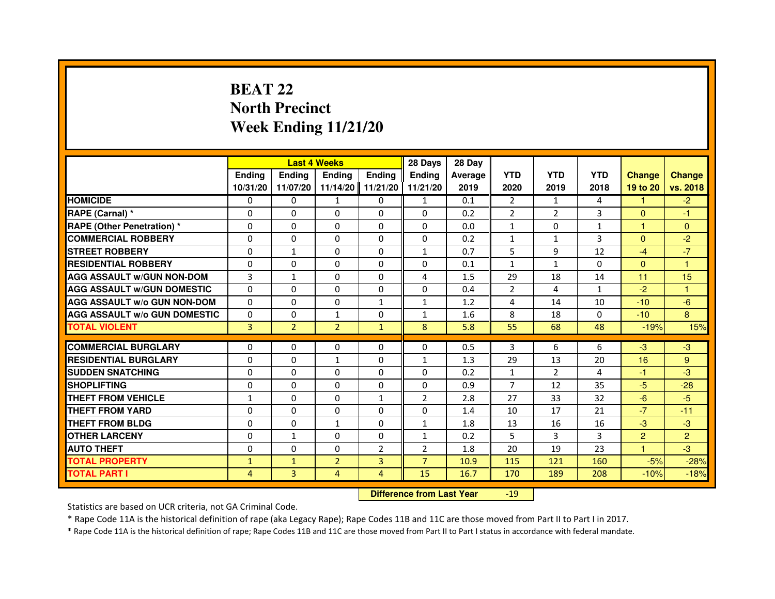## **BEAT 22 North PrecinctWeek Ending 11/21/20**

|                                     |                | <b>Last 4 Weeks</b> |                                  |                | 28 Days        | 28 Day  |                |                |              |                |                |
|-------------------------------------|----------------|---------------------|----------------------------------|----------------|----------------|---------|----------------|----------------|--------------|----------------|----------------|
|                                     | <b>Ending</b>  | <b>Ending</b>       | <b>Ending</b>                    | <b>Ending</b>  | Ending         | Average | <b>YTD</b>     | <b>YTD</b>     | <b>YTD</b>   | <b>Change</b>  | <b>Change</b>  |
|                                     | 10/31/20       | 11/07/20            | 11/14/20                         | 11/21/20       | 11/21/20       | 2019    | 2020           | 2019           | 2018         | 19 to 20       | vs. 2018       |
| <b>HOMICIDE</b>                     | 0              | $\Omega$            | $\mathbf{1}$                     | $\Omega$       | $\mathbf{1}$   | 0.1     | $\overline{2}$ | $\mathbf{1}$   | 4            | 1.             | $-2$           |
| RAPE (Carnal) *                     | 0              | $\mathbf{0}$        | 0                                | 0              | 0              | 0.2     | 2              | $\overline{2}$ | 3            | $\Omega$       | $-1$           |
| RAPE (Other Penetration) *          | $\Omega$       | 0                   | $\Omega$                         | $\Omega$       | $\Omega$       | 0.0     | $\mathbf{1}$   | $\mathbf{0}$   | 1            | 1              | $\overline{0}$ |
| <b>COMMERCIAL ROBBERY</b>           | $\Omega$       | $\Omega$            | $\Omega$                         | $\Omega$       | $\Omega$       | 0.2     | $\mathbf{1}$   | $\mathbf{1}$   | 3            | $\mathbf{0}$   | $-2$           |
| <b>STREET ROBBERY</b>               | $\Omega$       | $\mathbf{1}$        | $\Omega$                         | $\Omega$       | $\mathbf{1}$   | 0.7     | 5              | 9              | 12           | $-4$           | $-7$           |
| <b>RESIDENTIAL ROBBERY</b>          | 0              | 0                   | 0                                | 0              | 0              | 0.1     | $\mathbf{1}$   | $\mathbf{1}$   | $\mathbf{0}$ | $\overline{0}$ | 1              |
| <b>AGG ASSAULT w/GUN NON-DOM</b>    | 3              | $\mathbf{1}$        | $\Omega$                         | $\Omega$       | 4              | 1.5     | 29             | 18             | 14           | 11             | 15             |
| <b>AGG ASSAULT W/GUN DOMESTIC</b>   | $\Omega$       | $\Omega$            | $\Omega$                         | $\Omega$       | $\Omega$       | 0.4     | $\overline{2}$ | 4              | $\mathbf{1}$ | $-2$           | $\mathbf{1}$   |
| <b>AGG ASSAULT W/o GUN NON-DOM</b>  | $\Omega$       | $\Omega$            | $\Omega$                         | $\mathbf{1}$   | $\mathbf{1}$   | 1.2     | 4              | 14             | 10           | $-10$          | $-6$           |
| <b>AGG ASSAULT w/o GUN DOMESTIC</b> | $\Omega$       | $\Omega$            | $\mathbf{1}$                     | $\Omega$       | $\mathbf{1}$   | 1.6     | 8              | 18             | 0            | $-10$          | 8              |
| <b>TOTAL VIOLENT</b>                | 3              | $\overline{2}$      | $\overline{2}$                   | $\mathbf{1}$   | 8              | 5.8     | 55             | 68             | 48           | $-19%$         | 15%            |
| <b>COMMERCIAL BURGLARY</b>          | 0              | 0                   | 0                                | 0              | 0              | 0.5     | 3              | 6              | 6            | $-3$           | $-3$           |
| <b>RESIDENTIAL BURGLARY</b>         | $\Omega$       | $\Omega$            | 1                                | $\Omega$       | $\mathbf{1}$   | 1.3     | 29             | 13             | 20           | 16             | 9              |
| <b>SUDDEN SNATCHING</b>             | $\Omega$       | $\Omega$            | $\Omega$                         | $\Omega$       | $\Omega$       | 0.2     | $\mathbf{1}$   | $\overline{2}$ | 4            | $-1$           | $-3$           |
| <b>SHOPLIFTING</b>                  | 0              | $\Omega$            | 0                                | $\Omega$       | $\Omega$       | 0.9     | $\overline{7}$ | 12             | 35           | $-5$           | $-28$          |
| <b>THEFT FROM VEHICLE</b>           | 1              | 0                   | 0                                | $\mathbf{1}$   | $\overline{2}$ | 2.8     | 27             | 33             | 32           | $-6$           | $-5$           |
| <b>THEFT FROM YARD</b>              | $\Omega$       | $\Omega$            | $\Omega$                         | $\Omega$       | $\Omega$       | 1.4     | 10             | 17             | 21           | $-7$           | $-11$          |
| <b>THEFT FROM BLDG</b>              | $\Omega$       | $\Omega$            | $\mathbf{1}$                     | $\Omega$       | $\mathbf{1}$   | 1.8     | 13             | 16             | 16           | $-3$           | $-3$           |
| <b>OTHER LARCENY</b>                | 0              | $\mathbf{1}$        | $\mathbf{0}$                     | 0              | 1              | 0.2     | 5              | 3              | 3            | $\overline{2}$ | $\overline{2}$ |
| <b>AUTO THEFT</b>                   | $\Omega$       | $\Omega$            | $\Omega$                         | $\overline{2}$ | $\overline{2}$ | 1.8     | 20             | 19             | 23           | $\mathbf{1}$   | $-3$           |
| <b>TOTAL PROPERTY</b>               | $\mathbf{1}$   | $\mathbf{1}$        | $\overline{2}$                   | 3              | $\overline{7}$ | 10.9    | 115            | 121            | 160          | $-5%$          | $-28%$         |
| <b>TOTAL PART I</b>                 | $\overline{4}$ | 3                   | $\overline{4}$                   | 4              | 15             | 16.7    | 170            | 189            | 208          | $-10%$         | $-18%$         |
|                                     |                |                     | <b>Difference from Last Year</b> |                | $-19$          |         |                |                |              |                |                |

 **Difference from Last Year**

Statistics are based on UCR criteria, not GA Criminal Code.

\* Rape Code 11A is the historical definition of rape (aka Legacy Rape); Rape Codes 11B and 11C are those moved from Part II to Part I in 2017.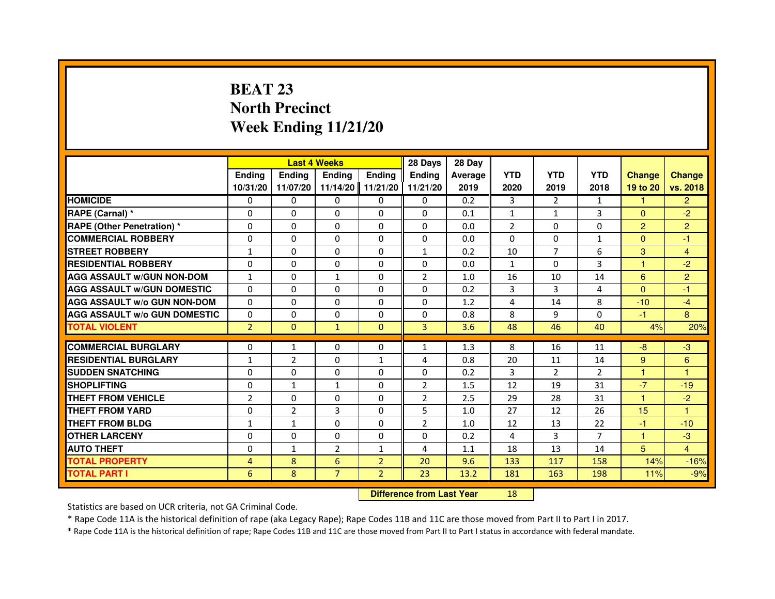## **BEAT 23 North PrecinctWeek Ending 11/21/20**

|                                     |                | <b>Last 4 Weeks</b>              |                |                | 28 Days        | 28 Day  |                |                |                |                |                         |
|-------------------------------------|----------------|----------------------------------|----------------|----------------|----------------|---------|----------------|----------------|----------------|----------------|-------------------------|
|                                     | <b>Ending</b>  | <b>Ending</b>                    | <b>Ending</b>  | <b>Ending</b>  | Ending         | Average | <b>YTD</b>     | <b>YTD</b>     | <b>YTD</b>     | <b>Change</b>  | <b>Change</b>           |
|                                     | 10/31/20       | 11/07/20                         | 11/14/20       | 11/21/20       | 11/21/20       | 2019    | 2020           | 2019           | 2018           | 19 to 20       | vs. 2018                |
| <b>HOMICIDE</b>                     | 0              | $\Omega$                         | $\Omega$       | 0              | 0              | 0.2     | 3              | $\mathcal{P}$  | $\mathbf{1}$   | 1.             | $\overline{2}$          |
| RAPE (Carnal) *                     | 0              | $\mathbf{0}$                     | 0              | 0              | 0              | 0.1     | $\mathbf{1}$   | $\mathbf{1}$   | 3              | $\mathbf{0}$   | $-2$                    |
| RAPE (Other Penetration) *          | $\Omega$       | 0                                | $\Omega$       | $\Omega$       | $\Omega$       | 0.0     | $\overline{2}$ | $\mathbf{0}$   | $\Omega$       | $\overline{2}$ | $\overline{2}$          |
| <b>COMMERCIAL ROBBERY</b>           | 0              | $\Omega$                         | $\Omega$       | $\Omega$       | $\Omega$       | 0.0     | $\Omega$       | $\mathbf{0}$   | $\mathbf{1}$   | $\mathbf{0}$   | $-1$                    |
| <b>STREET ROBBERY</b>               | $\mathbf{1}$   | $\Omega$                         | $\Omega$       | $\Omega$       | $\mathbf{1}$   | 0.2     | 10             | $\overline{7}$ | 6              | 3              | $\overline{\mathbf{4}}$ |
| <b>RESIDENTIAL ROBBERY</b>          | 0              | 0                                | 0              | 0              | 0              | 0.0     | $\mathbf{1}$   | $\mathbf{0}$   | 3              | $\mathbf{1}$   | $-2$                    |
| <b>AGG ASSAULT w/GUN NON-DOM</b>    | $\mathbf{1}$   | $\Omega$                         | $\mathbf{1}$   | $\Omega$       | $\overline{2}$ | 1.0     | 16             | 10             | 14             | 6              | $\overline{2}$          |
| <b>AGG ASSAULT W/GUN DOMESTIC</b>   | $\Omega$       | $\Omega$                         | $\Omega$       | $\Omega$       | $\Omega$       | 0.2     | 3              | $\overline{3}$ | 4              | $\Omega$       | $-1$                    |
| <b>AGG ASSAULT W/o GUN NON-DOM</b>  | $\Omega$       | $\Omega$                         | $\Omega$       | $\Omega$       | $\Omega$       | 1.2     | 4              | 14             | 8              | $-10$          | $-4$                    |
| <b>AGG ASSAULT w/o GUN DOMESTIC</b> | $\Omega$       | $\Omega$                         | 0              | $\Omega$       | $\Omega$       | 0.8     | 8              | 9              | $\Omega$       | $-1$           | 8                       |
| <b>TOTAL VIOLENT</b>                | $\overline{2}$ | $\overline{0}$                   | $\mathbf{1}$   | $\mathbf{0}$   | 3              | 3.6     | 48             | 46             | 40             | 4%             | 20%                     |
| <b>COMMERCIAL BURGLARY</b>          | 0              | 1                                | 0              | 0              | $\mathbf{1}$   | 1.3     | 8              | 16             | 11             | $-8$           | $-3$                    |
| <b>RESIDENTIAL BURGLARY</b>         | 1              | $\overline{2}$                   | $\Omega$       | 1              | 4              | 0.8     | 20             | 11             | 14             | 9              | 6                       |
| <b>SUDDEN SNATCHING</b>             | 0              | $\Omega$                         | $\Omega$       | $\Omega$       | $\Omega$       | 0.2     | 3              | $\overline{2}$ | $\mathcal{P}$  | $\mathbf{1}$   | $\mathbf{1}$            |
| <b>SHOPLIFTING</b>                  | 0              | $\mathbf{1}$                     | $\mathbf{1}$   | 0              | $\overline{2}$ | 1.5     | 12             | 19             | 31             | $-7$           | $-19$                   |
| <b>THEFT FROM VEHICLE</b>           | $\overline{2}$ | 0                                | 0              | $\Omega$       | $\overline{2}$ | 2.5     | 29             | 28             | 31             | 1              | $-2$                    |
| <b>THEFT FROM YARD</b>              | $\Omega$       | $\overline{2}$                   | 3              | $\Omega$       | 5              | 1.0     | 27             | 12             | 26             | 15             | $\mathbf{1}$            |
| <b>THEFT FROM BLDG</b>              | $\mathbf{1}$   | $\mathbf{1}$                     | $\Omega$       | $\Omega$       | $\overline{2}$ | 1.0     | 12             | 13             | 22             | $-1$           | $-10$                   |
| <b>OTHER LARCENY</b>                | 0              | $\Omega$                         | $\mathbf{0}$   | $\Omega$       | 0              | 0.2     | 4              | 3              | $\overline{7}$ | $\mathbf{1}$   | $-3$                    |
| <b>AUTO THEFT</b>                   | $\Omega$       | $\mathbf{1}$                     | $\overline{2}$ | $\mathbf{1}$   | 4              | 1.1     | 18             | 13             | 14             | 5 <sup>5</sup> | $\overline{4}$          |
| <b>TOTAL PROPERTY</b>               | 4              | 8                                | 6              | $\overline{2}$ | 20             | 9.6     | 133            | 117            | 158            | 14%            | $-16%$                  |
| <b>TOTAL PART I</b>                 | 6              | 8                                | $\overline{7}$ | $\overline{2}$ | 23             | 13.2    | 181            | 163            | 198            | 11%            | $-9%$                   |
|                                     |                | <b>Difference from Last Year</b> |                | 18             |                |         |                |                |                |                |                         |

 **Difference from Last Year**

Statistics are based on UCR criteria, not GA Criminal Code.

\* Rape Code 11A is the historical definition of rape (aka Legacy Rape); Rape Codes 11B and 11C are those moved from Part II to Part I in 2017.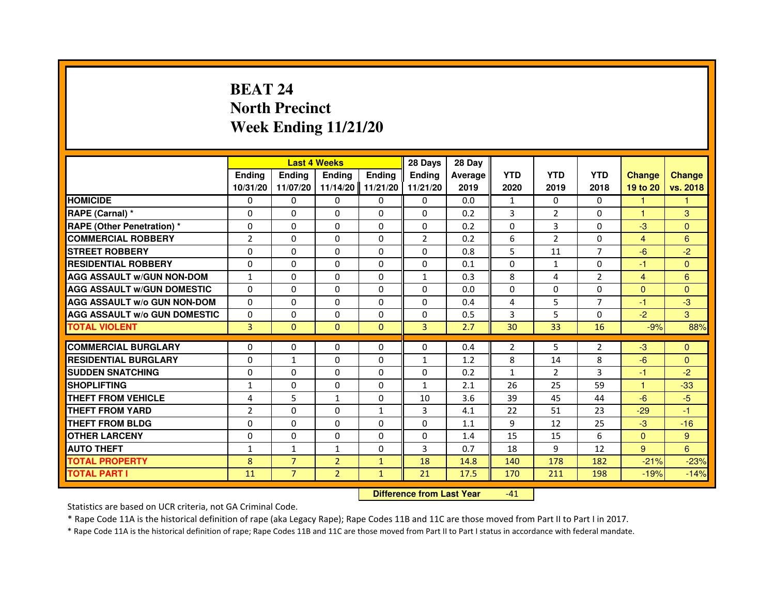## **BEAT 24 North PrecinctWeek Ending 11/21/20**

|                                     |                |                                  | <b>Last 4 Weeks</b> |               | 28 Days       | 28 Day         |                |                |                |                         |                |
|-------------------------------------|----------------|----------------------------------|---------------------|---------------|---------------|----------------|----------------|----------------|----------------|-------------------------|----------------|
|                                     | <b>Ending</b>  | <b>Ending</b>                    | <b>Ending</b>       | <b>Ending</b> | <b>Ending</b> | <b>Average</b> | <b>YTD</b>     | <b>YTD</b>     | <b>YTD</b>     | <b>Change</b>           | <b>Change</b>  |
|                                     | 10/31/20       | 11/07/20                         | 11/14/20            | 11/21/20      | 11/21/20      | 2019           | 2020           | 2019           | 2018           | 19 to 20                | vs. 2018       |
| <b>HOMICIDE</b>                     | 0              | $\Omega$                         | $\Omega$            | $\Omega$      | 0             | 0.0            | $\mathbf{1}$   | $\Omega$       | $\Omega$       | $\mathbf{1}$            | $\mathbf{1}$   |
| RAPE (Carnal) *                     | 0              | $\Omega$                         | $\Omega$            | $\Omega$      | $\Omega$      | 0.2            | 3              | $\overline{2}$ | $\Omega$       | 1                       | 3              |
| RAPE (Other Penetration) *          | $\Omega$       | $\Omega$                         | $\Omega$            | $\Omega$      | $\Omega$      | 0.2            | $\Omega$       | 3              | $\Omega$       | $-3$                    | $\overline{0}$ |
| <b>COMMERCIAL ROBBERY</b>           | $\overline{2}$ | $\Omega$                         | $\Omega$            | $\Omega$      | 2             | 0.2            | 6              | 2              | $\Omega$       | $\overline{4}$          | $6\phantom{1}$ |
| <b>STREET ROBBERY</b>               | 0              | $\Omega$                         | 0                   | $\Omega$      | $\Omega$      | 0.8            | 5              | 11             | $\overline{7}$ | $-6$                    | $-2$           |
| <b>RESIDENTIAL ROBBERY</b>          | 0              | $\Omega$                         | 0                   | $\Omega$      | $\Omega$      | 0.1            | $\Omega$       | $\mathbf{1}$   | $\Omega$       | $-1$                    | $\Omega$       |
| <b>AGG ASSAULT w/GUN NON-DOM</b>    | $\mathbf{1}$   | $\Omega$                         | $\Omega$            | $\Omega$      | $\mathbf{1}$  | 0.3            | 8              | 4              | $\overline{2}$ | $\overline{\mathbf{4}}$ | $6\phantom{1}$ |
| <b>AGG ASSAULT W/GUN DOMESTIC</b>   | $\Omega$       | $\Omega$                         | $\Omega$            | $\Omega$      | $\Omega$      | 0.0            | $\Omega$       | $\Omega$       | $\Omega$       | $\Omega$                | $\Omega$       |
| <b>AGG ASSAULT W/o GUN NON-DOM</b>  | 0              | $\mathbf{0}$                     | 0                   | 0             | 0             | 0.4            | 4              | 5              | 7              | $-1$                    | $-3$           |
| <b>AGG ASSAULT w/o GUN DOMESTIC</b> | $\Omega$       | 0                                | 0                   | 0             | $\Omega$      | 0.5            | 3              | 5              | $\Omega$       | $-2$                    | 3              |
| <b>TOTAL VIOLENT</b>                | 3              | $\mathbf{0}$                     | $\mathbf{0}$        | $\mathbf{0}$  | 3             | 2.7            | 30             | 33             | 16             | $-9%$                   | 88%            |
| <b>COMMERCIAL BURGLARY</b>          | 0              | 0                                | 0                   | $\Omega$      | $\Omega$      | 0.4            | $\overline{2}$ | 5              | $\overline{2}$ | $-3$                    | $\mathbf{0}$   |
| <b>RESIDENTIAL BURGLARY</b>         | $\Omega$       | $\mathbf{1}$                     | $\Omega$            | $\Omega$      | $\mathbf{1}$  | 1.2            | 8              | 14             | 8              | $-6$                    | $\Omega$       |
| <b>SUDDEN SNATCHING</b>             | $\Omega$       | $\Omega$                         | $\Omega$            | $\Omega$      | $\Omega$      | 0.2            | $\mathbf{1}$   | $\mathcal{P}$  | 3              | $-1$                    | $-2$           |
| <b>SHOPLIFTING</b>                  | 1              | 0                                | 0                   | 0             | $\mathbf{1}$  | 2.1            | 26             | 25             | 59             | 1                       | $-33$          |
| <b>THEFT FROM VEHICLE</b>           | 4              | 5                                | $\mathbf{1}$        | $\Omega$      | 10            | 3.6            | 39             | 45             | 44             | $-6$                    | $-5$           |
| <b>THEFT FROM YARD</b>              | $\overline{2}$ | $\Omega$                         | $\Omega$            | $\mathbf{1}$  | 3             | 4.1            | 22             | 51             | 23             | $-29$                   | $-1$           |
| <b>THEFT FROM BLDG</b>              | $\Omega$       | $\Omega$                         | $\Omega$            | $\Omega$      | $\Omega$      | 1.1            | 9              | 12             | 25             | $-3$                    | $-16$          |
| <b>OTHER LARCENY</b>                | 0              | $\Omega$                         | 0                   | $\Omega$      | $\Omega$      | 1.4            | 15             | 15             | 6              | $\mathbf{0}$            | 9              |
| <b>AUTO THEFT</b>                   | $\mathbf{1}$   | $\mathbf{1}$                     | $\mathbf{1}$        | $\Omega$      | 3             | 0.7            | 18             | 9              | 12             | 9                       | 6              |
| <b>TOTAL PROPERTY</b>               | 8              | $\overline{7}$                   | $\overline{2}$      | $\mathbf{1}$  | 18            | 14.8           | 140            | 178            | 182            | $-21%$                  | $-23%$         |
| <b>TOTAL PART I</b>                 | 11             | $\overline{7}$                   | $\overline{2}$      | $\mathbf{1}$  | 21            | 17.5           | 170            | 211            | 198            | $-19%$                  | $-14%$         |
|                                     |                | <b>Difference from Last Year</b> |                     | $-41$         |               |                |                |                |                |                         |                |

 **Difference from Last Year**

Statistics are based on UCR criteria, not GA Criminal Code.

\* Rape Code 11A is the historical definition of rape (aka Legacy Rape); Rape Codes 11B and 11C are those moved from Part II to Part I in 2017.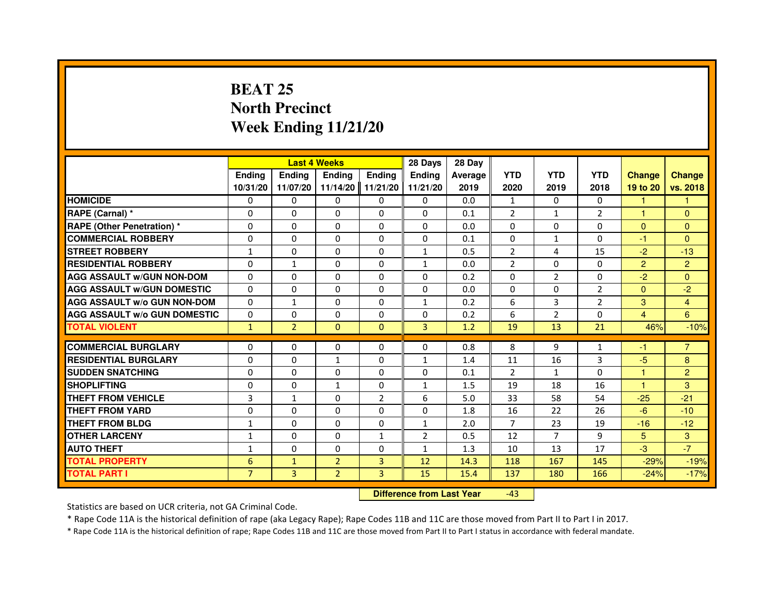## **BEAT 25 North PrecinctWeek Ending 11/21/20**

|                                     |                |                | <b>Last 4 Weeks</b> |                | 28 Days        | 28 Day         |                |                |                |                |                |
|-------------------------------------|----------------|----------------|---------------------|----------------|----------------|----------------|----------------|----------------|----------------|----------------|----------------|
|                                     | Ending         | <b>Endina</b>  | <b>Ending</b>       | <b>Ending</b>  | <b>Endina</b>  | <b>Average</b> | <b>YTD</b>     | <b>YTD</b>     | <b>YTD</b>     | <b>Change</b>  | <b>Change</b>  |
|                                     | 10/31/20       | 11/07/20       | 11/14/20            | 11/21/20       | 11/21/20       | 2019           | 2020           | 2019           | 2018           | 19 to 20       | vs. 2018       |
| <b>HOMICIDE</b>                     | 0              | $\Omega$       | $\mathbf{0}$        | $\Omega$       | 0              | 0.0            | $\mathbf{1}$   | 0              | $\Omega$       | 1              |                |
| RAPE (Carnal) *                     | $\Omega$       | $\Omega$       | $\Omega$            | $\Omega$       | $\Omega$       | 0.1            | $\overline{2}$ | $\mathbf{1}$   | $\overline{2}$ | $\mathbf{1}$   | $\Omega$       |
| <b>RAPE (Other Penetration) *</b>   | 0              | $\mathbf{0}$   | $\mathbf{0}$        | 0              | 0              | 0.0            | 0              | 0              | 0              | $\mathbf{0}$   | $\Omega$       |
| <b>COMMERCIAL ROBBERY</b>           | 0              | $\Omega$       | $\Omega$            | $\Omega$       | $\Omega$       | 0.1            | $\Omega$       | $\mathbf{1}$   | $\Omega$       | $-1$           | $\Omega$       |
| <b>STREET ROBBERY</b>               | 1              | $\Omega$       | $\Omega$            | $\Omega$       | $\mathbf{1}$   | 0.5            | $\overline{2}$ | 4              | 15             | $-2$           | $-13$          |
| <b>RESIDENTIAL ROBBERY</b>          | 0              | $\mathbf{1}$   | $\Omega$            | $\Omega$       | $\mathbf{1}$   | 0.0            | $\overline{2}$ | $\Omega$       | $\Omega$       | $\overline{2}$ | $\overline{2}$ |
| <b>AGG ASSAULT w/GUN NON-DOM</b>    | $\Omega$       | $\Omega$       | $\Omega$            | $\Omega$       | $\Omega$       | 0.2            | $\Omega$       | $\overline{2}$ | $\Omega$       | $-2$           | $\Omega$       |
| <b>AGG ASSAULT W/GUN DOMESTIC</b>   | $\Omega$       | $\Omega$       | $\Omega$            | 0              | $\Omega$       | 0.0            | $\Omega$       | 0              | $\overline{2}$ | $\Omega$       | $-2$           |
| <b>AGG ASSAULT W/o GUN NON-DOM</b>  | 0              | $\mathbf{1}$   | 0                   | $\Omega$       | $\mathbf{1}$   | 0.2            | 6              | 3              | $\overline{2}$ | 3              | $\overline{4}$ |
| <b>AGG ASSAULT W/o GUN DOMESTIC</b> | $\Omega$       | $\Omega$       | $\Omega$            | $\Omega$       | $\Omega$       | 0.2            | 6              | $\overline{2}$ | 0              | 4              | 6              |
| <b>TOTAL VIOLENT</b>                | $\mathbf{1}$   | $\overline{2}$ | $\Omega$            | $\Omega$       | 3              | 1.2            | 19             | 13             | 21             | 46%            | $-10%$         |
|                                     |                |                |                     |                |                |                |                |                |                |                |                |
| <b>COMMERCIAL BURGLARY</b>          | 0              | $\mathbf{0}$   | 0                   | 0              | $\Omega$       | 0.8            | 8              | 9              | 1              | -1             | $\overline{7}$ |
| <b>RESIDENTIAL BURGLARY</b>         | 0              | $\Omega$       | $\mathbf{1}$        | 0              | 1              | 1.4            | 11             | 16             | 3              | $-5$           | 8              |
| <b>SUDDEN SNATCHING</b>             | 0              | $\Omega$       | 0                   | 0              | 0              | 0.1            | 2              | $\mathbf{1}$   | $\Omega$       | 1              | $\overline{2}$ |
| <b>SHOPLIFTING</b>                  | $\Omega$       | $\Omega$       | $\mathbf{1}$        | $\Omega$       | $\mathbf{1}$   | 1.5            | 19             | 18             | 16             | $\mathbf{1}$   | 3              |
| THEFT FROM VEHICLE                  | 3              | $\mathbf{1}$   | $\Omega$            | $\overline{2}$ | 6              | 5.0            | 33             | 58             | 54             | $-25$          | $-21$          |
| <b>THEFT FROM YARD</b>              | 0              | 0              | $\Omega$            | $\Omega$       | $\Omega$       | 1.8            | 16             | 22             | 26             | $-6$           | $-10$          |
| THEFT FROM BLDG                     | 1              | $\mathbf{0}$   | 0                   | 0              | 1              | 2.0            | 7              | 23             | 19             | $-16$          | $-12$          |
| <b>OTHER LARCENY</b>                | $\mathbf{1}$   | $\Omega$       | $\Omega$            | $\mathbf{1}$   | $\overline{2}$ | 0.5            | 12             | $\overline{7}$ | 9              | 5              | 3              |
| <b>AUTO THEFT</b>                   | $\mathbf{1}$   | $\Omega$       | $\Omega$            | $\Omega$       | $\mathbf{1}$   | 1.3            | 10             | 13             | 17             | $-3$           | $-7$           |
| <b>TOTAL PROPERTY</b>               | 6              | $\mathbf{1}$   | $\overline{2}$      | 3              | 12             | 14.3           | 118            | 167            | 145            | $-29%$         | $-19%$         |
| <b>TOTAL PART I</b>                 | $\overline{7}$ | 3              | $\overline{2}$      | 3              | 15             | 15.4           | 137            | 180            | 166            | $-24%$         | $-17%$         |

 **Difference from Last Year**-43

Statistics are based on UCR criteria, not GA Criminal Code.

\* Rape Code 11A is the historical definition of rape (aka Legacy Rape); Rape Codes 11B and 11C are those moved from Part II to Part I in 2017.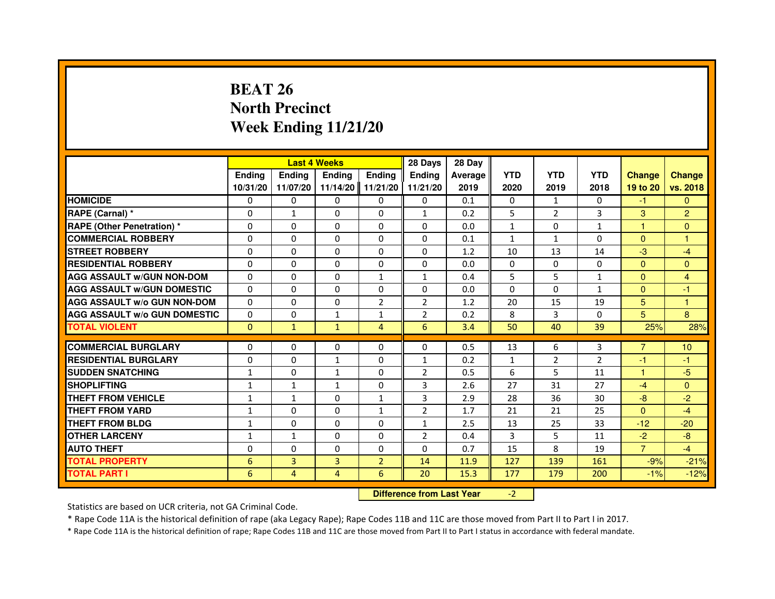# **BEAT 26 North PrecinctWeek Ending 11/21/20**

|                                     |                 |                                  | <b>Last 4 Weeks</b> |                | 28 Days        | 28 Day  |              |                |              |                |                |
|-------------------------------------|-----------------|----------------------------------|---------------------|----------------|----------------|---------|--------------|----------------|--------------|----------------|----------------|
|                                     | <b>Ending</b>   | Ending                           | <b>Ending</b>       | <b>Ending</b>  | <b>Ending</b>  | Average | <b>YTD</b>   | <b>YTD</b>     | <b>YTD</b>   | <b>Change</b>  | <b>Change</b>  |
|                                     | 10/31/20        | 11/07/20                         | 11/14/20            | 11/21/20       | 11/21/20       | 2019    | 2020         | 2019           | 2018         | 19 to 20       | vs. 2018       |
| <b>HOMICIDE</b>                     | 0               | $\Omega$                         | $\Omega$            | 0              | 0              | 0.1     | 0            | $\mathbf{1}$   | $\Omega$     | $-1$           | $\mathbf{0}$   |
| RAPE (Carnal) *                     | 0               | 1                                | 0                   | 0              | $\mathbf{1}$   | 0.2     | 5            | $\overline{2}$ | 3            | 3              | $\overline{2}$ |
| RAPE (Other Penetration) *          | $\Omega$        | 0                                | $\Omega$            | $\Omega$       | $\Omega$       | 0.0     | $\mathbf{1}$ | $\Omega$       | 1            | 1              | $\mathbf{0}$   |
| <b>COMMERCIAL ROBBERY</b>           | $\Omega$        | $\Omega$                         | $\Omega$            | $\Omega$       | $\Omega$       | 0.1     | $\mathbf{1}$ | $\mathbf{1}$   | $\Omega$     | $\Omega$       | $\mathbf{1}$   |
| <b>STREET ROBBERY</b>               | $\Omega$        | $\Omega$                         | $\Omega$            | $\Omega$       | $\Omega$       | 1.2     | 10           | 13             | 14           | $-3$           | $-4$           |
| <b>RESIDENTIAL ROBBERY</b>          | 0               | 0                                | $\Omega$            | 0              | 0              | 0.0     | 0            | 0              | $\Omega$     | $\mathbf{0}$   | $\mathbf{0}$   |
| <b>AGG ASSAULT W/GUN NON-DOM</b>    | $\Omega$        | $\Omega$                         | $\Omega$            | $\mathbf{1}$   | $\mathbf{1}$   | 0.4     | 5            | 5              | $\mathbf{1}$ | $\Omega$       | 4              |
| <b>AGG ASSAULT W/GUN DOMESTIC</b>   | $\Omega$        | $\Omega$                         | $\Omega$            | $\Omega$       | $\Omega$       | 0.0     | $\Omega$     | $\Omega$       | $\mathbf{1}$ | $\Omega$       | $-1$           |
| <b>AGG ASSAULT W/o GUN NON-DOM</b>  | $\Omega$        | $\Omega$                         | $\Omega$            | $\overline{2}$ | 2              | 1.2     | 20           | 15             | 19           | 5              | $\mathbf{1}$   |
| <b>AGG ASSAULT w/o GUN DOMESTIC</b> | $\Omega$        | $\Omega$                         | $\mathbf{1}$        | $\mathbf{1}$   | 2              | 0.2     | 8            | 3              | 0            | 5              | 8              |
| <b>TOTAL VIOLENT</b>                | $\mathbf{0}$    | $\mathbf{1}$                     | $\mathbf{1}$        | $\overline{4}$ | 6              | 3.4     | 50           | 40             | 39           | 25%            | 28%            |
| <b>COMMERCIAL BURGLARY</b>          | 0               | 0                                | 0                   | 0              | 0              | 0.5     | 13           | 6              | 3            | 7              | 10             |
| <b>RESIDENTIAL BURGLARY</b>         | 0               | $\Omega$                         | 1                   | $\Omega$       | 1              | 0.2     | $\mathbf{1}$ | $\overline{2}$ | 2            | $-1$           | $-1$           |
| <b>SUDDEN SNATCHING</b>             | $\mathbf{1}$    | $\Omega$                         | $\mathbf{1}$        | $\Omega$       | $\overline{2}$ | 0.5     | 6            | 5              | 11           | $\mathbf{1}$   | $-5$           |
| <b>SHOPLIFTING</b>                  | 1               | 1                                | $\mathbf{1}$        | 0              | 3              | 2.6     | 27           | 31             | 27           | $-4$           | $\Omega$       |
| THEFT FROM VEHICLE                  | 1               | $\mathbf{1}$                     | 0                   | 1              | 3              | 2.9     | 28           | 36             | 30           | $-8$           | $-2$           |
| <b>THEFT FROM YARD</b>              | $\mathbf{1}$    | $\Omega$                         | $\Omega$            | $\mathbf{1}$   | $\overline{2}$ | 1.7     | 21           | 21             | 25           | $\Omega$       | $-4$           |
| <b>THEFT FROM BLDG</b>              | $\mathbf{1}$    | $\Omega$                         | $\Omega$            | $\Omega$       | $\mathbf{1}$   | 2.5     | 13           | 25             | 33           | $-12$          | $-20$          |
| <b>OTHER LARCENY</b>                | 1               | $\mathbf{1}$                     | 0                   | 0              | $\overline{2}$ | 0.4     | 3            | 5              | 11           | $-2$           | $-8$           |
| <b>AUTO THEFT</b>                   | $\Omega$        | $\Omega$                         | $\Omega$            | $\Omega$       | $\Omega$       | 0.7     | 15           | 8              | 19           | $\overline{7}$ | $-4$           |
| <b>TOTAL PROPERTY</b>               | $6\phantom{1}6$ | 3                                | $\overline{3}$      | $\overline{2}$ | 14             | 11.9    | 127          | 139            | 161          | $-9%$          | $-21%$         |
| <b>TOTAL PART I</b>                 | 6               | $\overline{4}$                   | 4                   | 6              | 20             | 15.3    | 177          | 179            | 200          | $-1%$          | $-12%$         |
|                                     |                 | <b>Difference from Last Year</b> |                     | $-2$           |                |         |              |                |              |                |                |

 **Difference from Last Year**

Statistics are based on UCR criteria, not GA Criminal Code.

\* Rape Code 11A is the historical definition of rape (aka Legacy Rape); Rape Codes 11B and 11C are those moved from Part II to Part I in 2017.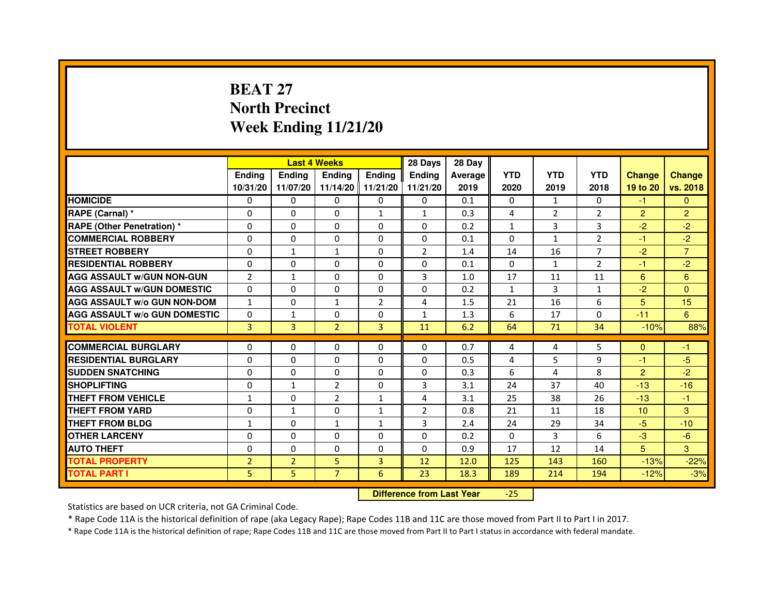# **BEAT 27 North PrecinctWeek Ending 11/21/20**

|                                     |                | <b>Last 4 Weeks</b> |                |                   | 28 Days        | 28 Day  |              |                |                |                 |                |
|-------------------------------------|----------------|---------------------|----------------|-------------------|----------------|---------|--------------|----------------|----------------|-----------------|----------------|
|                                     | <b>Endina</b>  | <b>Endina</b>       | <b>Endina</b>  | Ending            | <b>Endina</b>  | Average | <b>YTD</b>   | <b>YTD</b>     | <b>YTD</b>     | <b>Change</b>   | <b>Change</b>  |
|                                     | 10/31/20       | 11/07/20            |                | 11/14/20 11/21/20 | 11/21/20       | 2019    | 2020         | 2019           | 2018           | 19 to 20        | vs. 2018       |
| <b>HOMICIDE</b>                     | 0              | 0                   | $\mathbf{0}$   | 0                 | 0              | 0.1     | $\mathbf{0}$ | 1              | $\mathbf{0}$   | $-1$            | $\mathbf{0}$   |
| RAPE (Carnal) *                     | $\Omega$       | $\Omega$            | $\Omega$       | $\mathbf{1}$      | $\mathbf{1}$   | 0.3     | 4            | $\overline{2}$ | $\overline{2}$ | $\overline{2}$  | $\overline{2}$ |
| <b>RAPE (Other Penetration) *</b>   | 0              | $\Omega$            | 0              | $\Omega$          | $\Omega$       | 0.2     | $\mathbf{1}$ | 3              | 3              | $-2$            | $-2$           |
| <b>COMMERCIAL ROBBERY</b>           | 0              | 0                   | 0              | 0                 | $\Omega$       | 0.1     | $\Omega$     | $\mathbf{1}$   | 2              | $-1$            | $-2$           |
| <b>STREET ROBBERY</b>               | 0              | 1                   | $\mathbf{1}$   | 0                 | $\overline{2}$ | 1.4     | 14           | 16             | 7              | $-2$            | $\overline{7}$ |
| <b>RESIDENTIAL ROBBERY</b>          | 0              | 0                   | 0              | $\Omega$          | $\Omega$       | 0.1     | $\Omega$     | $\mathbf{1}$   | $\overline{2}$ | $-1$            | $-2$           |
| <b>AGG ASSAULT W/GUN NON-GUN</b>    | $\overline{2}$ | $\mathbf{1}$        | $\Omega$       | $\mathbf{0}$      | 3              | 1.0     | 17           | 11             | 11             | 6               | $6\phantom{1}$ |
| <b>AGG ASSAULT W/GUN DOMESTIC</b>   | 0              | 0                   | 0              | 0                 | $\Omega$       | 0.2     | $\mathbf{1}$ | 3              | $\mathbf{1}$   | $-2$            | $\Omega$       |
| <b>AGG ASSAULT W/o GUN NON-DOM</b>  | $\mathbf{1}$   | 0                   | 1              | $\overline{2}$    | 4              | 1.5     | 21           | 16             | 6              | 5               | 15             |
| <b>AGG ASSAULT W/o GUN DOMESTIC</b> | $\Omega$       | $\mathbf{1}$        | 0              | 0                 | $\mathbf{1}$   | 1.3     | 6            | 17             | 0              | $-11$           | 6              |
| <b>TOTAL VIOLENT</b>                | 3              | 3                   | $\overline{2}$ | $\overline{3}$    | 11             | 6.2     | 64           | 71             | 34             | $-10%$          | 88%            |
|                                     |                |                     |                |                   |                |         |              |                |                |                 |                |
| <b>COMMERCIAL BURGLARY</b>          | 0              | 0                   | 0              | 0                 | $\Omega$       | 0.7     | 4            | 4              | 5              | $\mathbf{0}$    | -1             |
| <b>RESIDENTIAL BURGLARY</b>         | 0              | $\Omega$            | 0              | $\Omega$          | $\Omega$       | 0.5     | 4            | 5              | 9              | $-1$            | $-5$           |
| <b>SUDDEN SNATCHING</b>             | 0              | 0                   | 0              | 0                 | $\Omega$       | 0.3     | 6            | $\overline{a}$ | 8              | $\overline{2}$  | $-2$           |
| <b>SHOPLIFTING</b>                  | 0              | $\mathbf{1}$        | $\overline{2}$ | $\Omega$          | 3              | 3.1     | 24           | 37             | 40             | $-13$           | $-16$          |
| <b>THEFT FROM VEHICLE</b>           | $\mathbf{1}$   | $\Omega$            | $\overline{2}$ | $\mathbf{1}$      | 4              | 3.1     | 25           | 38             | 26             | $-13$           | $-1$           |
| <b>THEFT FROM YARD</b>              | 0              | $\mathbf{1}$        | $\Omega$       | $\mathbf{1}$      | $\overline{2}$ | 0.8     | 21           | 11             | 18             | 10 <sup>1</sup> | 3              |
| <b>THEFT FROM BLDG</b>              | 1              | 0                   | 1              | 1                 | 3              | 2.4     | 24           | 29             | 34             | $-5$            | $-10$          |
| <b>OTHER LARCENY</b>                | 0              | 0                   | $\Omega$       | $\Omega$          | $\Omega$       | 0.2     | $\Omega$     | 3              | 6              | $-3$            | $-6$           |
| <b>AUTO THEFT</b>                   | $\mathbf 0$    | 0                   | $\Omega$       | $\Omega$          | $\Omega$       | 0.9     | 17           | 12             | 14             | 5               | 3              |
| <b>TOTAL PROPERTY</b>               | $\overline{2}$ | $\overline{2}$      | 5              | 3                 | 12             | 12.0    | 125          | 143            | 160            | $-13%$          | $-22%$         |
| <b>TOTAL PART I</b>                 | 5              | 5                   | $\overline{7}$ | 6                 | 23             | 18.3    | 189          | 214            | 194            | $-12%$          | $-3%$          |

 **Difference from Last Year**-25

Statistics are based on UCR criteria, not GA Criminal Code.

\* Rape Code 11A is the historical definition of rape (aka Legacy Rape); Rape Codes 11B and 11C are those moved from Part II to Part I in 2017.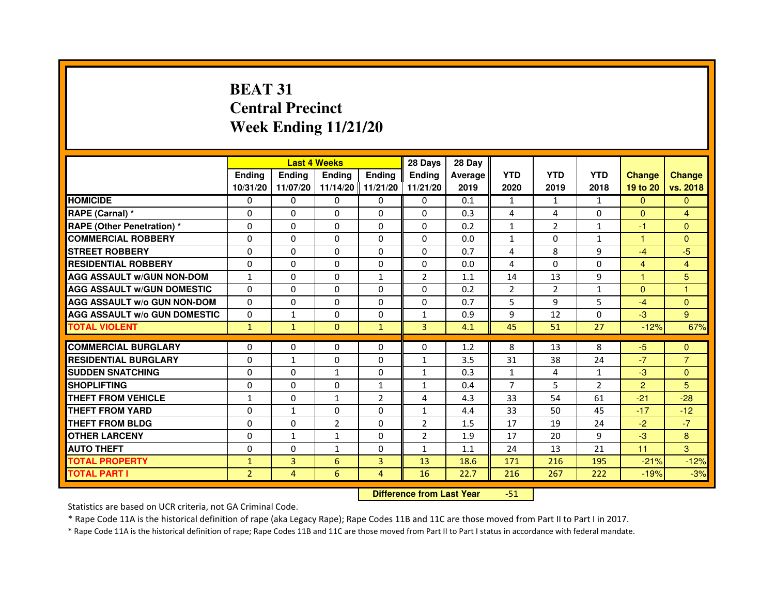# **BEAT 31 Central PrecinctWeek Ending 11/21/20**

|                                     |                | <b>Last 4 Weeks</b> |                   |                | 28 Days        | 28 Day  |                |                |                |                |                |
|-------------------------------------|----------------|---------------------|-------------------|----------------|----------------|---------|----------------|----------------|----------------|----------------|----------------|
|                                     | <b>Endina</b>  | <b>Ending</b>       | <b>Ending</b>     | <b>Endina</b>  | <b>Endina</b>  | Average | <b>YTD</b>     | <b>YTD</b>     | <b>YTD</b>     | <b>Change</b>  | <b>Change</b>  |
|                                     | 10/31/20       | 11/07/20            | 11/14/20 11/21/20 |                | 11/21/20       | 2019    | 2020           | 2019           | 2018           | 19 to 20       | vs. 2018       |
| <b>HOMICIDE</b>                     | 0              | 0                   | 0                 | 0              | 0              | 0.1     | $\mathbf{1}$   | $\mathbf{1}$   | $\mathbf{1}$   | $\mathbf{0}$   | $\mathbf{0}$   |
| RAPE (Carnal) *                     | $\Omega$       | $\Omega$            | $\Omega$          | $\Omega$       | $\Omega$       | 0.3     | 4              | 4              | $\Omega$       | $\Omega$       | $\overline{4}$ |
| <b>RAPE (Other Penetration) *</b>   | $\Omega$       | $\Omega$            | $\Omega$          | $\Omega$       | $\Omega$       | 0.2     | $\mathbf{1}$   | $\overline{2}$ | $\mathbf{1}$   | $-1$           | $\Omega$       |
| <b>COMMERCIAL ROBBERY</b>           | 0              | 0                   | $\Omega$          | 0              | $\Omega$       | 0.0     | $\mathbf{1}$   | $\Omega$       | $\mathbf{1}$   | 1              | $\Omega$       |
| <b>STREET ROBBERY</b>               | $\Omega$       | 0                   | $\Omega$          | 0              | 0              | 0.7     | 4              | 8              | 9              | $-4$           | $-5$           |
| <b>RESIDENTIAL ROBBERY</b>          | $\Omega$       | $\Omega$            | $\Omega$          | 0              | 0              | 0.0     | 4              | $\Omega$       | $\Omega$       | $\overline{4}$ | $\overline{4}$ |
| <b>AGG ASSAULT w/GUN NON-DOM</b>    | $\mathbf{1}$   | 0                   | $\Omega$          | $\mathbf{1}$   | $\overline{2}$ | 1.1     | 14             | 13             | 9              | $\mathbf{1}$   | 5              |
| <b>AGG ASSAULT W/GUN DOMESTIC</b>   | $\Omega$       | 0                   | 0                 | 0              | 0              | 0.2     | $\overline{2}$ | $\overline{2}$ | $\mathbf{1}$   | $\mathbf{0}$   | 1              |
| <b>AGG ASSAULT W/o GUN NON-DOM</b>  | $\Omega$       | $\Omega$            | $\Omega$          | $\Omega$       | $\Omega$       | 0.7     | 5              | 9              | 5              | $-4$           | $\Omega$       |
| <b>AGG ASSAULT W/o GUN DOMESTIC</b> | $\Omega$       | 1                   | $\Omega$          | 0              | 1              | 0.9     | 9              | 12             | $\Omega$       | $-3$           | 9              |
| <b>TOTAL VIOLENT</b>                | $\mathbf{1}$   | $\mathbf{1}$        | $\Omega$          | $\mathbf{1}$   | $\overline{3}$ | 4.1     | 45             | 51             | 27             | $-12%$         | 67%            |
|                                     |                |                     |                   |                |                |         |                |                |                |                |                |
| <b>COMMERCIAL BURGLARY</b>          | $\Omega$       | $\Omega$            | $\Omega$          | $\Omega$       | $\Omega$       | 1.2     | 8              | 13             | 8              | $-5$           | $\Omega$       |
| <b>RESIDENTIAL BURGLARY</b>         | $\Omega$       | 1                   | $\Omega$          | 0              | 1              | 3.5     | 31             | 38             | 24             | $-7$           | $\overline{7}$ |
| <b>SUDDEN SNATCHING</b>             | $\Omega$       | $\Omega$            | 1                 | 0              | 1              | 0.3     | $\mathbf{1}$   | 4              | $\mathbf{1}$   | $-3$           | $\Omega$       |
| <b>SHOPLIFTING</b>                  | 0              | $\mathbf 0$         | 0                 | $\mathbf{1}$   | 1              | 0.4     | $\overline{7}$ | 5              | $\overline{2}$ | $\overline{2}$ | 5              |
| <b>THEFT FROM VEHICLE</b>           | $\mathbf{1}$   | $\Omega$            | $\mathbf{1}$      | $\overline{2}$ | 4              | 4.3     | 33             | 54             | 61             | $-21$          | $-28$          |
| <b>THEFT FROM YARD</b>              | 0              | $\mathbf{1}$        | $\Omega$          | $\Omega$       | 1              | 4.4     | 33             | 50             | 45             | $-17$          | $-12$          |
| <b>THEFT FROM BLDG</b>              | $\Omega$       | $\Omega$            | $\overline{2}$    | 0              | $\overline{2}$ | 1.5     | 17             | 19             | 24             | $-2$           | $-7$           |
| <b>OTHER LARCENY</b>                | $\Omega$       | $\mathbf{1}$        | 1                 | 0              | $\overline{2}$ | 1.9     | 17             | 20             | 9              | $-3$           | 8              |
| <b>AUTO THEFT</b>                   | $\mathbf 0$    | $\mathbf 0$         | 1                 | 0              | $\mathbf{1}$   | 1.1     | 24             | 13             | 21             | 11             | 3              |
| <b>TOTAL PROPERTY</b>               | $\mathbf{1}$   | 3                   | 6                 | 3              | 13             | 18.6    | 171            | 216            | 195            | $-21%$         | $-12%$         |
| <b>TOTAL PART I</b>                 | $\overline{2}$ | 4                   | 6                 | $\overline{4}$ | 16             | 22.7    | 216            | 267            | 222            | $-19%$         | $-3%$          |

 **Difference from Last Year**-51

Statistics are based on UCR criteria, not GA Criminal Code.

\* Rape Code 11A is the historical definition of rape (aka Legacy Rape); Rape Codes 11B and 11C are those moved from Part II to Part I in 2017.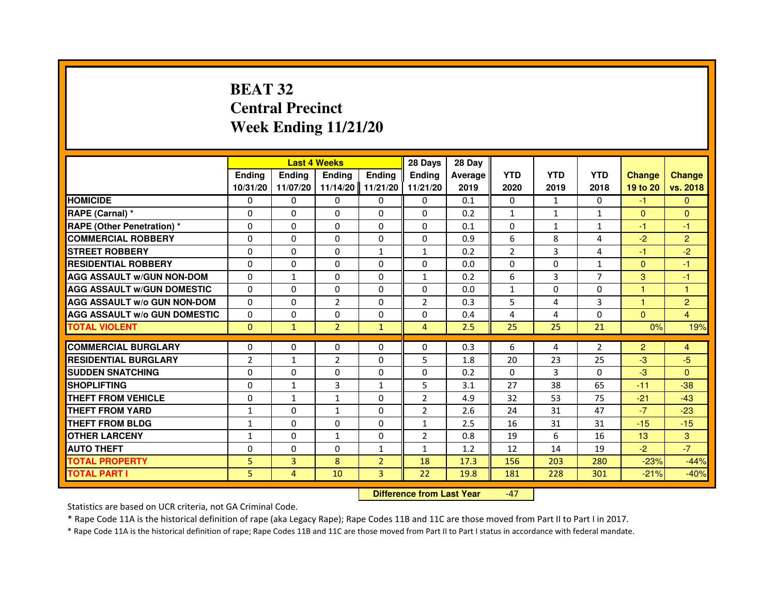## **BEAT 32 Central PrecinctWeek Ending 11/21/20**

|                                     |                | <b>Last 4 Weeks</b>              |                |                | 28 Days        | 28 Day  |                |              |                |                |                |
|-------------------------------------|----------------|----------------------------------|----------------|----------------|----------------|---------|----------------|--------------|----------------|----------------|----------------|
|                                     | <b>Ending</b>  | Ending                           | <b>Ending</b>  | <b>Ending</b>  | <b>Endina</b>  | Average | <b>YTD</b>     | <b>YTD</b>   | <b>YTD</b>     | <b>Change</b>  | <b>Change</b>  |
|                                     | 10/31/20       | 11/07/20                         | 11/14/20       | 11/21/20       | 11/21/20       | 2019    | 2020           | 2019         | 2018           | 19 to 20       | vs. 2018       |
| <b>HOMICIDE</b>                     | $\mathbf{0}$   | $\Omega$                         | $\mathbf{0}$   | 0              | $\mathbf{0}$   | 0.1     | $\mathbf{0}$   | $\mathbf{1}$ | 0              | $-1$           | $\mathbf{0}$   |
| RAPE (Carnal) *                     | 0              | 0                                | 0              | 0              | 0              | 0.2     | 1              | 1            | $\mathbf{1}$   | $\mathbf{0}$   | $\mathbf{0}$   |
| RAPE (Other Penetration) *          | $\Omega$       | $\Omega$                         | 0              | $\Omega$       | $\Omega$       | 0.1     | $\Omega$       | 1            | $\mathbf{1}$   | $-1$           | -1             |
| <b>COMMERCIAL ROBBERY</b>           | 0              | $\Omega$                         | $\Omega$       | 0              | 0              | 0.9     | 6              | 8            | 4              | $-2$           | $\overline{2}$ |
| <b>STREET ROBBERY</b>               | $\Omega$       | $\Omega$                         | $\Omega$       | $\mathbf{1}$   | $\mathbf{1}$   | 0.2     | $\overline{2}$ | 3            | 4              | $-1$           | $-2$           |
| <b>RESIDENTIAL ROBBERY</b>          | 0              | 0                                | 0              | 0              | $\Omega$       | 0.0     | 0              | $\Omega$     | $\mathbf{1}$   | $\Omega$       | $-1$           |
| <b>AGG ASSAULT W/GUN NON-DOM</b>    | $\Omega$       | $\mathbf{1}$                     | 0              | $\Omega$       | $\mathbf{1}$   | 0.2     | 6              | 3            | $\overline{7}$ | 3              | -1             |
| <b>AGG ASSAULT W/GUN DOMESTIC</b>   | $\Omega$       | $\Omega$                         | 0              | $\Omega$       | $\Omega$       | 0.0     | $\mathbf{1}$   | $\Omega$     | $\Omega$       | $\mathbf{1}$   | $\mathbf{1}$   |
| <b>AGG ASSAULT W/o GUN NON-DOM</b>  | $\Omega$       | $\Omega$                         | $\overline{2}$ | $\Omega$       | $\overline{2}$ | 0.3     | 5              | 4            | 3              | $\mathbf{1}$   | $\overline{2}$ |
| <b>AGG ASSAULT W/o GUN DOMESTIC</b> | 0              | 0                                | 0              | $\Omega$       | $\Omega$       | 0.4     | 4              | 4            | 0              | $\mathbf{0}$   | 4              |
| <b>TOTAL VIOLENT</b>                | $\mathbf{0}$   | $\mathbf{1}$                     | $\overline{2}$ | $\mathbf{1}$   | $\overline{4}$ | 2.5     | 25             | 25           | 21             | 0%             | 19%            |
| <b>COMMERCIAL BURGLARY</b>          | 0              | 0                                | 0              | 0              | 0              | 0.3     | 6              | 4            | $\overline{2}$ | $\overline{2}$ | 4              |
| <b>RESIDENTIAL BURGLARY</b>         | $\overline{2}$ | $\mathbf{1}$                     | $\overline{2}$ | $\Omega$       | 5              | 1.8     | 20             | 23           | 25             | $-3$           | $-5$           |
| <b>SUDDEN SNATCHING</b>             | 0              | $\Omega$                         | $\Omega$       | $\Omega$       | $\Omega$       | 0.2     | $\Omega$       | 3            | $\Omega$       | $-3$           | $\Omega$       |
| <b>SHOPLIFTING</b>                  | 0              | $\mathbf{1}$                     | 3              | $\mathbf{1}$   | 5              | 3.1     | 27             | 38           | 65             | $-11$          | $-38$          |
| THEFT FROM VEHICLE                  | 0              | $\mathbf{1}$                     | $\mathbf{1}$   | $\Omega$       | $\overline{2}$ | 4.9     | 32             | 53           | 75             | $-21$          | $-43$          |
| <b>THEFT FROM YARD</b>              | 1              | $\Omega$                         | 1              | $\Omega$       | $\overline{2}$ | 2.6     | 24             | 31           | 47             | $-7$           | $-23$          |
| <b>THEFT FROM BLDG</b>              | $\mathbf{1}$   | $\Omega$                         | $\Omega$       | $\Omega$       | $\mathbf{1}$   | 2.5     | 16             | 31           | 31             | $-15$          | $-15$          |
| <b>OTHER LARCENY</b>                | 1              | $\Omega$                         | $\mathbf{1}$   | $\Omega$       | $\overline{2}$ | 0.8     | 19             | 6            | 16             | 13             | 3              |
| <b>AUTO THEFT</b>                   | $\Omega$       | $\Omega$                         | $\Omega$       | $\mathbf{1}$   | $\mathbf{1}$   | 1.2     | 12             | 14           | 19             | $-2$           | $-7$           |
| <b>TOTAL PROPERTY</b>               | 5              | 3                                | 8              | $\overline{2}$ | 18             | 17.3    | 156            | 203          | 280            | $-23%$         | $-44%$         |
| <b>TOTAL PART I</b>                 | 5              | 4                                | 10             | 3              | 22             | 19.8    | 181            | 228          | 301            | $-21%$         | $-40%$         |
|                                     |                | <b>Difference from Last Year</b> |                | $-47$          |                |         |                |              |                |                |                |

 **Difference from Last Year**

Statistics are based on UCR criteria, not GA Criminal Code.

\* Rape Code 11A is the historical definition of rape (aka Legacy Rape); Rape Codes 11B and 11C are those moved from Part II to Part I in 2017.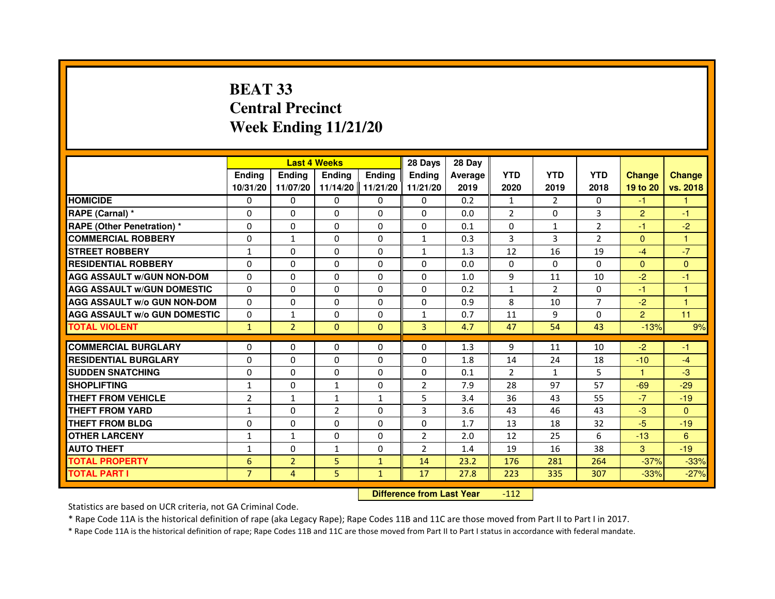# **BEAT 33 Central PrecinctWeek Ending 11/21/20**

|                                     |                | <b>Last 4 Weeks</b> |                |                   | 28 Days        | 28 Day  |                |                |                |                |                |
|-------------------------------------|----------------|---------------------|----------------|-------------------|----------------|---------|----------------|----------------|----------------|----------------|----------------|
|                                     | <b>Endina</b>  | <b>Endina</b>       | <b>Endina</b>  | <b>Endina</b>     | <b>Endina</b>  | Average | <b>YTD</b>     | <b>YTD</b>     | <b>YTD</b>     | <b>Change</b>  | <b>Change</b>  |
|                                     | 10/31/20       | 11/07/20            |                | 11/14/20 11/21/20 | 11/21/20       | 2019    | 2020           | 2019           | 2018           | 19 to 20       | vs. 2018       |
| <b>HOMICIDE</b>                     | 0              | 0                   | 0              | 0                 | 0              | 0.2     | $\mathbf{1}$   | $\overline{2}$ | 0              | $-1$           | $\mathbf{1}$   |
| RAPE (Carnal) *                     | $\mathbf 0$    | $\Omega$            | $\Omega$       | $\Omega$          | $\Omega$       | 0.0     | $\overline{2}$ | $\Omega$       | 3              | $\overline{2}$ | $-1$           |
| <b>RAPE (Other Penetration)*</b>    | $\Omega$       | $\Omega$            | $\Omega$       | $\Omega$          | $\Omega$       | 0.1     | $\Omega$       | $\mathbf{1}$   | 2              | $-1$           | $-2$           |
| <b>COMMERCIAL ROBBERY</b>           | 0              | $\mathbf{1}$        | 0              | 0                 | $\mathbf{1}$   | 0.3     | 3              | 3              | $\overline{2}$ | $\Omega$       | 1              |
| <b>STREET ROBBERY</b>               | $\mathbf{1}$   | 0                   | 0              | 0                 | $\mathbf{1}$   | 1.3     | 12             | 16             | 19             | $-4$           | $-7$           |
| <b>RESIDENTIAL ROBBERY</b>          | $\Omega$       | $\Omega$            | $\Omega$       | $\Omega$          | $\Omega$       | 0.0     | $\Omega$       | $\Omega$       | $\Omega$       | $\Omega$       | $\Omega$       |
| <b>AGG ASSAULT W/GUN NON-DOM</b>    | $\Omega$       | $\Omega$            | $\Omega$       | $\mathbf{0}$      | $\Omega$       | 1.0     | 9              | 11             | 10             | $-2$           | $-1$           |
| <b>AGG ASSAULT w/GUN DOMESTIC</b>   | $\Omega$       | $\Omega$            | $\Omega$       | 0                 | $\Omega$       | 0.2     | $\mathbf{1}$   | $\mathcal{P}$  | $\Omega$       | $-1$           | $\mathbf{1}$   |
| <b>AGG ASSAULT W/o GUN NON-DOM</b>  | $\Omega$       | $\Omega$            | $\Omega$       | 0                 | $\Omega$       | 0.9     | 8              | 10             | $\overline{7}$ | $-2$           | $\overline{1}$ |
| <b>AGG ASSAULT W/o GUN DOMESTIC</b> | $\Omega$       | $\mathbf{1}$        | 0              | $\Omega$          | $\mathbf{1}$   | 0.7     | 11             | 9              | $\Omega$       | $\overline{2}$ | 11             |
| <b>TOTAL VIOLENT</b>                | $\mathbf{1}$   | $\overline{2}$      | $\mathbf{0}$   | $\Omega$          | 3              | 4.7     | 47             | 54             | 43             | $-13%$         | 9%             |
|                                     |                |                     |                |                   |                |         |                |                |                |                |                |
| <b>COMMERCIAL BURGLARY</b>          | 0              | 0                   | $\Omega$       | 0                 | $\Omega$       | 1.3     | 9              | 11             | 10             | $-2$           | -1             |
| <b>RESIDENTIAL BURGLARY</b>         | $\Omega$       | 0                   | 0              | $\Omega$          | 0              | 1.8     | 14             | 24             | 18             | $-10$          | $-4$           |
| <b>SUDDEN SNATCHING</b>             | $\Omega$       | $\Omega$            | $\Omega$       | $\Omega$          | $\Omega$       | 0.1     | $\overline{2}$ | $\mathbf{1}$   | 5              | 1              | $-3$           |
| <b>SHOPLIFTING</b>                  | $\mathbf{1}$   | $\Omega$            | $\mathbf{1}$   | $\mathbf{0}$      | $\overline{2}$ | 7.9     | 28             | 97             | 57             | $-69$          | $-29$          |
| <b>THEFT FROM VEHICLE</b>           | $\overline{2}$ | $\mathbf{1}$        | $\mathbf{1}$   | $\mathbf{1}$      | 5              | 3.4     | 36             | 43             | 55             | $-7$           | $-19$          |
| <b>THEFT FROM YARD</b>              | $\mathbf{1}$   | 0                   | $\overline{2}$ | 0                 | 3              | 3.6     | 43             | 46             | 43             | $-3$           | $\Omega$       |
| <b>THEFT FROM BLDG</b>              | 0              | 0                   | 0              | $\mathbf{0}$      | $\Omega$       | 1.7     | 13             | 18             | 32             | $-5$           | $-19$          |
| <b>OTHER LARCENY</b>                | $\mathbf{1}$   | $\mathbf{1}$        | $\Omega$       | $\Omega$          | $\overline{2}$ | 2.0     | 12             | 25             | 6              | $-13$          | 6              |
| <b>AUTO THEFT</b>                   | 1              | 0                   | $\mathbf{1}$   | $\mathbf{0}$      | $\overline{2}$ | 1.4     | 19             | 16             | 38             | 3              | $-19$          |
| <b>TOTAL PROPERTY</b>               | 6              | $\overline{2}$      | 5              | $\mathbf{1}$      | 14             | 23.2    | 176            | 281            | 264            | $-37%$         | $-33%$         |
| <b>TOTAL PART I</b>                 | $\overline{7}$ | 4                   | 5.             | $\mathbf{1}$      | 17             | 27.8    | 223            | 335            | 307            | $-33%$         | $-27%$         |

 **Difference from Last Year**-112

Statistics are based on UCR criteria, not GA Criminal Code.

\* Rape Code 11A is the historical definition of rape (aka Legacy Rape); Rape Codes 11B and 11C are those moved from Part II to Part I in 2017.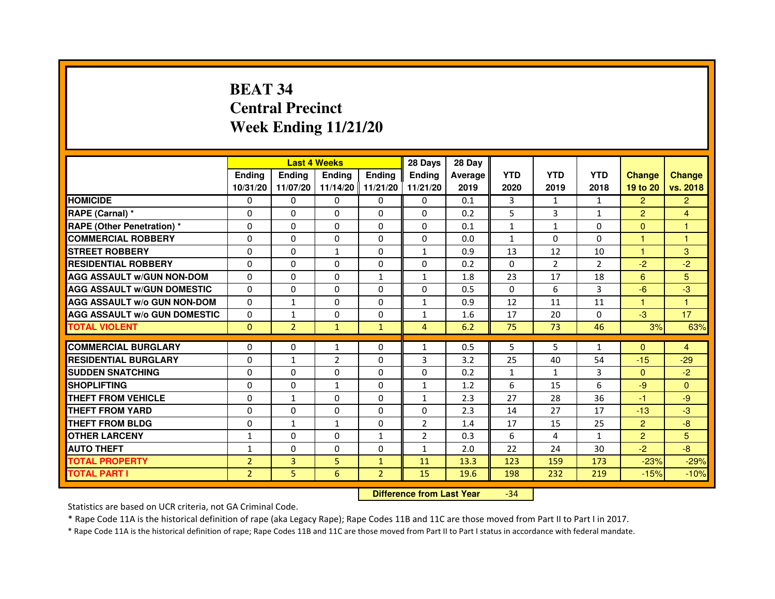# **BEAT 34 Central PrecinctWeek Ending 11/21/20**

|                                     |                | <b>Last 4 Weeks</b> |                   |                | 28 Days        | 28 Day  |              |                |                |                |                |
|-------------------------------------|----------------|---------------------|-------------------|----------------|----------------|---------|--------------|----------------|----------------|----------------|----------------|
|                                     | <b>Endina</b>  | <b>Ending</b>       | <b>Endina</b>     | <b>Endina</b>  | <b>Endina</b>  | Average | <b>YTD</b>   | <b>YTD</b>     | <b>YTD</b>     | <b>Change</b>  | <b>Change</b>  |
|                                     | 10/31/20       | 11/07/20            | 11/14/20 11/21/20 |                | 11/21/20       | 2019    | 2020         | 2019           | 2018           | 19 to 20       | vs. 2018       |
| <b>HOMICIDE</b>                     | 0              | 0                   | 0                 | 0              | 0              | 0.1     | 3            | $\mathbf{1}$   | $\mathbf{1}$   | $\overline{2}$ | $\overline{2}$ |
| RAPE (Carnal) *                     | $\Omega$       | $\Omega$            | $\Omega$          | $\Omega$       | $\Omega$       | 0.2     | 5            | 3              | $\mathbf{1}$   | $\overline{2}$ | $\overline{4}$ |
| <b>RAPE (Other Penetration) *</b>   | $\Omega$       | $\Omega$            | $\Omega$          | $\Omega$       | $\Omega$       | 0.1     | $\mathbf{1}$ | $\mathbf{1}$   | $\Omega$       | $\Omega$       | $\mathbf{1}$   |
| <b>COMMERCIAL ROBBERY</b>           | 0              | $\Omega$            | 0                 | 0              | 0              | 0.0     | $\mathbf{1}$ | 0              | $\Omega$       | 1              | 1              |
| <b>STREET ROBBERY</b>               | $\Omega$       | $\Omega$            | $\mathbf{1}$      | 0              | $\mathbf{1}$   | 0.9     | 13           | 12             | 10             | $\mathbf{1}$   | 3              |
| <b>RESIDENTIAL ROBBERY</b>          | $\Omega$       | $\Omega$            | $\Omega$          | 0              | 0              | 0.2     | $\Omega$     | $\overline{2}$ | $\overline{2}$ | $-2$           | $-2$           |
| <b>AGG ASSAULT w/GUN NON-DOM</b>    | $\Omega$       | $\Omega$            | $\Omega$          | $\mathbf{1}$   | $\mathbf{1}$   | 1.8     | 23           | 17             | 18             | 6              | 5              |
| <b>AGG ASSAULT W/GUN DOMESTIC</b>   | $\Omega$       | $\Omega$            | $\Omega$          | $\Omega$       | $\Omega$       | 0.5     | $\Omega$     | 6              | 3              | $-6$           | $-3$           |
| <b>AGG ASSAULT W/o GUN NON-DOM</b>  | 0              | $\mathbf{1}$        | $\Omega$          | 0              | 1              | 0.9     | 12           | 11             | 11             | 1              | 1              |
| <b>AGG ASSAULT W/o GUN DOMESTIC</b> | 0              | 1                   | 0                 | 0              | $\mathbf{1}$   | 1.6     | 17           | 20             | 0              | $-3$           | 17             |
| <b>TOTAL VIOLENT</b>                | $\Omega$       | $\overline{2}$      | $\mathbf{1}$      | $\mathbf{1}$   | $\overline{4}$ | 6.2     | 75           | 73             | 46             | 3%             | 63%            |
|                                     |                |                     |                   |                |                |         |              |                |                |                |                |
| <b>COMMERCIAL BURGLARY</b>          | 0              | 0                   | $\mathbf{1}$      | 0              | 1              | 0.5     | 5            | 5              | $\mathbf{1}$   | $\Omega$       | $\overline{4}$ |
| <b>RESIDENTIAL BURGLARY</b>         | $\Omega$       | $\mathbf{1}$        | $\overline{2}$    | 0              | 3              | 3.2     | 25           | 40             | 54             | $-15$          | $-29$          |
| <b>SUDDEN SNATCHING</b>             | $\Omega$       | $\Omega$            | $\Omega$          | $\Omega$       | $\Omega$       | 0.2     | $\mathbf{1}$ | $\mathbf{1}$   | 3              | $\Omega$       | $-2$           |
| <b>SHOPLIFTING</b>                  | $\Omega$       | $\Omega$            | $\mathbf{1}$      | $\Omega$       | $\mathbf{1}$   | 1.2     | 6            | 15             | 6              | $-9$           | $\Omega$       |
| <b>THEFT FROM VEHICLE</b>           | 0              | $\mathbf{1}$        | 0                 | 0              | $\mathbf{1}$   | 2.3     | 27           | 28             | 36             | $-1$           | -9             |
| <b>THEFT FROM YARD</b>              | $\Omega$       | $\Omega$            | $\Omega$          | $\Omega$       | $\Omega$       | 2.3     | 14           | 27             | 17             | $-13$          | $-3$           |
| <b>THEFT FROM BLDG</b>              | $\Omega$       | 1                   | 1                 | 0              | $\overline{2}$ | 1.4     | 17           | 15             | 25             | $\overline{2}$ | $-8$           |
| <b>OTHER LARCENY</b>                | 1              | $\Omega$            | 0                 | $\mathbf{1}$   | $\overline{2}$ | 0.3     | 6            | 4              | 1              | $\overline{2}$ | 5              |
| <b>AUTO THEFT</b>                   | 1              | $\mathbf 0$         | 0                 | 0              | $\mathbf{1}$   | 2.0     | 22           | 24             | 30             | $-2$           | -8             |
| <b>TOTAL PROPERTY</b>               | $\overline{2}$ | $\overline{3}$      | 5                 | $\mathbf{1}$   | 11             | 13.3    | 123          | 159            | 173            | $-23%$         | $-29%$         |
| <b>TOTAL PART I</b>                 | $\overline{2}$ | 5                   | 6                 | $\overline{2}$ | 15             | 19.6    | 198          | 232            | 219            | $-15%$         | $-10%$         |

 **Difference from Last Year**-34

Statistics are based on UCR criteria, not GA Criminal Code.

\* Rape Code 11A is the historical definition of rape (aka Legacy Rape); Rape Codes 11B and 11C are those moved from Part II to Part I in 2017.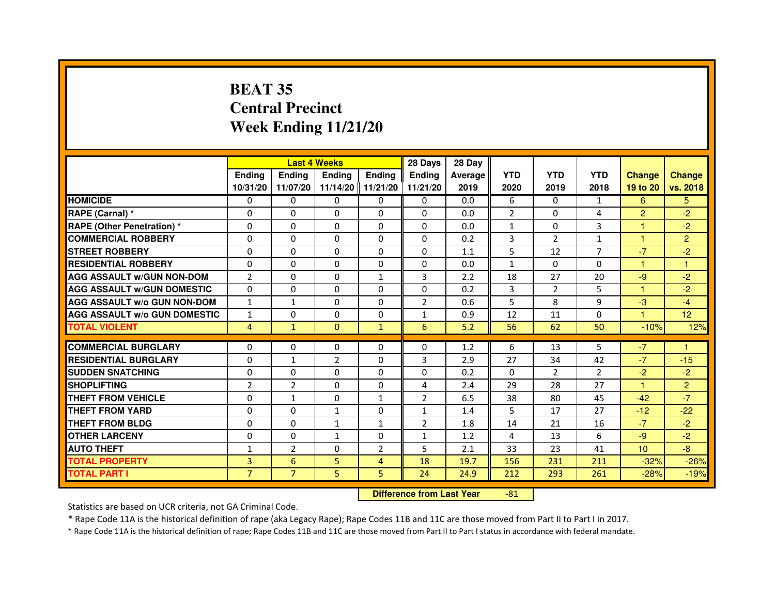# **BEAT 35 Central PrecinctWeek Ending 11/21/20**

|                                     |                | <b>Last 4 Weeks</b> |                |                     | 28 Days        | 28 Day  |              |                |                |                |                |
|-------------------------------------|----------------|---------------------|----------------|---------------------|----------------|---------|--------------|----------------|----------------|----------------|----------------|
|                                     | <b>Endina</b>  | <b>Endina</b>       | <b>Endina</b>  | <b>Ending</b>       | <b>Endina</b>  | Average | <b>YTD</b>   | <b>YTD</b>     | <b>YTD</b>     | <b>Change</b>  | <b>Change</b>  |
|                                     | 10/31/20       | 11/07/20            |                | $11/14/20$ 11/21/20 | 11/21/20       | 2019    | 2020         | 2019           | 2018           | 19 to 20       | vs. 2018       |
| <b>HOMICIDE</b>                     | 0              | 0                   | $\mathbf{0}$   | 0                   | 0              | 0.0     | 6            | 0              | 1              | 6              | 5.             |
| RAPE (Carnal) *                     | $\Omega$       | $\Omega$            | $\Omega$       | $\mathbf{0}$        | $\Omega$       | 0.0     | 2            | $\Omega$       | 4              | $\overline{2}$ | $-2$           |
| RAPE (Other Penetration) *          | 0              | $\Omega$            | 0              | $\Omega$            | $\Omega$       | 0.0     | $\mathbf{1}$ | 0              | 3              | 1              | $-2$           |
| <b>COMMERCIAL ROBBERY</b>           | 0              | 0                   | 0              | 0                   | $\Omega$       | 0.2     | 3            | $\overline{2}$ | $\mathbf{1}$   | 1              | $\overline{2}$ |
| <b>STREET ROBBERY</b>               | 0              | 0                   | 0              | 0                   | 0              | 1.1     | 5            | 12             | 7              | $-7$           | $-2$           |
| <b>RESIDENTIAL ROBBERY</b>          | 0              | $\Omega$            | 0              | 0                   | $\Omega$       | 0.0     | $\mathbf{1}$ | $\Omega$       | $\Omega$       | $\mathbf{1}$   | $\mathbf{1}$   |
| <b>AGG ASSAULT W/GUN NON-DOM</b>    | $\overline{2}$ | $\mathbf{0}$        | $\Omega$       | 1                   | 3              | 2.2     | 18           | 27             | 20             | $-9$           | $-2$           |
| <b>AGG ASSAULT W/GUN DOMESTIC</b>   | $\Omega$       | 0                   | $\Omega$       | 0                   | $\Omega$       | 0.2     | 3            | 2              | 5              | 1              | $-2$           |
| <b>AGG ASSAULT W/o GUN NON-DOM</b>  | $\mathbf{1}$   | $\mathbf{1}$        | $\Omega$       | $\Omega$            | $\overline{2}$ | 0.6     | 5            | 8              | 9              | $-3$           | $-4$           |
| <b>AGG ASSAULT W/o GUN DOMESTIC</b> | $\mathbf{1}$   | $\Omega$            | 0              | $\Omega$            | 1              | 0.9     | 12           | 11             | $\Omega$       | 1.             | 12             |
| <b>TOTAL VIOLENT</b>                | 4              | $\mathbf{1}$        | $\Omega$       | $\mathbf{1}$        | 6              | 5.2     | 56           | 62             | 50             | $-10%$         | 12%            |
|                                     |                |                     |                |                     |                |         |              |                |                |                |                |
| <b>COMMERCIAL BURGLARY</b>          | 0              | 0                   | $\Omega$       | 0                   | $\Omega$       | 1.2     | 6            | 13             | 5              | $-7$           | 1              |
| <b>RESIDENTIAL BURGLARY</b>         | 0              | $\mathbf{1}$        | $\overline{2}$ | $\Omega$            | 3              | 2.9     | 27           | 34             | 42             | $-7$           | $-15$          |
| <b>SUDDEN SNATCHING</b>             | 0              | 0                   | 0              | 0                   | 0              | 0.2     | $\Omega$     | $\mathcal{P}$  | $\mathfrak{p}$ | $-2$           | $-2$           |
| <b>SHOPLIFTING</b>                  | $\overline{2}$ | $\overline{2}$      | $\Omega$       | 0                   | 4              | 2.4     | 29           | 28             | 27             | $\mathbf{1}$   | $\overline{2}$ |
| <b>THEFT FROM VEHICLE</b>           | 0              | 1                   | $\Omega$       | $\mathbf{1}$        | $\overline{2}$ | 6.5     | 38           | 80             | 45             | $-42$          | $-7$           |
| <b>THEFT FROM YARD</b>              | $\Omega$       | 0                   | $\mathbf{1}$   | $\Omega$            | $\mathbf{1}$   | 1.4     | 5            | 17             | 27             | $-12$          | $-22$          |
| THEFT FROM BLDG                     | 0              | 0                   | 1              | 1                   | $\overline{2}$ | 1.8     | 14           | 21             | 16             | $-7$           | $-2$           |
| <b>OTHER LARCENY</b>                | 0              | 0                   | 1              | 0                   | 1              | 1.2     | 4            | 13             | 6              | $-9$           | $-2$           |
| <b>AUTO THEFT</b>                   | $\mathbf{1}$   | $\overline{2}$      | 0              | $\overline{2}$      | 5              | 2.1     | 33           | 23             | 41             | 10             | $-8$           |
| <b>TOTAL PROPERTY</b>               | 3              | 6                   | 5              | 4                   | 18             | 19.7    | 156          | 231            | 211            | $-32%$         | $-26%$         |
| <b>TOTAL PART I</b>                 | $\overline{7}$ | $\overline{7}$      | 5              | 5                   | 24             | 24.9    | 212          | 293            | 261            | $-28%$         | $-19%$         |

 **Difference from Last Year**-81

Statistics are based on UCR criteria, not GA Criminal Code.

\* Rape Code 11A is the historical definition of rape (aka Legacy Rape); Rape Codes 11B and 11C are those moved from Part II to Part I in 2017.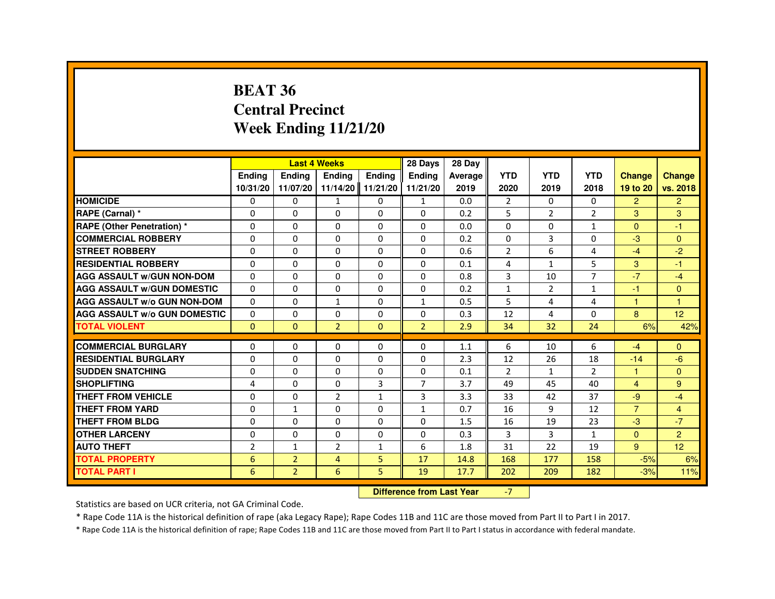#### **BEAT 36 Central PrecinctWeek Ending 11/21/20**

|                                     |                |                | <b>Last 4 Weeks</b>              |                | 28 Days        | 28 Day  |                |                |                |                |                 |
|-------------------------------------|----------------|----------------|----------------------------------|----------------|----------------|---------|----------------|----------------|----------------|----------------|-----------------|
|                                     | Ending         | Ending         | Ending                           | Ending         | Ending         | Average | <b>YTD</b>     | <b>YTD</b>     | <b>YTD</b>     | <b>Change</b>  | <b>Change</b>   |
|                                     | 10/31/20       | 11/07/20       | 11/14/20 11/21/20                |                | 11/21/20       | 2019    | 2020           | 2019           | 2018           | 19 to 20       | vs. 2018        |
| <b>HOMICIDE</b>                     | 0              | $\Omega$       | $\mathbf{1}$                     | $\mathbf{0}$   | $\mathbf{1}$   | 0.0     | $\overline{2}$ | $\Omega$       | 0              | $\overline{2}$ | $\overline{2}$  |
| RAPE (Carnal) *                     | 0              | $\Omega$       | 0                                | 0              | $\Omega$       | 0.2     | 5              | $\overline{2}$ | $\overline{2}$ | 3              | 3               |
| RAPE (Other Penetration) *          | 0              | 0              | $\Omega$                         | $\mathbf 0$    | $\Omega$       | 0.0     | $\Omega$       | $\Omega$       | $\mathbf{1}$   | $\Omega$       | $-1$            |
| <b>COMMERCIAL ROBBERY</b>           | $\Omega$       | $\Omega$       | $\Omega$                         | $\mathbf{0}$   | $\mathbf{0}$   | 0.2     | $\Omega$       | $\overline{3}$ | $\Omega$       | $-3$           | $\Omega$        |
| <b>STREET ROBBERY</b>               | 0              | $\Omega$       | $\mathbf{0}$                     | $\mathbf{0}$   | $\Omega$       | 0.6     | $\overline{2}$ | 6              | 4              | $-4$           | $-2$            |
| <b>RESIDENTIAL ROBBERY</b>          | 0              | 0              | 0                                | 0              | 0              | 0.1     | 4              | 1              | 5              | 3              | $-1$            |
| <b>AGG ASSAULT w/GUN NON-DOM</b>    | $\Omega$       | $\Omega$       | $\Omega$                         | $\mathbf 0$    | $\Omega$       | 0.8     | 3              | 10             | $\overline{7}$ | $-7$           | $-4$            |
| <b>AGG ASSAULT W/GUN DOMESTIC</b>   | $\Omega$       | $\Omega$       | $\Omega$                         | $\mathbf{0}$   | $\Omega$       | 0.2     | $\mathbf{1}$   | $\overline{2}$ | $\mathbf{1}$   | $-1$           | $\mathbf{0}$    |
| <b>AGG ASSAULT w/o GUN NON-DOM</b>  | $\mathbf{0}$   | 0              | $\mathbf{1}$                     | 0              | $\mathbf{1}$   | 0.5     | 5              | 4              | 4              | $\mathbf{1}$   | $\overline{1}$  |
| <b>AGG ASSAULT w/o GUN DOMESTIC</b> | $\Omega$       | 0              | 0                                | $\mathbf 0$    | 0              | 0.3     | 12             | 4              | $\Omega$       | 8              | 12 <sup>°</sup> |
| <b>TOTAL VIOLENT</b>                | $\Omega$       | $\mathbf{0}$   | $\overline{2}$                   | $\mathbf{0}$   | $\overline{2}$ | 2.9     | 34             | 32             | 24             | 6%             | 42%             |
| <b>COMMERCIAL BURGLARY</b>          | 0              | 0              | 0                                | $\mathbf 0$    | 0              | 1.1     | 6              | 10             | 6              | $-4$           | $\mathbf{0}$    |
| <b>RESIDENTIAL BURGLARY</b>         | $\Omega$       | $\Omega$       | 0                                | $\Omega$       | $\Omega$       | 2.3     | 12             | 26             | 18             | $-14$          | $-6$            |
| <b>SUDDEN SNATCHING</b>             | $\Omega$       | $\Omega$       | $\Omega$                         | $\mathbf{0}$   | $\Omega$       | 0.1     | $\overline{2}$ | $\mathbf{1}$   | $\overline{2}$ | $\mathbf{1}$   | $\Omega$        |
| <b>SHOPLIFTING</b>                  | 4              | $\Omega$       | $\Omega$                         | $\overline{3}$ | $\overline{7}$ | 3.7     | 49             | 45             | 40             | $\overline{4}$ | 9               |
| THEFT FROM VEHICLE                  | $\Omega$       | $\Omega$       | $\overline{2}$                   | $\mathbf{1}$   | 3              | 3.3     | 33             | 42             | 37             | $-9$           | $-4$            |
| <b>THEFT FROM YARD</b>              | 0              | $\mathbf{1}$   | 0                                | $\mathbf 0$    | $\mathbf{1}$   | 0.7     | 16             | 9              | 12             | $\overline{7}$ | $\overline{4}$  |
| <b>THEFT FROM BLDG</b>              | $\Omega$       | $\Omega$       | $\Omega$                         | $\mathbf 0$    | $\mathbf 0$    | 1.5     | 16             | 19             | 23             | $-3$           | $-7$            |
| <b>OTHER LARCENY</b>                | $\Omega$       | $\Omega$       | $\Omega$                         | $\Omega$       | $\Omega$       | 0.3     | 3              | 3              | $\mathbf{1}$   | $\Omega$       | $\overline{2}$  |
| <b>AUTO THEFT</b>                   | $\overline{2}$ | $\mathbf{1}$   | $\overline{2}$                   | $\mathbf{1}$   | 6              | 1.8     | 31             | 22             | 19             | 9              | 12 <sup>°</sup> |
| <b>TOTAL PROPERTY</b>               | 6              | $\overline{2}$ | 4                                | 5              | 17             | 14.8    | 168            | 177            | 158            | $-5%$          | 6%              |
| <b>TOTAL PART I</b>                 | 6              | $\overline{2}$ | 6                                | 5              | 19             | 17.7    | 202            | 209            | 182            | $-3%$          | 11%             |
|                                     |                |                | <b>Difference from Last Year</b> |                | $-7$           |         |                |                |                |                |                 |

 **Difference from Last Year**

Statistics are based on UCR criteria, not GA Criminal Code.

\* Rape Code 11A is the historical definition of rape (aka Legacy Rape); Rape Codes 11B and 11C are those moved from Part II to Part I in 2017.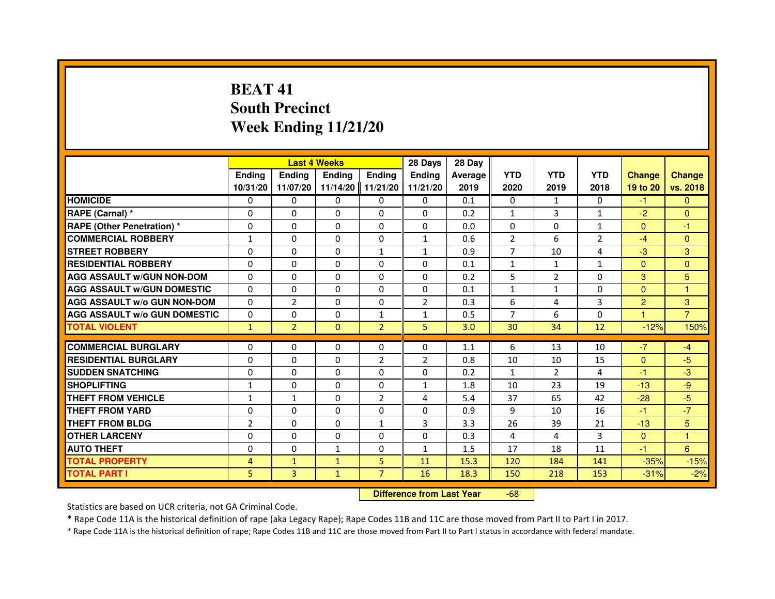# **BEAT 41 South PrecinctWeek Ending 11/21/20**

|                                     |                |                                  | <b>Last 4 Weeks</b> |                | 28 Days        | 28 Day  |                |                |                |                      |                |
|-------------------------------------|----------------|----------------------------------|---------------------|----------------|----------------|---------|----------------|----------------|----------------|----------------------|----------------|
|                                     | <b>Ending</b>  | <b>Ending</b>                    | <b>Ending</b>       | <b>Ending</b>  | <b>Endina</b>  | Average | <b>YTD</b>     | <b>YTD</b>     | <b>YTD</b>     | <b>Change</b>        | <b>Change</b>  |
|                                     | 10/31/20       | 11/07/20                         | 11/14/20            | 11/21/20       | 11/21/20       | 2019    | 2020           | 2019           | 2018           | 19 to 20             | vs. 2018       |
| <b>HOMICIDE</b>                     | $\Omega$       | $\Omega$                         | $\Omega$            | $\Omega$       | $\Omega$       | 0.1     | 0              | $\mathbf{1}$   | $\Omega$       | $-1$                 | $\Omega$       |
| RAPE (Carnal) *                     | 0              | $\Omega$                         | 0                   | $\Omega$       | $\Omega$       | 0.2     | 1              | 3              | $\mathbf{1}$   | $-2$                 | $\Omega$       |
| <b>RAPE (Other Penetration) *</b>   | $\Omega$       | $\Omega$                         | $\Omega$            | $\Omega$       | $\Omega$       | 0.0     | $\Omega$       | $\Omega$       | $\mathbf{1}$   | $\Omega$             | $-1$           |
| <b>COMMERCIAL ROBBERY</b>           | $\mathbf{1}$   | 0                                | $\Omega$            | 0              | $\mathbf{1}$   | 0.6     | $\overline{2}$ | 6              | $\overline{2}$ | $-4$                 | $\Omega$       |
| <b>STREET ROBBERY</b>               | $\Omega$       | $\Omega$                         | 0                   | $\mathbf{1}$   | $\mathbf{1}$   | 0.9     | $\overline{7}$ | 10             | 4              | $-3$                 | 3              |
| <b>RESIDENTIAL ROBBERY</b>          | $\Omega$       | $\Omega$                         | 0                   | $\Omega$       | 0              | 0.1     | $\mathbf{1}$   | $\mathbf{1}$   | $\mathbf{1}$   | $\Omega$             | $\Omega$       |
| <b>AGG ASSAULT W/GUN NON-DOM</b>    | $\Omega$       | $\Omega$                         | 0                   | $\Omega$       | $\Omega$       | 0.2     | 5              | $\overline{2}$ | $\Omega$       | 3                    | 5              |
| <b>AGG ASSAULT W/GUN DOMESTIC</b>   | $\Omega$       | $\Omega$                         | $\Omega$            | $\Omega$       | $\Omega$       | 0.1     | $\mathbf{1}$   | $\mathbf{1}$   | $\Omega$       | $\Omega$             | $\mathbf{1}$   |
| <b>AGG ASSAULT w/o GUN NON-DOM</b>  | 0              | $\overline{2}$                   | 0                   | 0              | 2              | 0.3     | 6              | 4              | 3              | 2                    | 3              |
| <b>AGG ASSAULT w/o GUN DOMESTIC</b> | $\Omega$       | 0                                | 0                   | $\mathbf{1}$   | $\mathbf{1}$   | 0.5     | $\overline{7}$ | 6              | $\Omega$       | $\blacktriangleleft$ | $\overline{7}$ |
| <b>TOTAL VIOLENT</b>                | $\mathbf{1}$   | $\overline{2}$                   | $\mathbf 0$         | $\overline{2}$ | 5              | 3.0     | 30             | 34             | 12             | $-12%$               | 150%           |
| <b>COMMERCIAL BURGLARY</b>          | $\Omega$       | $\Omega$                         | 0                   | $\Omega$       | 0              | 1.1     | 6              | 13             | 10             | $-7$                 | $-4$           |
| <b>RESIDENTIAL BURGLARY</b>         | $\Omega$       | $\Omega$                         | $\Omega$            | $\overline{2}$ | $\overline{2}$ | 0.8     | 10             | 10             | 15             | $\Omega$             | $-5$           |
| <b>SUDDEN SNATCHING</b>             | $\Omega$       | $\Omega$                         | $\Omega$            | $\Omega$       | $\Omega$       | 0.2     | $\mathbf{1}$   | $\mathcal{P}$  | 4              | $-1$                 | $-3$           |
| <b>SHOPLIFTING</b>                  | 1              | 0                                | 0                   | 0              | 1              | 1.8     | 10             | 23             | 19             | $-13$                | $-9$           |
| <b>THEFT FROM VEHICLE</b>           | 1              | $\mathbf{1}$                     | 0                   | $\overline{2}$ | 4              | 5.4     | 37             | 65             | 42             | $-28$                | $-5$           |
| <b>THEFT FROM YARD</b>              | 0              | 0                                | $\Omega$            | 0              | 0              | 0.9     | 9              | 10             | 16             | $-1$                 | $-7$           |
| <b>THEFT FROM BLDG</b>              | $\overline{2}$ | $\Omega$                         | $\Omega$            | $\mathbf{1}$   | 3              | 3.3     | 26             | 39             | 21             | $-13$                | 5              |
| <b>OTHER LARCENY</b>                | $\Omega$       | $\Omega$                         | 0                   | $\Omega$       | $\Omega$       | 0.3     | 4              | 4              | 3              | $\mathbf{0}$         | 1              |
| <b>AUTO THEFT</b>                   | $\Omega$       | $\Omega$                         | $\mathbf{1}$        | $\Omega$       | $\mathbf{1}$   | 1.5     | 17             | 18             | 11             | $-1$                 | 6              |
| <b>TOTAL PROPERTY</b>               | $\overline{4}$ | $\mathbf{1}$                     | $\mathbf{1}$        | 5              | 11             | 15.3    | 120            | 184            | 141            | $-35%$               | $-15%$         |
| <b>TOTAL PART I</b>                 | 5              | 3                                | $\mathbf{1}$        | $\overline{7}$ | 16             | 18.3    | 150            | 218            | 153            | $-31%$               | $-2%$          |
|                                     |                | <b>Difference from Last Year</b> |                     | $-68$          |                |         |                |                |                |                      |                |

 **Difference from Last Year**

Statistics are based on UCR criteria, not GA Criminal Code.

\* Rape Code 11A is the historical definition of rape (aka Legacy Rape); Rape Codes 11B and 11C are those moved from Part II to Part I in 2017.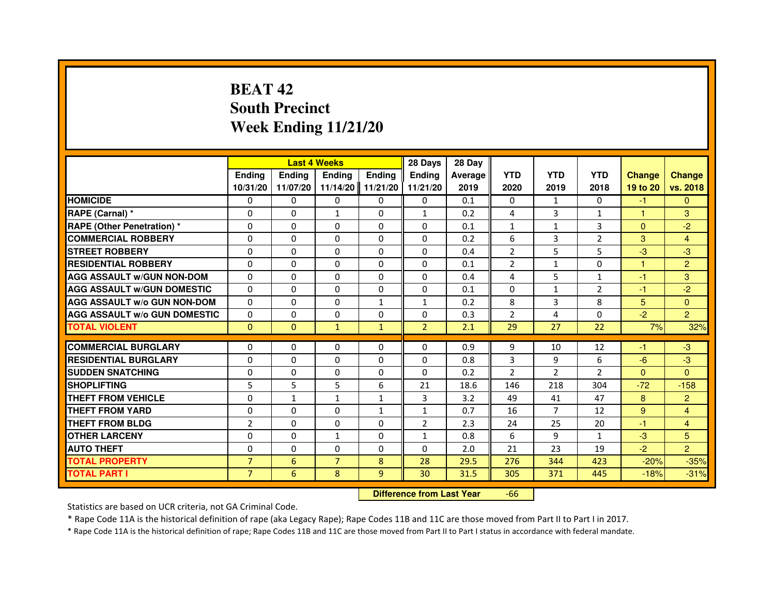# **BEAT 42 South PrecinctWeek Ending 11/21/20**

|                                     |                | <b>Last 4 Weeks</b>              |                |               | 28 Days        | 28 Day  |                |                |                |               |                         |
|-------------------------------------|----------------|----------------------------------|----------------|---------------|----------------|---------|----------------|----------------|----------------|---------------|-------------------------|
|                                     | <b>Ending</b>  | <b>Ending</b>                    | <b>Ending</b>  | <b>Ending</b> | <b>Endina</b>  | Average | <b>YTD</b>     | <b>YTD</b>     | <b>YTD</b>     | <b>Change</b> | <b>Change</b>           |
|                                     | 10/31/20       | 11/07/20                         | 11/14/20       | 11/21/20      | 11/21/20       | 2019    | 2020           | 2019           | 2018           | 19 to 20      | vs. 2018                |
| <b>HOMICIDE</b>                     | 0              | $\Omega$                         | $\Omega$       | $\Omega$      | 0              | 0.1     | 0              | $\mathbf{1}$   | $\Omega$       | $-1$          | $\Omega$                |
| RAPE (Carnal) *                     | 0              | $\mathbf{0}$                     | $\mathbf{1}$   | 0             | $\mathbf{1}$   | 0.2     | 4              | 3              | 1              | 1             | 3                       |
| RAPE (Other Penetration) *          | $\Omega$       | 0                                | $\Omega$       | $\Omega$      | $\Omega$       | 0.1     | $\mathbf{1}$   | $\mathbf{1}$   | 3              | $\mathbf{0}$  | $-2$                    |
| <b>COMMERCIAL ROBBERY</b>           | $\Omega$       | $\Omega$                         | $\Omega$       | $\Omega$      | $\Omega$       | 0.2     | 6              | 3              | $\overline{2}$ | 3             | $\overline{4}$          |
| <b>STREET ROBBERY</b>               | $\Omega$       | $\Omega$                         | $\Omega$       | $\Omega$      | $\Omega$       | 0.4     | $\overline{2}$ | 5              | 5              | $-3$          | $-3$                    |
| <b>RESIDENTIAL ROBBERY</b>          | 0              | 0                                | 0              | 0             | 0              | 0.1     | $\overline{2}$ | $\mathbf{1}$   | 0              | $\mathbf{1}$  | $\overline{2}$          |
| <b>AGG ASSAULT w/GUN NON-DOM</b>    | $\Omega$       | $\Omega$                         | $\Omega$       | $\Omega$      | $\Omega$       | 0.4     | 4              | 5              | $\mathbf{1}$   | $-1$          | 3                       |
| <b>AGG ASSAULT W/GUN DOMESTIC</b>   | $\Omega$       | $\Omega$                         | $\Omega$       | $\Omega$      | $\Omega$       | 0.1     | $\Omega$       | $\mathbf{1}$   | $\overline{2}$ | $-1$          | $-2$                    |
| <b>AGG ASSAULT W/o GUN NON-DOM</b>  | $\Omega$       | $\Omega$                         | $\Omega$       | $\mathbf{1}$  | $\mathbf{1}$   | 0.2     | 8              | 3              | 8              | 5             | $\overline{0}$          |
| <b>AGG ASSAULT W/o GUN DOMESTIC</b> | $\Omega$       | $\Omega$                         | 0              | $\Omega$      | $\Omega$       | 0.3     | $\overline{2}$ | 4              | 0              | $-2$          | $\overline{2}$          |
| <b>TOTAL VIOLENT</b>                | $\mathbf 0$    | $\mathbf{0}$                     | $\mathbf{1}$   | $\mathbf{1}$  | $\overline{2}$ | 2.1     | 29             | 27             | 22             | 7%            | 32%                     |
| <b>COMMERCIAL BURGLARY</b>          | 0              | 0                                | 0              | 0             | 0              | 0.9     | 9              | 10             | 12             | $-1$          | $-3$                    |
| <b>RESIDENTIAL BURGLARY</b>         | $\Omega$       | $\Omega$                         | $\Omega$       | $\Omega$      | $\Omega$       | 0.8     | 3              | 9              | 6              | $-6$          | $-3$                    |
| <b>SUDDEN SNATCHING</b>             | $\Omega$       | $\Omega$                         | $\Omega$       | $\Omega$      | $\Omega$       | 0.2     | $\overline{2}$ | $\mathcal{P}$  | $\mathcal{P}$  | $\Omega$      | $\Omega$                |
| <b>SHOPLIFTING</b>                  | 5              | 5                                | 5              | 6             | 21             | 18.6    | 146            | 218            | 304            | $-72$         | $-158$                  |
| <b>THEFT FROM VEHICLE</b>           | 0              | $\mathbf{1}$                     | $\mathbf{1}$   | 1             | 3              | 3.2     | 49             | 41             | 47             | 8             | $\overline{2}$          |
| <b>THEFT FROM YARD</b>              | $\Omega$       | $\Omega$                         | $\Omega$       | $\mathbf{1}$  | $\mathbf{1}$   | 0.7     | 16             | $\overline{7}$ | 12             | 9             | $\overline{\mathbf{4}}$ |
| <b>THEFT FROM BLDG</b>              | $\overline{2}$ | $\Omega$                         | $\Omega$       | $\Omega$      | $\overline{2}$ | 2.3     | 24             | 25             | 20             | $-1$          | $\overline{4}$          |
| <b>OTHER LARCENY</b>                | 0              | $\mathbf{0}$                     | 1              | 0             | 1              | 0.8     | 6              | 9              | $\mathbf{1}$   | $-3$          | 5                       |
| <b>AUTO THEFT</b>                   | $\Omega$       | $\Omega$                         | $\Omega$       | $\Omega$      | $\Omega$       | 2.0     | 21             | 23             | 19             | $-2$          | $\overline{2}$          |
| <b>TOTAL PROPERTY</b>               | $\overline{7}$ | 6                                | $\overline{7}$ | 8             | 28             | 29.5    | 276            | 344            | 423            | $-20%$        | $-35%$                  |
| <b>TOTAL PART I</b>                 | $\overline{7}$ | 6                                | 8              | 9             | 30             | 31.5    | 305            | 371            | 445            | $-18%$        | $-31%$                  |
|                                     |                | <b>Difference from Last Year</b> |                | $-66$         |                |         |                |                |                |               |                         |

 **Difference from Last Year**

Statistics are based on UCR criteria, not GA Criminal Code.

\* Rape Code 11A is the historical definition of rape (aka Legacy Rape); Rape Codes 11B and 11C are those moved from Part II to Part I in 2017.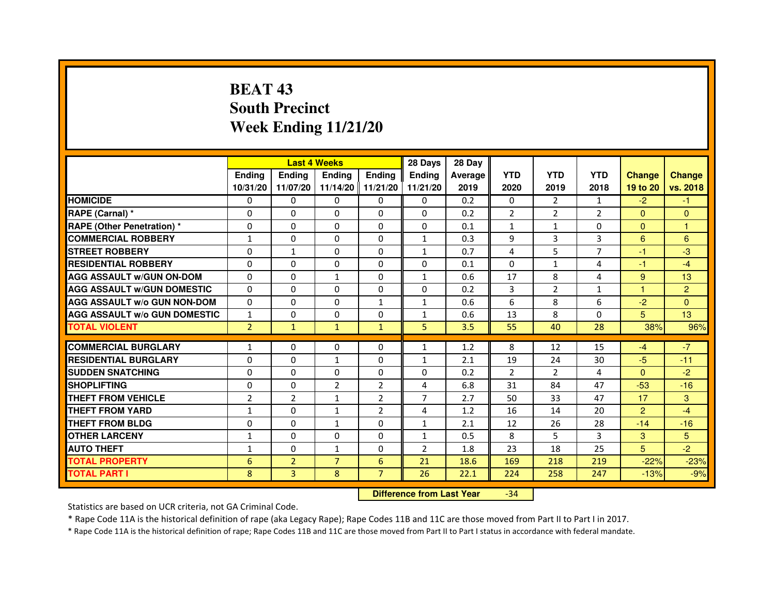# **BEAT 43 South PrecinctWeek Ending 11/21/20**

|                                     |                |                | <b>Last 4 Weeks</b> |                | 28 Days        | 28 Day  |                |                |                |                |                |
|-------------------------------------|----------------|----------------|---------------------|----------------|----------------|---------|----------------|----------------|----------------|----------------|----------------|
|                                     | <b>Endina</b>  | Ending         | <b>Endina</b>       | <b>Ending</b>  | <b>Endina</b>  | Average | <b>YTD</b>     | <b>YTD</b>     | <b>YTD</b>     | <b>Change</b>  | <b>Change</b>  |
|                                     | 10/31/20       | 11/07/20       | 11/14/20 11/21/20   |                | 11/21/20       | 2019    | 2020           | 2019           | 2018           | 19 to 20       | vs. 2018       |
| <b>HOMICIDE</b>                     | 0              | 0              | $\mathbf{0}$        | 0              | 0              | 0.2     | $\mathbf{0}$   | $\overline{2}$ | 1              | $-2$           | $-1$           |
| RAPE (Carnal) *                     | $\Omega$       | $\Omega$       | $\Omega$            | $\Omega$       | $\Omega$       | 0.2     | $\overline{2}$ | $\overline{2}$ | $\overline{2}$ | $\Omega$       | $\Omega$       |
| <b>RAPE (Other Penetration) *</b>   | $\Omega$       | $\Omega$       | $\Omega$            | $\Omega$       | 0              | 0.1     | $\mathbf{1}$   | $\mathbf{1}$   | $\Omega$       | $\Omega$       | $\mathbf{1}$   |
| <b>COMMERCIAL ROBBERY</b>           | $\mathbf{1}$   | 0              | 0                   | 0              | 1              | 0.3     | 9              | 3              | 3              | 6              | 6              |
| <b>STREET ROBBERY</b>               | 0              | 1              | $\Omega$            | 0              | 1              | 0.7     | 4              | 5              | 7              | $-1$           | -3             |
| <b>RESIDENTIAL ROBBERY</b>          | 0              | 0              | 0                   | 0              | 0              | 0.1     | $\Omega$       | $\mathbf{1}$   | 4              | $-1$           | $-4$           |
| <b>AGG ASSAULT w/GUN ON-DOM</b>     | $\Omega$       | $\Omega$       | $\mathbf{1}$        | 0              | $\mathbf{1}$   | 0.6     | 17             | 8              | 4              | 9              | 13             |
| <b>AGG ASSAULT W/GUN DOMESTIC</b>   | 0              | 0              | 0                   | 0              | 0              | 0.2     | 3              | $\overline{2}$ | $\mathbf{1}$   | 1              | $\overline{2}$ |
| <b>AGG ASSAULT W/o GUN NON-DOM</b>  | $\Omega$       | $\Omega$       | $\Omega$            | 1              | 1              | 0.6     | 6              | 8              | 6              | $-2$           | $\Omega$       |
| <b>AGG ASSAULT W/o GUN DOMESTIC</b> | $\mathbf{1}$   | $\Omega$       | $\Omega$            | 0              | 1              | 0.6     | 13             | 8              | 0              | 5              | 13             |
| <b>TOTAL VIOLENT</b>                | $\overline{2}$ | $\mathbf{1}$   | $\mathbf{1}$        | $\mathbf{1}$   | 5              | 3.5     | 55             | 40             | 28             | 38%            | 96%            |
|                                     |                |                |                     |                |                |         |                |                |                |                |                |
| <b>COMMERCIAL BURGLARY</b>          | $\mathbf{1}$   | 0              | 0                   | 0              | $\mathbf{1}$   | 1.2     | 8              | 12             | 15             | $-4$           | $-7$           |
| <b>RESIDENTIAL BURGLARY</b>         | 0              | 0              | $\mathbf{1}$        | 0              | 1              | 2.1     | 19             | 24             | 30             | $-5$           | $-11$          |
| <b>SUDDEN SNATCHING</b>             | 0              | $\Omega$       | 0                   | 0              | 0              | 0.2     | $\overline{2}$ | $\overline{2}$ | 4              | $\Omega$       | $-2$           |
| <b>SHOPLIFTING</b>                  | $\Omega$       | $\mathbf 0$    | $\overline{2}$      | $\overline{2}$ | 4              | 6.8     | 31             | 84             | 47             | $-53$          | $-16$          |
| <b>THEFT FROM VEHICLE</b>           | $\overline{2}$ | $\overline{2}$ | $\mathbf{1}$        | $\overline{2}$ | $\overline{7}$ | 2.7     | 50             | 33             | 47             | 17             | 3              |
| <b>THEFT FROM YARD</b>              | $\mathbf{1}$   | 0              | 1                   | $\overline{2}$ | $\overline{a}$ | 1.2     | 16             | 14             | 20             | $\overline{2}$ | $-4$           |
| <b>THEFT FROM BLDG</b>              | 0              | 0              | $\mathbf{1}$        | 0              | 1              | 2.1     | 12             | 26             | 28             | $-14$          | $-16$          |
| <b>OTHER LARCENY</b>                | 1              | 0              | $\Omega$            | 0              | 1              | 0.5     | 8              | 5              | 3              | 3              | 5              |
| <b>AUTO THEFT</b>                   | 1              | $\mathbf 0$    | 1                   | 0              | $\overline{2}$ | 1.8     | 23             | 18             | 25             | 5              | $-2$           |
| <b>TOTAL PROPERTY</b>               | 6              | $\overline{2}$ | $\overline{7}$      | 6              | 21             | 18.6    | 169            | 218            | 219            | $-22%$         | $-23%$         |
| <b>TOTAL PART I</b>                 | 8              | $\overline{3}$ | 8                   | $\overline{7}$ | 26             | 22.1    | 224            | 258            | 247            | $-13%$         | $-9%$          |

 **Difference from Last Year**-34

Statistics are based on UCR criteria, not GA Criminal Code.

\* Rape Code 11A is the historical definition of rape (aka Legacy Rape); Rape Codes 11B and 11C are those moved from Part II to Part I in 2017.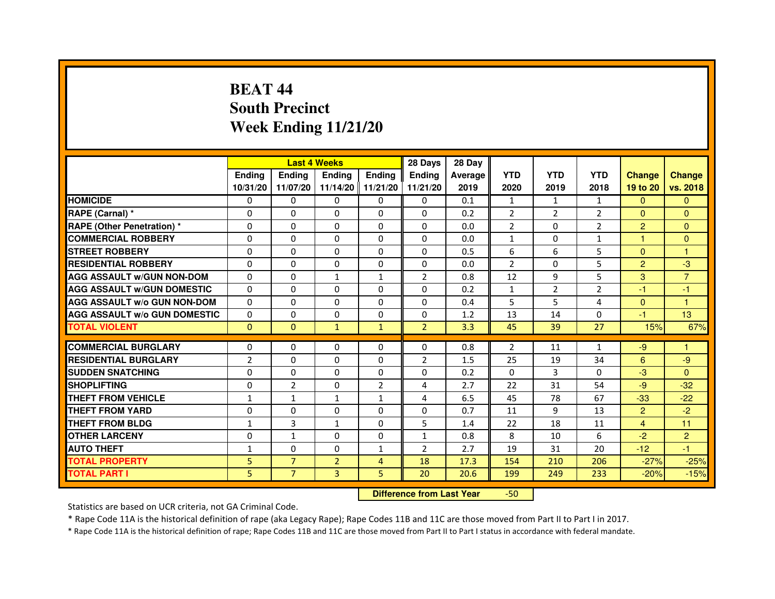# **BEAT 44 South PrecinctWeek Ending 11/21/20**

|                                     |                |                | <b>Last 4 Weeks</b> |                | 28 Days        | 28 Day  |                |                |                |                |                |
|-------------------------------------|----------------|----------------|---------------------|----------------|----------------|---------|----------------|----------------|----------------|----------------|----------------|
|                                     | <b>Endina</b>  | <b>Ending</b>  | <b>Endina</b>       | <b>Ending</b>  | <b>Endina</b>  | Average | <b>YTD</b>     | <b>YTD</b>     | <b>YTD</b>     | <b>Change</b>  | <b>Change</b>  |
|                                     | 10/31/20       | 11/07/20       | 11/14/20   11/21/20 |                | 11/21/20       | 2019    | 2020           | 2019           | 2018           | 19 to 20       | vs. 2018       |
| <b>HOMICIDE</b>                     | 0              | 0              | $\mathbf{0}$        | 0              | 0              | 0.1     | $\mathbf{1}$   | $\mathbf{1}$   | $\mathbf{1}$   | $\Omega$       | $\Omega$       |
| RAPE (Carnal) *                     | $\Omega$       | $\Omega$       | $\mathbf 0$         | $\Omega$       | $\Omega$       | 0.2     | $\overline{2}$ | $\overline{2}$ | $\overline{2}$ | $\Omega$       | $\Omega$       |
| <b>RAPE (Other Penetration) *</b>   | 0              | 0              | $\Omega$            | $\Omega$       | 0              | 0.0     | $\overline{2}$ | 0              | $\overline{2}$ | $\overline{2}$ | $\Omega$       |
| <b>COMMERCIAL ROBBERY</b>           | 0              | $\Omega$       | 0                   | $\Omega$       | 0              | 0.0     | $\mathbf{1}$   | 0              | 1              | 1              | $\Omega$       |
| <b>STREET ROBBERY</b>               | $\Omega$       | 0              | $\Omega$            | 0              | 0              | 0.5     | 6              | 6              | 5              | $\Omega$       | 1              |
| <b>RESIDENTIAL ROBBERY</b>          | 0              | 0              | 0                   | 0              | 0              | 0.0     | $\overline{2}$ | $\Omega$       | 5              | $\overline{2}$ | -3             |
| <b>AGG ASSAULT w/GUN NON-DOM</b>    | $\Omega$       | $\Omega$       | $\mathbf{1}$        | $\mathbf{1}$   | $\overline{2}$ | 0.8     | 12             | 9              | 5              | 3              | $\overline{7}$ |
| <b>AGG ASSAULT W/GUN DOMESTIC</b>   | $\Omega$       | $\Omega$       | $\Omega$            | $\Omega$       | $\Omega$       | 0.2     | $\mathbf{1}$   | $\overline{2}$ | $\overline{2}$ | $-1$           | $-1$           |
| <b>AGG ASSAULT W/o GUN NON-DOM</b>  | $\Omega$       | 0              | $\Omega$            | 0              | $\Omega$       | 0.4     | 5              | 5              | 4              | $\Omega$       | 1              |
| <b>AGG ASSAULT W/o GUN DOMESTIC</b> | $\Omega$       | $\Omega$       | $\Omega$            | 0              | 0              | 1.2     | 13             | 14             | $\Omega$       | $-1$           | 13             |
| <b>TOTAL VIOLENT</b>                | $\mathbf{0}$   | $\mathbf{0}$   | $\mathbf{1}$        | $\mathbf{1}$   | $\overline{2}$ | 3.3     | 45             | 39             | 27             | 15%            | 67%            |
|                                     |                |                |                     |                |                |         |                |                |                |                |                |
| <b>COMMERCIAL BURGLARY</b>          | 0              | 0              | 0                   | 0              | 0              | 0.8     | 2              | 11             | $\mathbf{1}$   | -9             | 1              |
| <b>RESIDENTIAL BURGLARY</b>         | $\overline{2}$ | 0              | 0                   | 0              | 2              | 1.5     | 25             | 19             | 34             | 6              | -9             |
| <b>SUDDEN SNATCHING</b>             | $\Omega$       | $\Omega$       | $\Omega$            | 0              | 0              | 0.2     | $\Omega$       | 3              | $\Omega$       | $-3$           | $\Omega$       |
| <b>SHOPLIFTING</b>                  | $\Omega$       | $\overline{2}$ | $\Omega$            | $\overline{2}$ | 4              | 2.7     | 22             | 31             | 54             | $-9$           | $-32$          |
| THEFT FROM VEHICLE                  | $\mathbf{1}$   | $\mathbf{1}$   | $\mathbf{1}$        | $\mathbf{1}$   | 4              | 6.5     | 45             | 78             | 67             | $-33$          | $-22$          |
| <b>THEFT FROM YARD</b>              | 0              | $\Omega$       | $\Omega$            | 0              | $\Omega$       | 0.7     | 11             | 9              | 13             | $\overline{2}$ | $-2$           |
| <b>THEFT FROM BLDG</b>              | $\mathbf{1}$   | 3              | $\mathbf{1}$        | 0              | 5              | 1.4     | 22             | 18             | 11             | $\overline{4}$ | 11             |
| <b>OTHER LARCENY</b>                | 0              | $\mathbf{1}$   | $\Omega$            | 0              | 1              | 0.8     | 8              | 10             | 6              | $-2$           | $\overline{2}$ |
| <b>AUTO THEFT</b>                   | $\mathbf{1}$   | $\Omega$       | $\Omega$            | $\mathbf{1}$   | $\overline{2}$ | 2.7     | 19             | 31             | 20             | $-12$          | $-1$           |
| <b>TOTAL PROPERTY</b>               | 5              | $\overline{7}$ | $\overline{2}$      | 4              | 18             | 17.3    | 154            | 210            | 206            | $-27%$         | $-25%$         |
| <b>TOTAL PART I</b>                 | 5              | $\overline{7}$ | 3                   | 5              | 20             | 20.6    | 199            | 249            | 233            | $-20%$         | $-15%$         |

 **Difference from Last Year**-50

Statistics are based on UCR criteria, not GA Criminal Code.

\* Rape Code 11A is the historical definition of rape (aka Legacy Rape); Rape Codes 11B and 11C are those moved from Part II to Part I in 2017.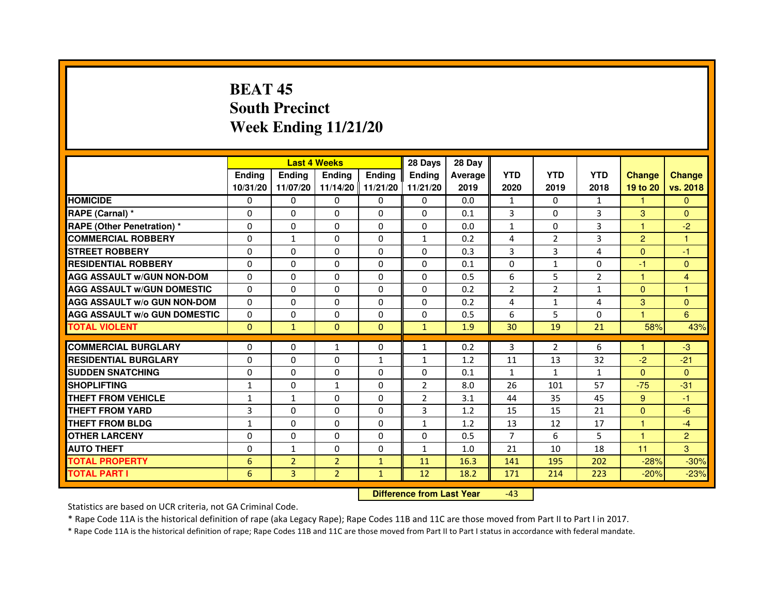# **BEAT 45 South PrecinctWeek Ending 11/21/20**

|                                     |               | <b>Last 4 Weeks</b> |                   |               | 28 Days        | 28 Day  |                |                |                |               |                |
|-------------------------------------|---------------|---------------------|-------------------|---------------|----------------|---------|----------------|----------------|----------------|---------------|----------------|
|                                     | <b>Endina</b> | <b>Ending</b>       | <b>Ending</b>     | <b>Endina</b> | <b>Endina</b>  | Average | <b>YTD</b>     | <b>YTD</b>     | <b>YTD</b>     | <b>Change</b> | <b>Change</b>  |
|                                     | 10/31/20      | 11/07/20            | 11/14/20 11/21/20 |               | 11/21/20       | 2019    | 2020           | 2019           | 2018           | 19 to 20      | vs. 2018       |
| <b>HOMICIDE</b>                     | 0             | 0                   | 0                 | 0             | 0              | 0.0     | 1              | 0              | $\mathbf{1}$   | $\mathbf{1}$  | $\mathbf{0}$   |
| RAPE (Carnal) *                     | $\Omega$      | $\Omega$            | $\Omega$          | $\Omega$      | $\Omega$       | 0.1     | 3              | $\Omega$       | 3              | 3             | $\Omega$       |
| <b>RAPE (Other Penetration) *</b>   | $\Omega$      | $\Omega$            | $\Omega$          | $\Omega$      | $\Omega$       | 0.0     | $\mathbf{1}$   | $\Omega$       | 3              | 1             | $-2$           |
| <b>COMMERCIAL ROBBERY</b>           | 0             | $\mathbf{1}$        | $\Omega$          | 0             | 1              | 0.2     | 4              | 2              | 3              | 2             | 1              |
| <b>STREET ROBBERY</b>               | $\Omega$      | 0                   | $\Omega$          | 0             | 0              | 0.3     | 3              | 3              | 4              | $\Omega$      | $-1$           |
| <b>RESIDENTIAL ROBBERY</b>          | $\Omega$      | $\Omega$            | $\Omega$          | $\Omega$      | 0              | 0.1     | 0              | $\mathbf{1}$   | $\Omega$       | $-1$          | $\Omega$       |
| <b>AGG ASSAULT w/GUN NON-DOM</b>    | $\Omega$      | 0                   | $\mathbf 0$       | 0             | $\Omega$       | 0.5     | 6              | 5              | $\overline{2}$ | $\mathbf{1}$  | $\overline{4}$ |
| <b>AGG ASSAULT W/GUN DOMESTIC</b>   | $\Omega$      | 0                   | 0                 | 0             | 0              | 0.2     | $\overline{2}$ | $\overline{2}$ | $\mathbf{1}$   | $\Omega$      | 1              |
| <b>AGG ASSAULT W/o GUN NON-DOM</b>  | $\Omega$      | $\Omega$            | $\Omega$          | $\Omega$      | $\Omega$       | 0.2     | $\overline{a}$ | $\mathbf{1}$   | $\overline{4}$ | 3             | $\Omega$       |
| <b>AGG ASSAULT W/o GUN DOMESTIC</b> | $\Omega$      | $\Omega$            | $\Omega$          | 0             | 0              | 0.5     | 6              | 5              | $\Omega$       | 1.            | 6              |
| <b>TOTAL VIOLENT</b>                | $\Omega$      | $\mathbf{1}$        | $\Omega$          | $\Omega$      | $\mathbf{1}$   | 1.9     | 30             | 19             | 21             | 58%           | 43%            |
|                                     |               |                     |                   |               |                |         |                |                |                |               |                |
| <b>COMMERCIAL BURGLARY</b>          | $\Omega$      | $\Omega$            | $\mathbf{1}$      | $\Omega$      | $\mathbf{1}$   | 0.2     | 3              | $\overline{2}$ | 6              | 1.            | $-3$           |
| <b>RESIDENTIAL BURGLARY</b>         | $\Omega$      | $\Omega$            | $\Omega$          | 1             | 1              | 1.2     | 11             | 13             | 32             | $-2$          | $-21$          |
| <b>SUDDEN SNATCHING</b>             | 0             | $\Omega$            | 0                 | 0             | 0              | 0.1     | $\mathbf{1}$   | $\mathbf{1}$   | 1              | $\Omega$      | $\Omega$       |
| <b>SHOPLIFTING</b>                  | $\mathbf{1}$  | $\mathbf 0$         | 1                 | 0             | $\overline{2}$ | 8.0     | 26             | 101            | 57             | $-75$         | $-31$          |
| <b>THEFT FROM VEHICLE</b>           | 1             | $\mathbf{1}$        | $\Omega$          | $\Omega$      | $\overline{2}$ | 3.1     | 44             | 35             | 45             | 9             | $-1$           |
| <b>THEFT FROM YARD</b>              | 3             | $\Omega$            | $\Omega$          | $\Omega$      | 3              | 1.2     | 15             | 15             | 21             | $\mathbf{0}$  | $-6$           |
| <b>THEFT FROM BLDG</b>              | $\mathbf{1}$  | 0                   | 0                 | 0             | 1              | 1.2     | 13             | 12             | 17             | 1             | $-4$           |
| <b>OTHER LARCENY</b>                | $\Omega$      | $\Omega$            | $\Omega$          | 0             | 0              | 0.5     | $\overline{7}$ | 6              | 5              | 1             | $\overline{2}$ |
| <b>AUTO THEFT</b>                   | $\mathbf 0$   | 1                   | 0                 | 0             | $\mathbf{1}$   | 1.0     | 21             | 10             | 18             | 11            | 3              |
| <b>TOTAL PROPERTY</b>               | 6             | $\overline{2}$      | $\overline{2}$    | $\mathbf{1}$  | 11             | 16.3    | 141            | 195            | 202            | $-28%$        | $-30%$         |
| <b>TOTAL PART I</b>                 | 6             | $\overline{3}$      | $\overline{2}$    | $\mathbf{1}$  | 12             | 18.2    | 171            | 214            | 223            | $-20%$        | $-23%$         |

 **Difference from Last Year**-43

Statistics are based on UCR criteria, not GA Criminal Code.

\* Rape Code 11A is the historical definition of rape (aka Legacy Rape); Rape Codes 11B and 11C are those moved from Part II to Part I in 2017.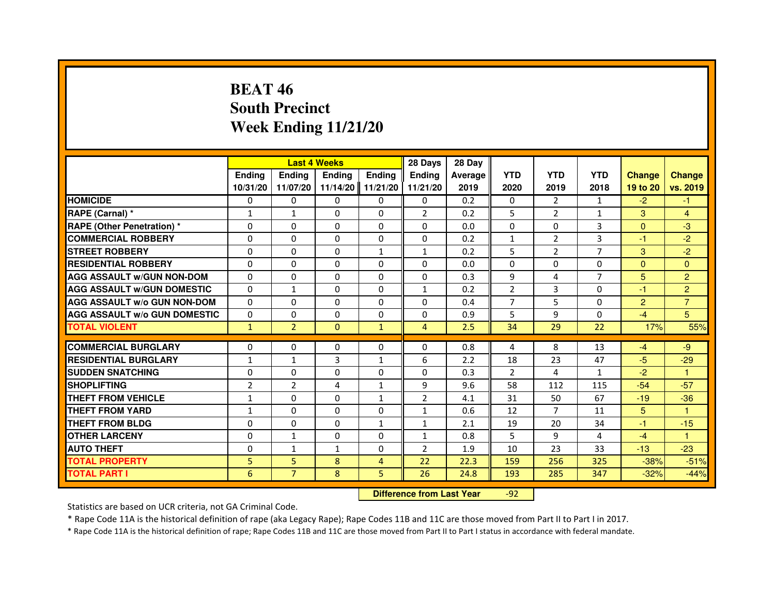## **BEAT 46 South PrecinctWeek Ending 11/21/20**

|                                     |                |                                  | <b>Last 4 Weeks</b> |                | 28 Days        | 28 Day  |                |                |                |                |                |
|-------------------------------------|----------------|----------------------------------|---------------------|----------------|----------------|---------|----------------|----------------|----------------|----------------|----------------|
|                                     | <b>Ending</b>  | Ending                           | <b>Ending</b>       | <b>Ending</b>  | <b>Ending</b>  | Average | <b>YTD</b>     | <b>YTD</b>     | <b>YTD</b>     | <b>Change</b>  | <b>Change</b>  |
|                                     | 10/31/20       | 11/07/20                         | 11/14/20            | 11/21/20       | 11/21/20       | 2019    | 2020           | 2019           | 2018           | 19 to 20       | vs. 2019       |
| <b>HOMICIDE</b>                     | 0              | $\Omega$                         | $\Omega$            | 0              | 0              | 0.2     | 0              | $\overline{2}$ | $\mathbf{1}$   | $-2$           | $-1$           |
| RAPE (Carnal) *                     | $\mathbf{1}$   | 1                                | 0                   | 0              | $\overline{2}$ | 0.2     | 5              | $\overline{2}$ | 1              | 3              | 4              |
| RAPE (Other Penetration) *          | $\Omega$       | 0                                | $\Omega$            | $\Omega$       | $\Omega$       | 0.0     | $\Omega$       | $\Omega$       | 3              | $\Omega$       | $-3$           |
| <b>COMMERCIAL ROBBERY</b>           | $\Omega$       | $\Omega$                         | $\Omega$            | $\Omega$       | $\Omega$       | 0.2     | $\mathbf{1}$   | $\overline{2}$ | 3              | $-1$           | $-2$           |
| <b>STREET ROBBERY</b>               | $\Omega$       | $\Omega$                         | $\Omega$            | $\mathbf{1}$   | $\mathbf{1}$   | 0.2     | 5              | $\overline{2}$ | $\overline{7}$ | 3              | $-2$           |
| <b>RESIDENTIAL ROBBERY</b>          | 0              | 0                                | $\Omega$            | 0              | 0              | 0.0     | 0              | 0              | $\Omega$       | $\Omega$       | $\mathbf{0}$   |
| <b>AGG ASSAULT W/GUN NON-DOM</b>    | $\Omega$       | $\Omega$                         | $\Omega$            | $\Omega$       | $\Omega$       | 0.3     | 9              | 4              | $\overline{7}$ | 5              | $\overline{2}$ |
| <b>AGG ASSAULT W/GUN DOMESTIC</b>   | $\Omega$       | $\mathbf{1}$                     | $\Omega$            | $\Omega$       | $\mathbf{1}$   | 0.2     | $\overline{2}$ | $\overline{3}$ | $\Omega$       | $-1$           | $\overline{2}$ |
| <b>AGG ASSAULT W/o GUN NON-DOM</b>  | $\Omega$       | $\Omega$                         | $\Omega$            | $\Omega$       | $\Omega$       | 0.4     | $\overline{7}$ | 5              | $\Omega$       | 2              | $\overline{7}$ |
| <b>AGG ASSAULT w/o GUN DOMESTIC</b> | $\Omega$       | $\Omega$                         | 0                   | $\Omega$       | $\Omega$       | 0.9     | 5              | 9              | $\Omega$       | $-4$           | 5              |
| <b>TOTAL VIOLENT</b>                | $\mathbf{1}$   | $\overline{2}$                   | $\mathbf{0}$        | $\mathbf{1}$   | $\overline{4}$ | 2.5     | 34             | 29             | 22             | 17%            | 55%            |
| <b>COMMERCIAL BURGLARY</b>          | 0              | 0                                | 0                   | 0              | 0              | 0.8     | 4              | 8              | 13             | $-4$           | $-9$           |
| <b>RESIDENTIAL BURGLARY</b>         | $\mathbf{1}$   | 1                                | 3                   | 1              | 6              | 2.2     | 18             | 23             | 47             | $-5$           | $-29$          |
| <b>SUDDEN SNATCHING</b>             | $\Omega$       | $\Omega$                         | $\Omega$            | $\Omega$       | $\Omega$       | 0.3     | $\overline{2}$ | 4              | $\mathbf{1}$   | $-2$           | $\mathbf{1}$   |
| <b>SHOPLIFTING</b>                  | $\overline{2}$ | $\overline{2}$                   | 4                   | 1              | 9              | 9.6     | 58             | 112            | 115            | $-54$          | $-57$          |
| THEFT FROM VEHICLE                  | 1              | $\Omega$                         | 0                   | $\mathbf{1}$   | $\overline{2}$ | 4.1     | 31             | 50             | 67             | $-19$          | $-36$          |
| <b>THEFT FROM YARD</b>              | $\mathbf{1}$   | $\Omega$                         | $\Omega$            | $\Omega$       | $\mathbf{1}$   | 0.6     | 12             | $\overline{7}$ | 11             | $5\phantom{.}$ | $\mathbf{1}$   |
| <b>THEFT FROM BLDG</b>              | $\Omega$       | $\Omega$                         | $\Omega$            | $\mathbf{1}$   | $\mathbf{1}$   | 2.1     | 19             | 20             | 34             | $-1$           | $-15$          |
| <b>OTHER LARCENY</b>                | 0              | $\mathbf{1}$                     | 0                   | 0              | $\mathbf{1}$   | 0.8     | 5              | 9              | 4              | $-4$           | 1              |
| <b>AUTO THEFT</b>                   | $\Omega$       | $\mathbf{1}$                     | $\mathbf{1}$        | $\Omega$       | $\overline{2}$ | 1.9     | 10             | 23             | 33             | $-13$          | $-23$          |
| <b>TOTAL PROPERTY</b>               | 5              | 5                                | 8                   | $\overline{4}$ | 22             | 22.3    | 159            | 256            | 325            | $-38%$         | $-51%$         |
| <b>TOTAL PART I</b>                 | 6              | $\overline{7}$                   | 8                   | 5              | 26             | 24.8    | 193            | 285            | 347            | $-32%$         | $-44%$         |
|                                     |                | <b>Difference from Last Year</b> |                     | $-92$          |                |         |                |                |                |                |                |

 **Difference from Last Year**

Statistics are based on UCR criteria, not GA Criminal Code.

\* Rape Code 11A is the historical definition of rape (aka Legacy Rape); Rape Codes 11B and 11C are those moved from Part II to Part I in 2017.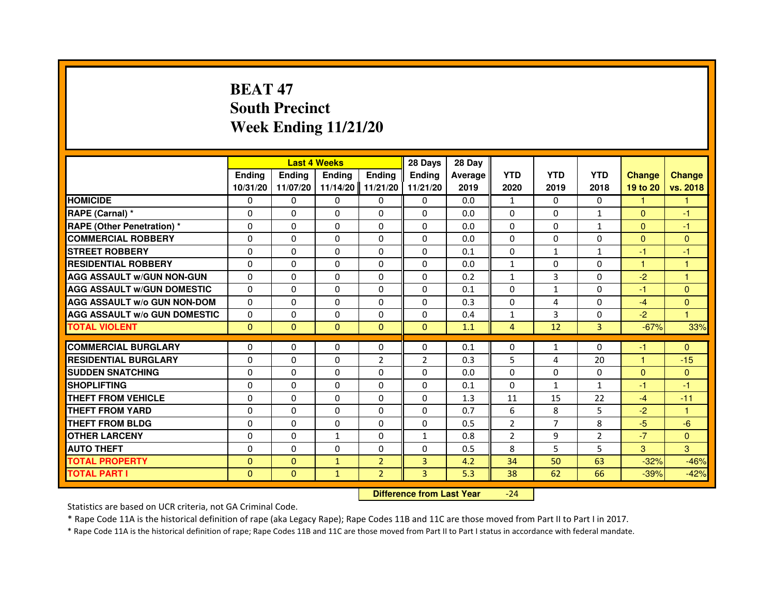# **BEAT 47 South PrecinctWeek Ending 11/21/20**

|                                     |               | <b>Last 4 Weeks</b>              |              |                | 28 Days        | 28 Day  |                |                |                |               |               |
|-------------------------------------|---------------|----------------------------------|--------------|----------------|----------------|---------|----------------|----------------|----------------|---------------|---------------|
|                                     | <b>Ending</b> | <b>Ending</b>                    | Ending       | Ending         | Ending         | Average | <b>YTD</b>     | <b>YTD</b>     | <b>YTD</b>     | <b>Change</b> | <b>Change</b> |
|                                     | 10/31/20      | 11/07/20                         | 11/14/20     | 11/21/20       | 11/21/20       | 2019    | 2020           | 2019           | 2018           | 19 to 20      | vs. 2018      |
| <b>HOMICIDE</b>                     | 0             | $\Omega$                         | 0            | $\mathbf{0}$   | $\mathbf{0}$   | 0.0     | $\mathbf{1}$   | 0              | $\Omega$       | $\mathbf{1}$  | $\mathbf{1}$  |
| RAPE (Carnal) *                     | 0             | 0                                | 0            | 0              | 0              | 0.0     | 0              | 0              | $\mathbf{1}$   | $\mathbf{0}$  | $-1$          |
| RAPE (Other Penetration) *          | 0             | 0                                | $\Omega$     | $\Omega$       | $\Omega$       | 0.0     | $\Omega$       | $\Omega$       | $\mathbf{1}$   | $\Omega$      | $-1$          |
| <b>COMMERCIAL ROBBERY</b>           | 0             | $\Omega$                         | $\Omega$     | $\Omega$       | 0              | 0.0     | $\Omega$       | $\Omega$       | $\Omega$       | $\Omega$      | $\mathbf{0}$  |
| <b>STREET ROBBERY</b>               | $\Omega$      | $\Omega$                         | $\Omega$     | $\Omega$       | $\Omega$       | 0.1     | $\Omega$       | $\mathbf{1}$   | $\mathbf{1}$   | $-1$          | $-1$          |
| <b>RESIDENTIAL ROBBERY</b>          | 0             | 0                                | 0            | 0              | 0              | 0.0     | 1              | 0              | $\Omega$       | $\mathbf{1}$  | 1             |
| <b>AGG ASSAULT w/GUN NON-GUN</b>    | $\Omega$      | $\Omega$                         | $\Omega$     | $\Omega$       | $\Omega$       | 0.2     | $\mathbf{1}$   | 3              | $\Omega$       | $-2$          | $\mathbf{1}$  |
| <b>AGG ASSAULT W/GUN DOMESTIC</b>   | $\Omega$      | $\Omega$                         | $\Omega$     | $\Omega$       | $\Omega$       | 0.1     | $\Omega$       | $\mathbf{1}$   | $\Omega$       | $-1$          | $\Omega$      |
| <b>AGG ASSAULT W/o GUN NON-DOM</b>  | $\Omega$      | $\Omega$                         | $\Omega$     | $\Omega$       | $\Omega$       | 0.3     | $\Omega$       | 4              | $\Omega$       | $-4$          | $\Omega$      |
| <b>AGG ASSAULT w/o GUN DOMESTIC</b> | $\Omega$      | $\Omega$                         | 0            | $\Omega$       | $\Omega$       | 0.4     | $\mathbf{1}$   | 3              | $\Omega$       | $-2$          | $\mathbf{1}$  |
| <b>TOTAL VIOLENT</b>                | $\mathbf{0}$  | $\overline{0}$                   | $\mathbf 0$  | $\mathbf{0}$   | $\mathbf{0}$   | 1.1     | $\overline{4}$ | 12             | 3              | $-67%$        | 33%           |
| <b>COMMERCIAL BURGLARY</b>          | 0             | 0                                | 0            | 0              | 0              | 0.1     | 0              | $\mathbf{1}$   | 0              | $-1$          | $\Omega$      |
| <b>RESIDENTIAL BURGLARY</b>         | 0             | $\Omega$                         | $\Omega$     | $\overline{2}$ | $\overline{2}$ | 0.3     | 5              | 4              | 20             | $\mathbf{1}$  | $-15$         |
| <b>SUDDEN SNATCHING</b>             | $\Omega$      | $\Omega$                         | $\Omega$     | $\Omega$       | $\Omega$       | 0.0     | $\Omega$       | $\Omega$       | $\Omega$       | $\Omega$      | $\mathbf{0}$  |
| <b>SHOPLIFTING</b>                  | 0             | $\Omega$                         | 0            | $\Omega$       | $\Omega$       | 0.1     | $\Omega$       | $\mathbf{1}$   | $\mathbf{1}$   | $-1$          | $-1$          |
| <b>THEFT FROM VEHICLE</b>           | 0             | 0                                | 0            | $\Omega$       | 0              | 1.3     | 11             | 15             | 22             | $-4$          | $-11$         |
| <b>THEFT FROM YARD</b>              | $\Omega$      | $\Omega$                         | $\Omega$     | $\Omega$       | $\Omega$       | 0.7     | 6              | 8              | 5              | $-2$          | $\mathbf{1}$  |
| <b>THEFT FROM BLDG</b>              | $\Omega$      | $\Omega$                         | $\Omega$     | $\Omega$       | $\Omega$       | 0.5     | $\overline{2}$ | $\overline{7}$ | 8              | $-5$          | $-6$          |
| <b>OTHER LARCENY</b>                | 0             | 0                                | 1            | $\Omega$       | 1              | 0.8     | $\overline{2}$ | 9              | $\overline{2}$ | $-7$          | $\Omega$      |
| <b>AUTO THEFT</b>                   | $\Omega$      | $\Omega$                         | $\Omega$     | $\Omega$       | $\Omega$       | 0.5     | 8              | 5              | 5              | 3             | 3             |
| <b>TOTAL PROPERTY</b>               | $\Omega$      | $\mathbf{0}$                     | $\mathbf{1}$ | $\overline{2}$ | 3              | 4.2     | 34             | 50             | 63             | $-32%$        | $-46%$        |
| <b>TOTAL PART I</b>                 | $\mathbf{0}$  | $\mathbf{0}$                     | $\mathbf{1}$ | $\overline{2}$ | 3              | 5.3     | 38             | 62             | 66             | $-39%$        | $-42%$        |
|                                     |               | <b>Difference from Last Year</b> |              | $-24$          |                |         |                |                |                |               |               |

 **Difference from Last Year**

Statistics are based on UCR criteria, not GA Criminal Code.

\* Rape Code 11A is the historical definition of rape (aka Legacy Rape); Rape Codes 11B and 11C are those moved from Part II to Part I in 2017.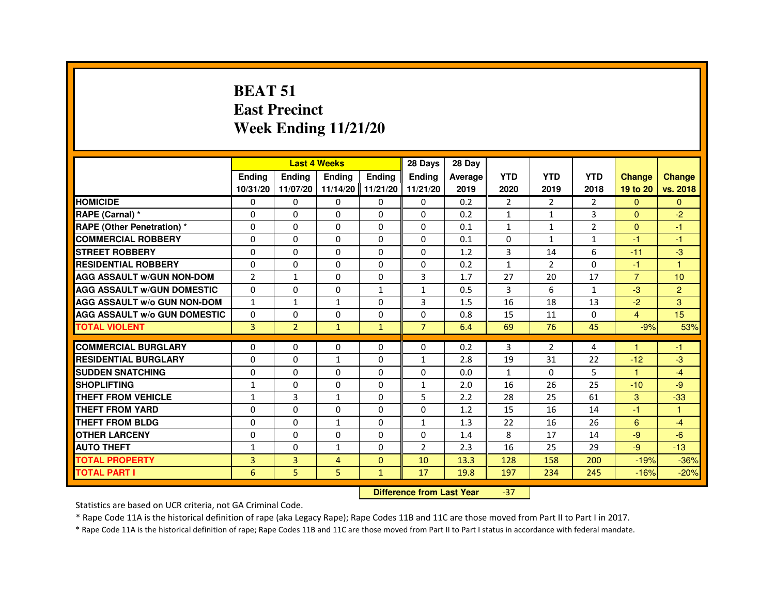#### **BEAT 51 East PrecinctWeek Ending 11/21/20**

|                                     |                |                                  | <b>Last 4 Weeks</b> |                   | 28 Days        | 28 Day  |                |                |                |                      |                |
|-------------------------------------|----------------|----------------------------------|---------------------|-------------------|----------------|---------|----------------|----------------|----------------|----------------------|----------------|
|                                     | <b>Ending</b>  | <b>Ending</b>                    | Ending              | <b>Ending</b>     | <b>Ending</b>  | Average | <b>YTD</b>     | <b>YTD</b>     | <b>YTD</b>     | <b>Change</b>        | <b>Change</b>  |
|                                     | 10/31/20       | 11/07/20                         |                     | 11/14/20 11/21/20 | 11/21/20       | 2019    | 2020           | 2019           | 2018           | 19 to 20             | vs. 2018       |
| <b>HOMICIDE</b>                     | 0              | $\Omega$                         | $\Omega$            | $\mathbf{0}$      | 0              | 0.2     | $\overline{2}$ | $\overline{2}$ | $\overline{2}$ | $\Omega$             | $\Omega$       |
| RAPE (Carnal) *                     | 0              | 0                                | 0                   | 0                 | 0              | 0.2     | 1              | 1              | 3              | $\Omega$             | $-2$           |
| <b>RAPE (Other Penetration) *</b>   | 0              | $\Omega$                         | 0                   | $\Omega$          | $\Omega$       | 0.1     | $\mathbf{1}$   | 1              | $\overline{2}$ | $\Omega$             | $-1$           |
| <b>COMMERCIAL ROBBERY</b>           | $\Omega$       | $\Omega$                         | $\Omega$            | $\Omega$          | $\Omega$       | 0.1     | $\Omega$       | $\mathbf{1}$   | $\mathbf{1}$   | $-1$                 | $-1$           |
| <b>STREET ROBBERY</b>               | 0              | 0                                | $\Omega$            | 0                 | $\Omega$       | 1.2     | 3              | 14             | 6              | $-11$                | $-3$           |
| <b>RESIDENTIAL ROBBERY</b>          | 0              | 0                                | 0                   | 0                 | 0              | 0.2     | 1              | $\overline{2}$ | $\Omega$       | $-1$                 | $\overline{1}$ |
| <b>AGG ASSAULT w/GUN NON-DOM</b>    | $\overline{2}$ | $\mathbf{1}$                     | 0                   | $\Omega$          | 3              | 1.7     | 27             | 20             | 17             | $\overline{7}$       | 10             |
| <b>AGG ASSAULT W/GUN DOMESTIC</b>   | $\Omega$       | 0                                | $\Omega$            | $\mathbf{1}$      | $\mathbf{1}$   | 0.5     | 3              | 6              | $\mathbf{1}$   | $-3$                 | 2 <sup>1</sup> |
| <b>AGG ASSAULT w/o GUN NON-DOM</b>  | 1              | 1                                | $\mathbf{1}$        | 0                 | 3              | 1.5     | 16             | 18             | 13             | $-2$                 | 3              |
| <b>AGG ASSAULT W/o GUN DOMESTIC</b> | $\Omega$       | 0                                | 0                   | 0                 | $\Omega$       | 0.8     | 15             | 11             | $\Omega$       | $\overline{4}$       | 15             |
| <b>TOTAL VIOLENT</b>                | 3              | $\overline{2}$                   | $\mathbf{1}$        | $\mathbf{1}$      | $\overline{7}$ | 6.4     | 69             | 76             | 45             | $-9%$                | 53%            |
| <b>COMMERCIAL BURGLARY</b>          | 0              | 0                                | 0                   | 0                 | 0              | 0.2     | 3              | $\overline{2}$ | 4              |                      | $-1$           |
| <b>RESIDENTIAL BURGLARY</b>         | $\Omega$       | $\Omega$                         | $\mathbf{1}$        | $\Omega$          | $\mathbf{1}$   | 2.8     | 19             | 31             | 22             | $-12$                | $-3$           |
| <b>SUDDEN SNATCHING</b>             | 0              | $\Omega$                         | $\Omega$            | $\Omega$          | $\Omega$       | 0.0     | $\mathbf{1}$   | $\Omega$       | 5              | $\blacktriangleleft$ | $-4$           |
| <b>SHOPLIFTING</b>                  | 1              | 0                                | 0                   | 0                 | $\mathbf{1}$   | 2.0     | 16             | 26             | 25             | $-10$                | $-9$           |
| THEFT FROM VEHICLE                  | $\mathbf{1}$   | 3                                | $\mathbf{1}$        | 0                 | 5              | 2.2     | 28             | 25             | 61             | 3                    | $-33$          |
| <b>THEFT FROM YARD</b>              | $\mathbf 0$    | $\Omega$                         | $\Omega$            | $\Omega$          | $\Omega$       | 1.2     | 15             | 16             | 14             | $-1$                 | $\mathbf{1}$   |
| THEFT FROM BLDG                     | 0              | $\Omega$                         | $\mathbf{1}$        | $\Omega$          | $\mathbf{1}$   | 1.3     | 22             | 16             | 26             | 6                    | $-4$           |
| <b>OTHER LARCENY</b>                | $\Omega$       | $\Omega$                         | $\Omega$            | $\Omega$          | $\Omega$       | 1.4     | 8              | 17             | 14             | $-9$                 | $-6$           |
| <b>AUTO THEFT</b>                   | $\mathbf{1}$   | 0                                | $\mathbf{1}$        | 0                 | $\overline{2}$ | 2.3     | 16             | 25             | 29             | $-9$                 | $-13$          |
| <b>TOTAL PROPERTY</b>               | $\overline{3}$ | 3                                | 4                   | $\Omega$          | 10             | 13.3    | 128            | 158            | 200            | $-19%$               | $-36%$         |
| <b>TOTAL PART I</b>                 | 6              | 5                                | 5                   | $\mathbf{1}$      | 17             | 19.8    | 197            | 234            | 245            | $-16%$               | $-20%$         |
|                                     |                | <b>Difference from Last Year</b> |                     | $-37$             |                |         |                |                |                |                      |                |

#### **Difference from Last Year**

Statistics are based on UCR criteria, not GA Criminal Code.

\* Rape Code 11A is the historical definition of rape (aka Legacy Rape); Rape Codes 11B and 11C are those moved from Part II to Part I in 2017.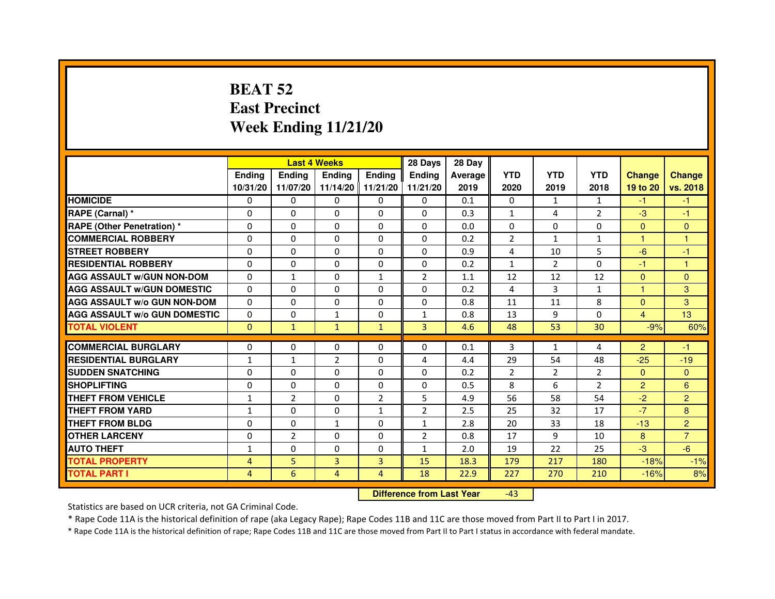# **BEAT 52 East PrecinctWeek Ending 11/21/20**

|                                     |                | <b>Last 4 Weeks</b> |                |                   | 28 Days        | 28 Day  |                |                |                |                |                |
|-------------------------------------|----------------|---------------------|----------------|-------------------|----------------|---------|----------------|----------------|----------------|----------------|----------------|
|                                     | <b>Endina</b>  | Ending              | <b>Endina</b>  | <b>Endina</b>     | <b>Endina</b>  | Average | <b>YTD</b>     | <b>YTD</b>     | <b>YTD</b>     | <b>Change</b>  | <b>Change</b>  |
|                                     | 10/31/20       | 11/07/20            |                | 11/14/20 11/21/20 | 11/21/20       | 2019    | 2020           | 2019           | 2018           | 19 to 20       | vs. 2018       |
| <b>HOMICIDE</b>                     | 0              | 0                   | 0              | 0                 | 0              | 0.1     | $\mathbf{0}$   | $\mathbf{1}$   | $\mathbf{1}$   | -1             | -1             |
| RAPE (Carnal) *                     | $\Omega$       | $\Omega$            | $\Omega$       | $\Omega$          | $\Omega$       | 0.3     | $\mathbf{1}$   | 4              | $\overline{2}$ | $-3$           | $-1$           |
| <b>RAPE (Other Penetration)*</b>    | $\Omega$       | $\Omega$            | $\Omega$       | $\Omega$          | $\Omega$       | 0.0     | $\Omega$       | $\Omega$       | $\Omega$       | $\Omega$       | $\Omega$       |
| <b>COMMERCIAL ROBBERY</b>           | 0              | 0                   | 0              | 0                 | 0              | 0.2     | $\overline{2}$ | $\mathbf{1}$   | $\mathbf{1}$   | 1              | 1              |
| <b>STREET ROBBERY</b>               | 0              | $\Omega$            | 0              | $\Omega$          | 0              | 0.9     | 4              | 10             | 5              | $-6$           | $-1$           |
| <b>RESIDENTIAL ROBBERY</b>          | 0              | $\Omega$            | 0              | $\Omega$          | $\Omega$       | 0.2     | $\mathbf{1}$   | $\overline{2}$ | $\Omega$       | $-1$           | $\mathbf{1}$   |
| <b>AGG ASSAULT w/GUN NON-DOM</b>    | $\Omega$       | $\mathbf{1}$        | $\Omega$       | $\mathbf{1}$      | $\overline{2}$ | 1.1     | 12             | 12             | 12             | $\mathbf{0}$   | $\Omega$       |
| <b>AGG ASSAULT W/GUN DOMESTIC</b>   | $\Omega$       | $\Omega$            | $\Omega$       | $\Omega$          | $\Omega$       | 0.2     | 4              | 3              | $\mathbf{1}$   | $\mathbf{1}$   | 3              |
| <b>AGG ASSAULT W/o GUN NON-DOM</b>  | 0              | 0                   | 0              | $\Omega$          | $\Omega$       | 0.8     | 11             | 11             | 8              | $\Omega$       | 3              |
| <b>AGG ASSAULT W/o GUN DOMESTIC</b> | 0              | 0                   | $\mathbf{1}$   | 0                 | 1              | 0.8     | 13             | 9              | 0              | 4              | 13             |
| <b>TOTAL VIOLENT</b>                | $\Omega$       | $\mathbf{1}$        | $\mathbf{1}$   | $\mathbf{1}$      | 3              | 4.6     | 48             | 53             | 30             | $-9%$          | 60%            |
|                                     |                |                     |                |                   |                |         |                |                |                |                |                |
| <b>COMMERCIAL BURGLARY</b>          | 0              | 0                   | 0              | 0                 | $\Omega$       | 0.1     | 3              | $\mathbf{1}$   | 4              | $\overline{2}$ | -1             |
| <b>RESIDENTIAL BURGLARY</b>         | $\mathbf{1}$   | $\mathbf{1}$        | $\overline{2}$ | $\Omega$          | 4              | 4.4     | 29             | 54             | 48             | $-25$          | $-19$          |
| <b>SUDDEN SNATCHING</b>             | 0              | $\Omega$            | $\Omega$       | $\Omega$          | $\Omega$       | 0.2     | $\overline{2}$ | 2              | $\overline{2}$ | $\Omega$       | $\Omega$       |
| <b>SHOPLIFTING</b>                  | $\Omega$       | $\Omega$            | $\Omega$       | $\mathbf{0}$      | $\Omega$       | 0.5     | 8              | 6              | $\overline{2}$ | $\overline{2}$ | 6              |
| <b>THEFT FROM VEHICLE</b>           | $\mathbf{1}$   | $\overline{2}$      | 0              | $\overline{2}$    | 5              | 4.9     | 56             | 58             | 54             | $-2$           | $\overline{2}$ |
| <b>THEFT FROM YARD</b>              | 1              | 0                   | $\Omega$       | $\mathbf{1}$      | $\overline{2}$ | 2.5     | 25             | 32             | 17             | $-7$           | 8              |
| <b>THEFT FROM BLDG</b>              | 0              | $\Omega$            | 1              | $\mathbf{0}$      | 1              | 2.8     | 20             | 33             | 18             | $-13$          | $\overline{2}$ |
| <b>OTHER LARCENY</b>                | 0              | $\overline{2}$      | $\Omega$       | $\Omega$          | $\overline{2}$ | 0.8     | 17             | 9              | 10             | 8              | $\overline{7}$ |
| <b>AUTO THEFT</b>                   | $\mathbf{1}$   | 0                   | $\mathbf 0$    | $\Omega$          | $\mathbf{1}$   | 2.0     | 19             | 22             | 25             | $-3$           | $-6$           |
| <b>TOTAL PROPERTY</b>               | $\overline{4}$ | 5                   | 3              | $\overline{3}$    | 15             | 18.3    | 179            | 217            | 180            | $-18%$         | $-1%$          |
| <b>TOTAL PART I</b>                 | 4              | 6                   | 4              | $\overline{4}$    | 18             | 22.9    | 227            | 270            | 210            | $-16%$         | 8%             |

 **Difference from Last Year**-43

Statistics are based on UCR criteria, not GA Criminal Code.

\* Rape Code 11A is the historical definition of rape (aka Legacy Rape); Rape Codes 11B and 11C are those moved from Part II to Part I in 2017.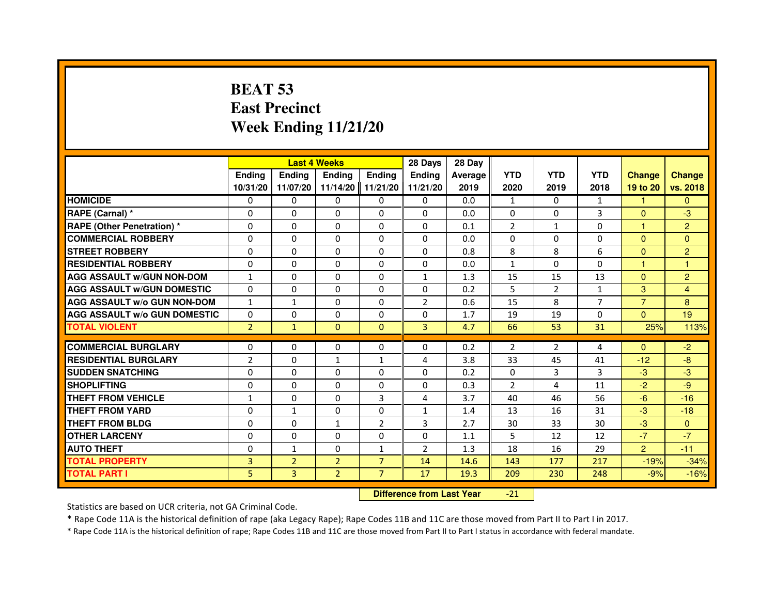# **BEAT 53 East PrecinctWeek Ending 11/21/20**

|                                     |                |                                  | <b>Last 4 Weeks</b> |                | 28 Days        | 28 Day  |                |                |                |                |                |
|-------------------------------------|----------------|----------------------------------|---------------------|----------------|----------------|---------|----------------|----------------|----------------|----------------|----------------|
|                                     | <b>Ending</b>  | <b>Ending</b>                    | <b>Ending</b>       | <b>Ending</b>  | <b>Endina</b>  | Average | <b>YTD</b>     | <b>YTD</b>     | <b>YTD</b>     | <b>Change</b>  | <b>Change</b>  |
|                                     | 10/31/20       | 11/07/20                         | 11/14/20            | 11/21/20       | 11/21/20       | 2019    | 2020           | 2019           | 2018           | 19 to 20       | vs. 2018       |
| <b>HOMICIDE</b>                     | 0              | $\Omega$                         | $\Omega$            | $\Omega$       | 0              | 0.0     | $\mathbf{1}$   | $\Omega$       | $\mathbf{1}$   | $\mathbf{1}$   | $\mathbf{0}$   |
| RAPE (Carnal) *                     | 0              | 0                                | 0                   | 0              | 0              | 0.0     | $\Omega$       | $\mathbf{0}$   | 3              | $\mathbf{0}$   | $-3$           |
| <b>RAPE (Other Penetration) *</b>   | 0              | 0                                | $\Omega$            | $\Omega$       | $\Omega$       | 0.1     | $\overline{2}$ | $\mathbf{1}$   | $\overline{0}$ | $\mathbf{1}$   | $\overline{2}$ |
| <b>COMMERCIAL ROBBERY</b>           | 0              | $\Omega$                         | $\Omega$            | $\Omega$       | $\Omega$       | 0.0     | $\mathbf{0}$   | $\mathbf{0}$   | $\mathbf 0$    | $\Omega$       | $\mathbf{0}$   |
| <b>STREET ROBBERY</b>               | $\Omega$       | $\Omega$                         | $\Omega$            | $\Omega$       | $\Omega$       | 0.8     | 8              | 8              | 6              | $\Omega$       | $\overline{c}$ |
| <b>RESIDENTIAL ROBBERY</b>          | 0              | 0                                | $\Omega$            | 0              | $\Omega$       | 0.0     | $\mathbf{1}$   | $\Omega$       | $\Omega$       | $\mathbf{1}$   | $\overline{1}$ |
| <b>AGG ASSAULT w/GUN NON-DOM</b>    | $\mathbf{1}$   | $\Omega$                         | 0                   | $\Omega$       | $\mathbf{1}$   | 1.3     | 15             | 15             | 13             | $\Omega$       | $\overline{2}$ |
| <b>AGG ASSAULT w/GUN DOMESTIC</b>   | $\Omega$       | $\Omega$                         | $\Omega$            | $\Omega$       | $\Omega$       | 0.2     | 5              | $\overline{2}$ | $\mathbf{1}$   | 3              | $\overline{4}$ |
| <b>AGG ASSAULT w/o GUN NON-DOM</b>  | $\mathbf{1}$   | $\mathbf{1}$                     | $\Omega$            | $\Omega$       | $\overline{2}$ | 0.6     | 15             | 8              | $\overline{7}$ | $\overline{7}$ | 8              |
| <b>AGG ASSAULT W/o GUN DOMESTIC</b> | $\Omega$       | $\Omega$                         | 0                   | $\Omega$       | $\Omega$       | 1.7     | 19             | 19             | 0              | $\Omega$       | 19             |
| <b>TOTAL VIOLENT</b>                | $\overline{2}$ | $\mathbf{1}$                     | $\mathbf{0}$        | $\mathbf{0}$   | $\overline{3}$ | 4.7     | 66             | 53             | 31             | 25%            | 113%           |
| <b>COMMERCIAL BURGLARY</b>          | 0              | 0                                | 0                   | 0              | 0              | 0.2     | $\overline{2}$ | $\overline{2}$ | 4              | $\overline{0}$ | $-2$           |
| <b>RESIDENTIAL BURGLARY</b>         | $\overline{2}$ | $\Omega$                         | $\mathbf{1}$        | 1              | 4              | 3.8     | 33             | 45             | 41             | $-12$          | $-8$           |
| <b>SUDDEN SNATCHING</b>             | $\Omega$       | $\Omega$                         | $\Omega$            | $\Omega$       | $\Omega$       | 0.2     | $\Omega$       | 3              | 3              | $-3$           | $-3$           |
| <b>SHOPLIFTING</b>                  | $\Omega$       | $\Omega$                         | 0                   | $\Omega$       | $\Omega$       | 0.3     | $\overline{2}$ | 4              | 11             | $-2$           | $-9$           |
| THEFT FROM VEHICLE                  | 1              | 0                                | 0                   | 3              | 4              | 3.7     | 40             | 46             | 56             | $-6$           | $-16$          |
| <b>THEFT FROM YARD</b>              | $\Omega$       | $\mathbf{1}$                     | $\Omega$            | $\Omega$       | $\mathbf{1}$   | 1.4     | 13             | 16             | 31             | $-3$           | $-18$          |
| <b>THEFT FROM BLDG</b>              | $\Omega$       | $\Omega$                         | $\mathbf{1}$        | $\overline{2}$ | 3              | 2.7     | 30             | 33             | 30             | $-3$           | $\Omega$       |
| <b>OTHER LARCENY</b>                | 0              | $\Omega$                         | $\Omega$            | 0              | 0              | 1.1     | 5              | 12             | 12             | $-7$           | $-7$           |
| <b>AUTO THEFT</b>                   | $\Omega$       | $\mathbf{1}$                     | $\Omega$            | $\mathbf{1}$   | $\overline{2}$ | 1.3     | 18             | 16             | 29             | $\overline{2}$ | $-11$          |
| <b>TOTAL PROPERTY</b>               | 3              | $\overline{2}$                   | $\overline{2}$      | $\overline{7}$ | 14             | 14.6    | 143            | 177            | 217            | $-19%$         | $-34%$         |
| <b>TOTAL PART I</b>                 | 5              | $\overline{3}$                   | $\overline{2}$      | $\overline{7}$ | 17             | 19.3    | 209            | 230            | 248            | $-9%$          | $-16%$         |
|                                     |                | <b>Difference from Last Year</b> |                     | $-21$          |                |         |                |                |                |                |                |

 **Difference from Last Year**

Statistics are based on UCR criteria, not GA Criminal Code.

\* Rape Code 11A is the historical definition of rape (aka Legacy Rape); Rape Codes 11B and 11C are those moved from Part II to Part I in 2017.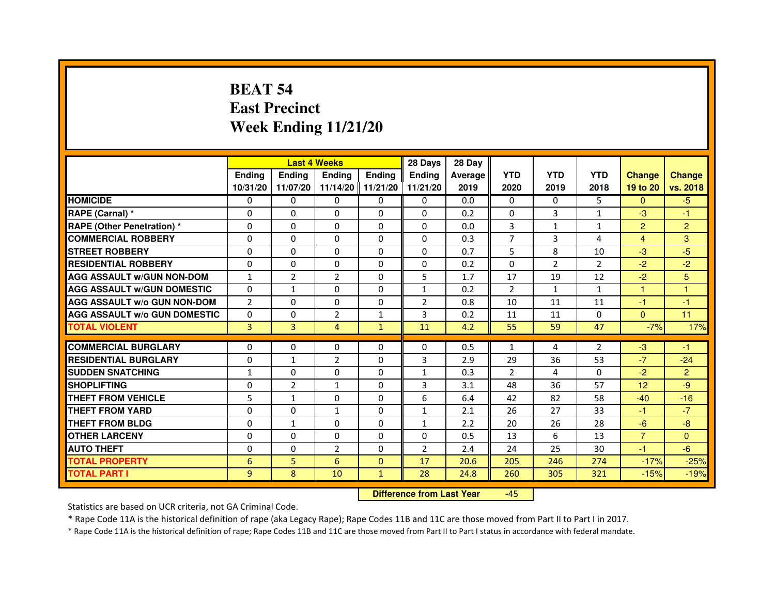# **BEAT 54 East PrecinctWeek Ending 11/21/20**

|                                     |                | <b>Last 4 Weeks</b> |                |                   | 28 Days        | 28 Day  |                |                |                |                |                |
|-------------------------------------|----------------|---------------------|----------------|-------------------|----------------|---------|----------------|----------------|----------------|----------------|----------------|
|                                     | <b>Endina</b>  | <b>Ending</b>       | <b>Endina</b>  | <b>Ending</b>     | <b>Endina</b>  | Average | <b>YTD</b>     | <b>YTD</b>     | <b>YTD</b>     | <b>Change</b>  | <b>Change</b>  |
|                                     | 10/31/20       | 11/07/20            |                | 11/14/20 11/21/20 | 11/21/20       | 2019    | 2020           | 2019           | 2018           | 19 to 20       | vs. 2018       |
| <b>HOMICIDE</b>                     | 0              | $\mathbf{0}$        | $\mathbf{0}$   | 0                 | 0              | 0.0     | $\mathbf{0}$   | $\Omega$       | 5              | $\mathbf{0}$   | $-5$           |
| RAPE (Carnal) *                     | $\Omega$       | $\Omega$            | $\Omega$       | $\Omega$          | $\Omega$       | 0.2     | $\Omega$       | $\overline{3}$ | $\mathbf{1}$   | $-3$           | $-1$           |
| <b>RAPE (Other Penetration)*</b>    | 0              | $\Omega$            | $\Omega$       | $\Omega$          | $\Omega$       | 0.0     | 3              | $\mathbf{1}$   | $\mathbf{1}$   | $\overline{2}$ | $\overline{2}$ |
| <b>COMMERCIAL ROBBERY</b>           | 0              | 0                   | $\Omega$       | 0                 | $\Omega$       | 0.3     | 7              | 3              | 4              | 4              | 3              |
| <b>STREET ROBBERY</b>               | 0              | $\Omega$            | 0              | $\mathbf{0}$      | $\Omega$       | 0.7     | 5              | 8              | 10             | $-3$           | -5             |
| <b>RESIDENTIAL ROBBERY</b>          | 0              | $\Omega$            | $\Omega$       | $\Omega$          | $\Omega$       | 0.2     | $\Omega$       | 2              | 2              | $-2$           | $-2$           |
| <b>AGG ASSAULT w/GUN NON-DOM</b>    | $\mathbf{1}$   | $\overline{2}$      | $\overline{2}$ | $\mathbf{0}$      | 5              | 1.7     | 17             | 19             | 12             | $-2$           | 5              |
| <b>AGG ASSAULT w/GUN DOMESTIC</b>   | $\Omega$       | $\mathbf{1}$        | 0              | $\Omega$          | $\mathbf{1}$   | 0.2     | $\overline{2}$ | $\mathbf{1}$   | $\mathbf{1}$   | $\mathbf{1}$   | $\mathbf{1}$   |
| <b>AGG ASSAULT W/o GUN NON-DOM</b>  | $\overline{2}$ | 0                   | $\Omega$       | $\Omega$          | $\overline{2}$ | 0.8     | 10             | 11             | 11             | $-1$           | $-1$           |
| <b>AGG ASSAULT w/o GUN DOMESTIC</b> | $\Omega$       | 0                   | $\overline{2}$ | $\mathbf{1}$      | 3              | 0.2     | 11             | 11             | $\Omega$       | $\Omega$       | 11             |
| <b>TOTAL VIOLENT</b>                | 3              | 3                   | 4              | $\mathbf{1}$      | 11             | 4.2     | 55             | 59             | 47             | $-7%$          | 17%            |
| <b>COMMERCIAL BURGLARY</b>          | $\Omega$       | 0                   | $\Omega$       | 0                 | $\Omega$       | 0.5     | $\mathbf{1}$   | $\overline{a}$ | $\mathfrak{p}$ | $-3$           | $-1$           |
| <b>RESIDENTIAL BURGLARY</b>         | 0              | 1                   | $\overline{2}$ | 0                 | 3              | 2.9     | 29             | 36             | 53             | $-7$           | $-24$          |
| <b>SUDDEN SNATCHING</b>             | $\mathbf{1}$   | 0                   | 0              | 0                 | $\mathbf{1}$   | 0.3     | $\overline{2}$ | 4              | 0              | $-2$           | $\overline{2}$ |
| <b>SHOPLIFTING</b>                  | $\mathbf 0$    | $\overline{2}$      | $\mathbf{1}$   | $\mathbf{0}$      | 3              | 3.1     | 48             | 36             | 57             | 12             | -9             |
| <b>THEFT FROM VEHICLE</b>           | 5              | $\mathbf{1}$        | $\Omega$       | $\mathbf{0}$      | 6              | 6.4     | 42             | 82             | 58             | $-40$          | $-16$          |
| <b>THEFT FROM YARD</b>              | 0              | 0                   | $\mathbf{1}$   | $\Omega$          | $\mathbf{1}$   | 2.1     | 26             | 27             | 33             | $-1$           | $-7$           |
| <b>THEFT FROM BLDG</b>              | 0              | 1                   | 0              | 0                 | 1              | 2.2     | 20             | 26             | 28             | $-6$           | -8             |
| <b>OTHER LARCENY</b>                | 0              | $\Omega$            | 0              | $\mathbf{0}$      | $\Omega$       | 0.5     | 13             | 6              | 13             | $\overline{7}$ | $\Omega$       |
| <b>AUTO THEFT</b>                   | 0              | $\Omega$            | $\overline{2}$ | $\Omega$          | $\overline{2}$ | 2.4     | 24             | 25             | 30             | $-1$           | -6             |
| <b>TOTAL PROPERTY</b>               | 6              | 5                   | 6              | $\mathbf{0}$      | 17             | 20.6    | 205            | 246            | 274            | $-17%$         | $-25%$         |
| <b>TOTAL PART I</b>                 | 9              | 8                   | 10             | $\mathbf{1}$      | 28             | 24.8    | 260            | 305            | 321            | $-15%$         | $-19%$         |

 **Difference from Last Year**-45

Statistics are based on UCR criteria, not GA Criminal Code.

\* Rape Code 11A is the historical definition of rape (aka Legacy Rape); Rape Codes 11B and 11C are those moved from Part II to Part I in 2017.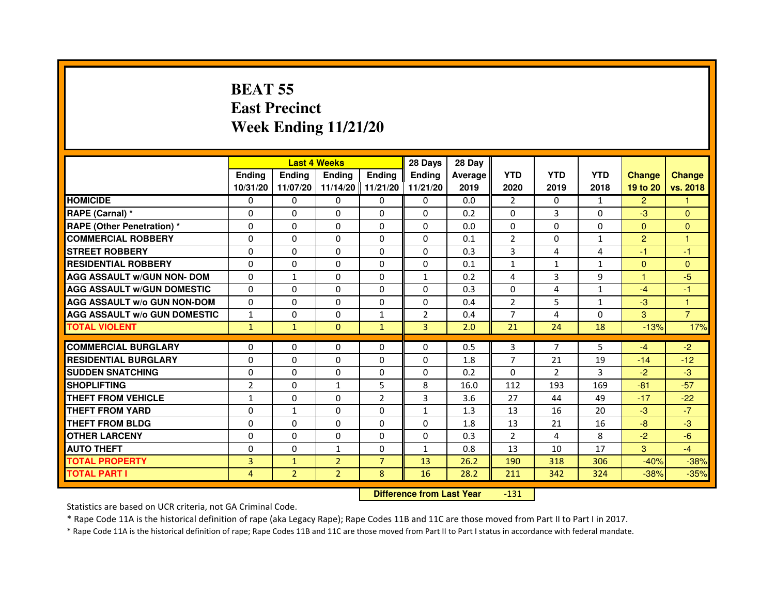# **BEAT 55 East PrecinctWeek Ending 11/21/20**

|                                     |                |                | <b>Last 4 Weeks</b> |                   | 28 Days        | 28 Day  |                |                |              |                |                |
|-------------------------------------|----------------|----------------|---------------------|-------------------|----------------|---------|----------------|----------------|--------------|----------------|----------------|
|                                     | <b>Endina</b>  | Ending         | Ending              | Ending            | <b>Ending</b>  | Average | <b>YTD</b>     | <b>YTD</b>     | <b>YTD</b>   | <b>Change</b>  | <b>Change</b>  |
|                                     | 10/31/20       | 11/07/20       |                     | 11/14/20 11/21/20 | 11/21/20       | 2019    | 2020           | 2019           | 2018         | 19 to 20       | vs. 2018       |
| <b>HOMICIDE</b>                     | 0              | $\mathbf{0}$   | 0                   | 0                 | 0              | 0.0     | 2              | 0              | 1            | $\overline{2}$ |                |
| RAPE (Carnal) *                     | $\Omega$       | $\Omega$       | $\Omega$            | $\Omega$          | $\Omega$       | 0.2     | $\Omega$       | 3              | $\Omega$     | $-3$           | $\Omega$       |
| <b>RAPE (Other Penetration) *</b>   | $\Omega$       | $\Omega$       | $\Omega$            | $\Omega$          | $\Omega$       | 0.0     | $\Omega$       | $\Omega$       | $\Omega$     | $\Omega$       | $\Omega$       |
| <b>COMMERCIAL ROBBERY</b>           | $\Omega$       | $\Omega$       | $\Omega$            | $\Omega$          | $\Omega$       | 0.1     | $\overline{2}$ | 0              | 1            | $\overline{2}$ | 1              |
| <b>STREET ROBBERY</b>               | $\Omega$       | $\Omega$       | $\Omega$            | $\Omega$          | $\Omega$       | 0.3     | 3              | 4              | 4            | $-1$           | $-1$           |
| <b>RESIDENTIAL ROBBERY</b>          | $\Omega$       | 0              | $\Omega$            | 0                 | $\mathbf 0$    | 0.1     | $\mathbf{1}$   | $\mathbf{1}$   | $\mathbf{1}$ | $\mathbf{0}$   | $\mathbf{0}$   |
| <b>AGG ASSAULT w/GUN NON- DOM</b>   | $\Omega$       | $\mathbf{1}$   | $\Omega$            | $\Omega$          | $\mathbf{1}$   | 0.2     | 4              | 3              | 9            | $\mathbf{1}$   | $-5$           |
| <b>AGG ASSAULT W/GUN DOMESTIC</b>   | $\mathbf{0}$   | $\mathbf{0}$   | 0                   | 0                 | 0              | 0.3     | 0              | 4              | $\mathbf{1}$ | $-4$           | $-1$           |
| <b>AGG ASSAULT w/o GUN NON-DOM</b>  | $\Omega$       | $\Omega$       | $\Omega$            | $\Omega$          | $\Omega$       | 0.4     | $\overline{2}$ | 5              | 1            | $-3$           | 1              |
| <b>AGG ASSAULT W/o GUN DOMESTIC</b> | $\mathbf{1}$   | $\Omega$       | $\Omega$            | $\mathbf{1}$      | $\overline{2}$ | 0.4     | $\overline{7}$ | 4              | $\Omega$     | 3              | $\overline{7}$ |
| <b>TOTAL VIOLENT</b>                | $\mathbf{1}$   | $\mathbf{1}$   | $\mathbf 0$         | $\mathbf{1}$      | 3              | 2.0     | 21             | 24             | 18           | $-13%$         | 17%            |
|                                     |                |                |                     |                   |                |         |                |                |              |                |                |
| <b>COMMERCIAL BURGLARY</b>          | $\mathbf{0}$   | 0              | 0                   | 0                 | 0              | 0.5     | 3              | 7              | 5            | $-4$           | $-2$           |
| <b>RESIDENTIAL BURGLARY</b>         | $\Omega$       | $\Omega$       | $\Omega$            | $\Omega$          | $\Omega$       | 1.8     | $\overline{7}$ | 21             | 19           | $-14$          | $-12$          |
| <b>SUDDEN SNATCHING</b>             | $\Omega$       | $\Omega$       | $\Omega$            | $\Omega$          | $\Omega$       | 0.2     | $\Omega$       | $\overline{2}$ | 3            | $-2$           | $-3$           |
| <b>SHOPLIFTING</b>                  | 2              | $\Omega$       | $\mathbf{1}$        | 5                 | 8              | 16.0    | 112            | 193            | 169          | $-81$          | $-57$          |
| THEFT FROM VEHICLE                  | $\mathbf{1}$   | $\mathbf{0}$   | 0                   | $\overline{2}$    | $\overline{3}$ | 3.6     | 27             | 44             | 49           | $-17$          | $-22$          |
| <b>THEFT FROM YARD</b>              | $\Omega$       | 1              | $\Omega$            | $\Omega$          | $\mathbf{1}$   | 1.3     | 13             | 16             | 20           | $-3$           | $-7$           |
| <b>THEFT FROM BLDG</b>              | $\Omega$       | $\Omega$       | $\Omega$            | $\Omega$          | $\Omega$       | 1.8     | 13             | 21             | 16           | $-8$           | $-3$           |
| <b>OTHER LARCENY</b>                | $\Omega$       | $\Omega$       | $\Omega$            | $\Omega$          | $\Omega$       | 0.3     | $\overline{2}$ | 4              | 8            | $-2$           | $-6$           |
| <b>AUTO THEFT</b>                   | $\Omega$       | $\Omega$       | $\mathbf{1}$        | $\Omega$          | $\mathbf{1}$   | 0.8     | 13             | 10             | 17           | 3              | $-4$           |
| <b>TOTAL PROPERTY</b>               | 3              | $\mathbf{1}$   | $\overline{2}$      | $\overline{7}$    | 13             | 26.2    | 190            | 318            | 306          | $-40%$         | $-38%$         |
| <b>TOTAL PART I</b>                 | $\overline{4}$ | $\overline{2}$ | $\overline{2}$      | 8                 | 16             | 28.2    | 211            | 342            | 324          | $-38%$         | $-35%$         |

 **Difference from Last Year**-131

Statistics are based on UCR criteria, not GA Criminal Code.

\* Rape Code 11A is the historical definition of rape (aka Legacy Rape); Rape Codes 11B and 11C are those moved from Part II to Part I in 2017.